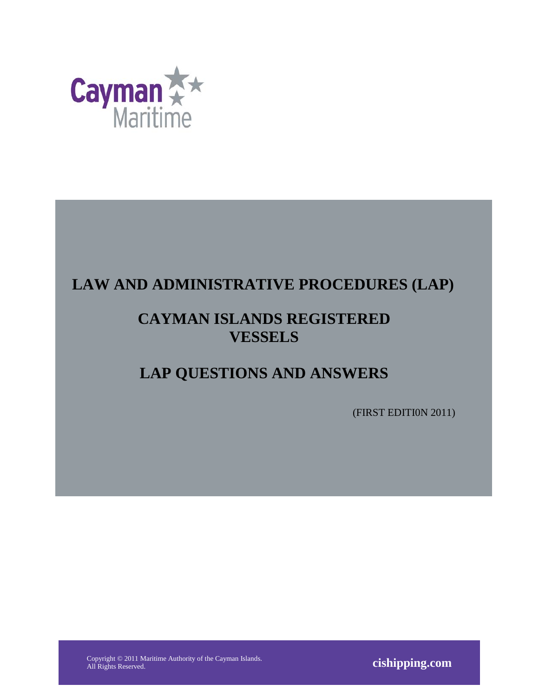

# **LAW AND ADMINISTRATIVE PROCEDURES (LAP)**

# **CAYMAN ISLANDS REGISTERED VESSELS**

# **LAP QUESTIONS AND ANSWERS**

(FIRST EDITI0N 2011)

Copyright © 2011 Maritime Authority of the Cayman Islands.

All Rights Reserved. **cishipping.com**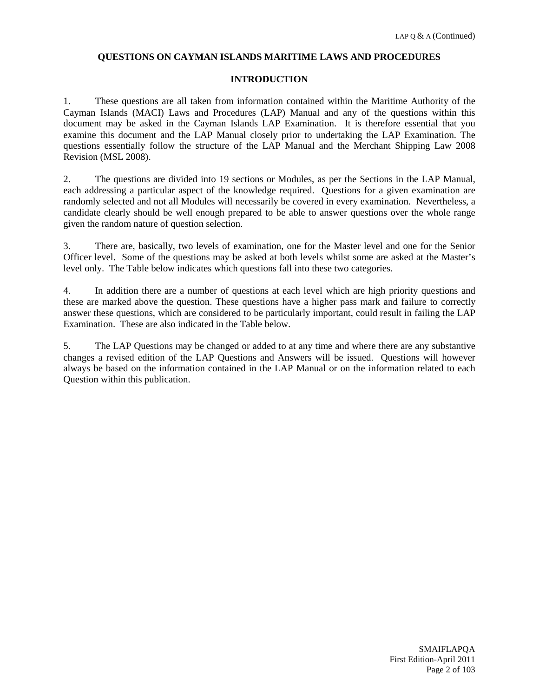#### **QUESTIONS ON CAYMAN ISLANDS MARITIME LAWS AND PROCEDURES**

#### **INTRODUCTION**

1. These questions are all taken from information contained within the Maritime Authority of the Cayman Islands (MACI) Laws and Procedures (LAP) Manual and any of the questions within this document may be asked in the Cayman Islands LAP Examination. It is therefore essential that you examine this document and the LAP Manual closely prior to undertaking the LAP Examination. The questions essentially follow the structure of the LAP Manual and the Merchant Shipping Law 2008 Revision (MSL 2008).

2. The questions are divided into 19 sections or Modules, as per the Sections in the LAP Manual, each addressing a particular aspect of the knowledge required. Questions for a given examination are randomly selected and not all Modules will necessarily be covered in every examination. Nevertheless, a candidate clearly should be well enough prepared to be able to answer questions over the whole range given the random nature of question selection.

3. There are, basically, two levels of examination, one for the Master level and one for the Senior Officer level. Some of the questions may be asked at both levels whilst some are asked at the Master's level only. The Table below indicates which questions fall into these two categories.

4. In addition there are a number of questions at each level which are high priority questions and these are marked above the question. These questions have a higher pass mark and failure to correctly answer these questions, which are considered to be particularly important, could result in failing the LAP Examination. These are also indicated in the Table below.

5. The LAP Questions may be changed or added to at any time and where there are any substantive changes a revised edition of the LAP Questions and Answers will be issued. Questions will however always be based on the information contained in the LAP Manual or on the information related to each Question within this publication.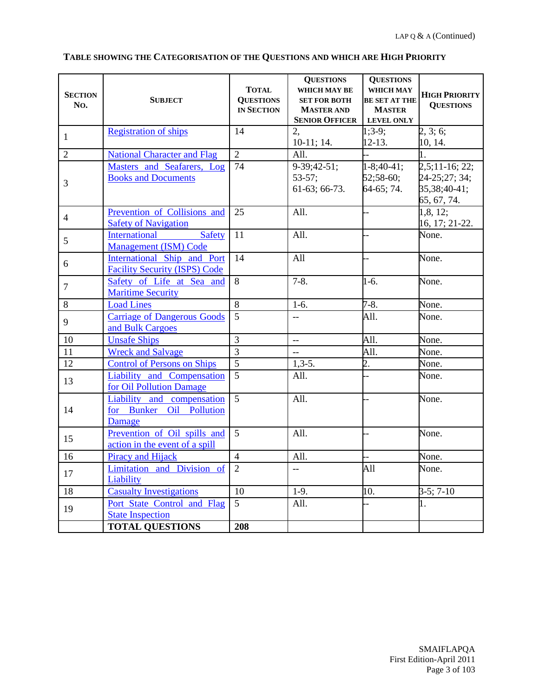| <b>SECTION</b><br>No. | <b>SUBJECT</b>                                                          | <b>TOTAL</b><br><b>QUESTIONS</b><br><b>IN SECTION</b> | <b>QUESTIONS</b><br>WHICH MAY BE<br><b>SET FOR BOTH</b><br><b>MASTER AND</b><br><b>SENIOR OFFICER</b> | <b>QUESTIONS</b><br>WHICH MAY<br><b>BE SET AT THE</b><br><b>MASTER</b><br><b>LEVEL ONLY</b> | <b>HIGH PRIORITY</b><br><b>QUESTIONS</b>                        |
|-----------------------|-------------------------------------------------------------------------|-------------------------------------------------------|-------------------------------------------------------------------------------------------------------|---------------------------------------------------------------------------------------------|-----------------------------------------------------------------|
| $\mathbf{1}$          | <b>Registration of ships</b>                                            | 14                                                    | 2,<br>$10-11$ ; 14.                                                                                   | $1;3-9;$<br>$12-13.$                                                                        | 2, 3; 6;<br>10, 14.                                             |
| $\overline{2}$        | <b>National Character and Flag</b>                                      | $\overline{2}$                                        | All.                                                                                                  |                                                                                             |                                                                 |
| 3                     | Masters and Seafarers, Log<br><b>Books and Documents</b>                | 74                                                    | 9-39;42-51;<br>$53 - 57;$<br>61-63; 66-73.                                                            | $1-8;40-41;$<br>$52;58-60;$<br>64-65; 74.                                                   | $2,5;11-16;22;$<br>24-25;27; 34;<br>35,38;40-41;<br>65, 67, 74. |
| $\overline{4}$        | Prevention of Collisions and<br><b>Safety of Navigation</b>             | 25                                                    | All.                                                                                                  | $\overline{a}$                                                                              | 1, 8, 12;<br>16, 17; 21-22.                                     |
| 5                     | <b>International</b><br>Safety<br><b>Management (ISM) Code</b>          | 11                                                    | All.                                                                                                  | i.                                                                                          | None.                                                           |
| 6                     | International Ship and Port<br><b>Facility Security (ISPS) Code</b>     | 14                                                    | All                                                                                                   |                                                                                             | None.                                                           |
| $\overline{7}$        | Safety of Life at Sea and<br><b>Maritime Security</b>                   | 8                                                     | $7-8.$                                                                                                | $1-6.$                                                                                      | None.                                                           |
| $8\,$                 | <b>Load Lines</b>                                                       | 8                                                     | $1-6.$                                                                                                | $7-8.$                                                                                      | None.                                                           |
| 9                     | <b>Carriage of Dangerous Goods</b><br>and Bulk Cargoes                  | $\overline{5}$                                        | ΞĒ,                                                                                                   | All.                                                                                        | None.                                                           |
| 10                    | <b>Unsafe Ships</b>                                                     | $\overline{3}$                                        | $\overline{\phantom{a}}$                                                                              | All.                                                                                        | None.                                                           |
| 11                    | <b>Wreck and Salvage</b>                                                | $\overline{3}$                                        | $\overline{\phantom{a}}$                                                                              | All.                                                                                        | None.                                                           |
| 12                    | <b>Control of Persons on Ships</b>                                      | $\overline{5}$                                        | $1,3-5.$                                                                                              | 2.                                                                                          | None.                                                           |
| 13                    | Liability and Compensation<br>for Oil Pollution Damage                  | $\overline{5}$                                        | All.                                                                                                  |                                                                                             | None.                                                           |
| 14                    | <b>Liability</b> and compensation<br>for Bunker Oil Pollution<br>Damage | $\overline{5}$                                        | All.                                                                                                  |                                                                                             | None.                                                           |
| 15                    | Prevention of Oil spills and<br>action in the event of a spill          | 5                                                     | All.                                                                                                  |                                                                                             | None.                                                           |
| 16                    | <b>Piracy and Hijack</b>                                                | $\overline{4}$                                        | All.                                                                                                  |                                                                                             | None.                                                           |
| 17                    | Limitation and Division of<br>Liability                                 | $\overline{2}$                                        | 44                                                                                                    | A11                                                                                         | None.                                                           |
| 18                    | <b>Casualty Investigations</b>                                          | 10                                                    | $1-9.$                                                                                                | 10.                                                                                         | $3-5; 7-10$                                                     |
| 19                    | Port State Control and Flag<br><b>State Inspection</b>                  | $\mathfrak{H}$                                        | All.                                                                                                  | $\overline{a}$                                                                              | 1.                                                              |
|                       | <b>TOTAL QUESTIONS</b>                                                  | 208                                                   |                                                                                                       |                                                                                             |                                                                 |

## **TABLE SHOWING THE CATEGORISATION OF THE QUESTIONS AND WHICH ARE HIGH PRIORITY**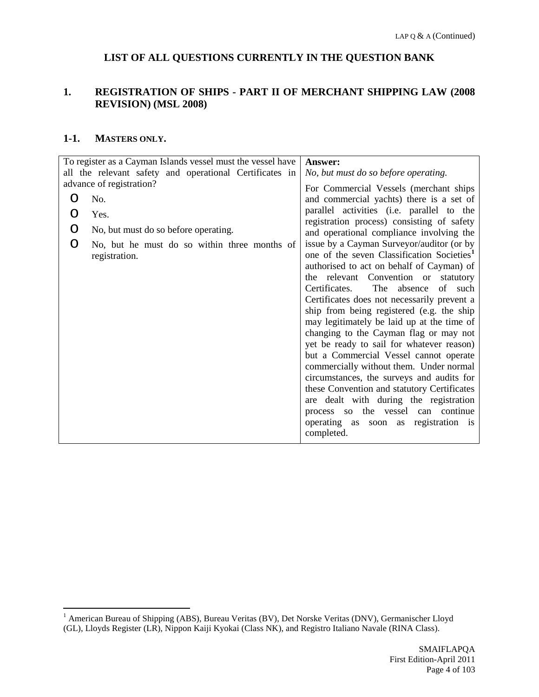## **LIST OF ALL QUESTIONS CURRENTLY IN THE QUESTION BANK**

#### <span id="page-3-0"></span>**1. REGISTRATION OF SHIPS - PART II OF MERCHANT SHIPPING LAW (2008 REVISION) (MSL 2008)**

#### **1-1. MASTERS ONLY.**

| To register as a Cayman Islands vessel must the vessel have        | Answer:                                                                                                                                                                                                                                                                                                                                                                                                                                                                                                                                                                                                                                                                                                                                                                                     |
|--------------------------------------------------------------------|---------------------------------------------------------------------------------------------------------------------------------------------------------------------------------------------------------------------------------------------------------------------------------------------------------------------------------------------------------------------------------------------------------------------------------------------------------------------------------------------------------------------------------------------------------------------------------------------------------------------------------------------------------------------------------------------------------------------------------------------------------------------------------------------|
| all the relevant safety and operational Certificates in            | No, but must do so before operating.                                                                                                                                                                                                                                                                                                                                                                                                                                                                                                                                                                                                                                                                                                                                                        |
| advance of registration?                                           | For Commercial Vessels (merchant ships)                                                                                                                                                                                                                                                                                                                                                                                                                                                                                                                                                                                                                                                                                                                                                     |
| No.<br>O                                                           | and commercial yachts) there is a set of                                                                                                                                                                                                                                                                                                                                                                                                                                                                                                                                                                                                                                                                                                                                                    |
| Yes.                                                               | parallel activities (i.e. parallel to the<br>registration process) consisting of safety                                                                                                                                                                                                                                                                                                                                                                                                                                                                                                                                                                                                                                                                                                     |
| No, but must do so before operating.<br>O                          | and operational compliance involving the                                                                                                                                                                                                                                                                                                                                                                                                                                                                                                                                                                                                                                                                                                                                                    |
| No, but he must do so within three months of<br>O<br>registration. | issue by a Cayman Surveyor/auditor (or by<br>one of the seven Classification Societies <sup>1</sup><br>authorised to act on behalf of Cayman) of<br>the relevant Convention or statutory<br>Certificates.<br>The absence<br>of such<br>Certificates does not necessarily prevent a<br>ship from being registered (e.g. the ship<br>may legitimately be laid up at the time of<br>changing to the Cayman flag or may not<br>yet be ready to sail for whatever reason)<br>but a Commercial Vessel cannot operate<br>commercially without them. Under normal<br>circumstances, the surveys and audits for<br>these Convention and statutory Certificates<br>are dealt with during the registration<br>process so the vessel can continue<br>operating as soon as registration is<br>completed. |

<span id="page-3-1"></span> <sup>1</sup> American Bureau of Shipping (ABS), Bureau Veritas (BV), Det Norske Veritas (DNV), Germanischer Lloyd (GL), Lloyds Register (LR), Nippon Kaiji Kyokai (Class NK), and Registro Italiano Navale (RINA Class).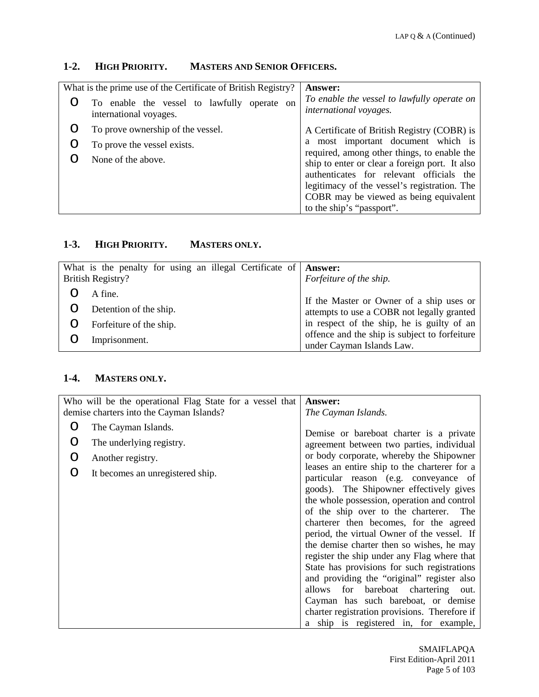# **1-2. HIGH PRIORITY. MASTERS AND SENIOR OFFICERS.**

| What is the prime use of the Certificate of British Registry? |                                                                       | <b>Answer:</b>                                                                                                                            |
|---------------------------------------------------------------|-----------------------------------------------------------------------|-------------------------------------------------------------------------------------------------------------------------------------------|
| Ő                                                             | To enable the vessel to lawfully operate on<br>international voyages. | To enable the vessel to lawfully operate on<br>international voyages.                                                                     |
| Ő                                                             | To prove ownership of the vessel.                                     | A Certificate of British Registry (COBR) is                                                                                               |
| Ő                                                             | To prove the vessel exists.                                           | a most important document which is                                                                                                        |
|                                                               | None of the above.                                                    | required, among other things, to enable the<br>ship to enter or clear a foreign port. It also<br>authenticates for relevant officials the |
|                                                               |                                                                       | legitimacy of the vessel's registration. The                                                                                              |
|                                                               |                                                                       | COBR may be viewed as being equivalent                                                                                                    |
|                                                               |                                                                       | to the ship's "passport".                                                                                                                 |

# **1-3. HIGH PRIORITY. MASTERS ONLY.**

| What is the penalty for using an illegal Certificate of<br>British Registry? | <b>Answer:</b><br>Forfeiture of the ship.                                                   |
|------------------------------------------------------------------------------|---------------------------------------------------------------------------------------------|
| A fine.                                                                      | If the Master or Owner of a ship uses or                                                    |
| Detention of the ship.                                                       | attempts to use a COBR not legally granted                                                  |
| Forfeiture of the ship.                                                      | in respect of the ship, he is guilty of an<br>offence and the ship is subject to forfeiture |
| Imprisonment.                                                                | under Cayman Islands Law.                                                                   |

## **1-4. MASTERS ONLY.**

| Who will be the operational Flag State for a vessel that |                                          | Answer:                                                                                                                                                                                                                                                              |
|----------------------------------------------------------|------------------------------------------|----------------------------------------------------------------------------------------------------------------------------------------------------------------------------------------------------------------------------------------------------------------------|
|                                                          | demise charters into the Cayman Islands? | The Cayman Islands.                                                                                                                                                                                                                                                  |
| O                                                        | The Cayman Islands.                      | Demise or bareboat charter is a private                                                                                                                                                                                                                              |
| O                                                        | The underlying registry.                 | agreement between two parties, individual                                                                                                                                                                                                                            |
| O                                                        | Another registry.                        | or body corporate, whereby the Shipowner                                                                                                                                                                                                                             |
| ◯                                                        | It becomes an unregistered ship.         | leases an entire ship to the charterer for a<br>particular reason (e.g. conveyance of<br>goods). The Shipowner effectively gives<br>the whole possession, operation and control<br>of the ship over to the charterer. The<br>charterer then becomes, for the agreed  |
|                                                          |                                          | period, the virtual Owner of the vessel. If<br>the demise charter then so wishes, he may<br>register the ship under any Flag where that                                                                                                                              |
|                                                          |                                          | State has provisions for such registrations<br>and providing the "original" register also<br>allows for bareboat chartering<br>out.<br>Cayman has such bareboat, or demise<br>charter registration provisions. Therefore if<br>a ship is registered in, for example, |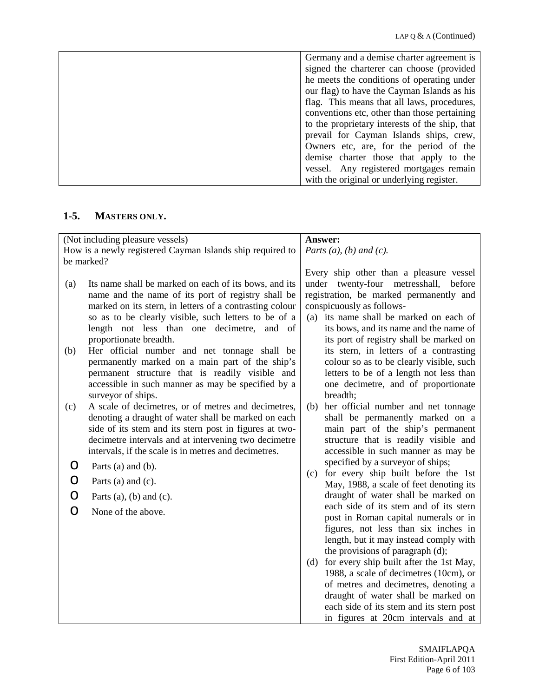| Germany and a demise charter agreement is      |
|------------------------------------------------|
| signed the charterer can choose (provided      |
| he meets the conditions of operating under     |
| our flag) to have the Cayman Islands as his    |
| flag. This means that all laws, procedures,    |
| conventions etc, other than those pertaining   |
| to the proprietary interests of the ship, that |
| prevail for Cayman Islands ships, crew,        |
| Owners etc, are, for the period of the         |
| demise charter those that apply to the         |
| vessel. Any registered mortgages remain        |
| with the original or underlying register.      |

# **1-5. MASTERS ONLY.**

| (Not including pleasure vessels) |                                                           |       | Answer:                                     |
|----------------------------------|-----------------------------------------------------------|-------|---------------------------------------------|
|                                  | How is a newly registered Cayman Islands ship required to |       | Parts $(a)$ , $(b)$ and $(c)$ .             |
|                                  | be marked?                                                |       |                                             |
|                                  |                                                           |       | Every ship other than a pleasure vessel     |
| (a)                              | Its name shall be marked on each of its bows, and its     | under | twenty-four metresshall,<br>before          |
|                                  | name and the name of its port of registry shall be        |       | registration, be marked permanently and     |
|                                  | marked on its stern, in letters of a contrasting colour   |       | conspicuously as follows-                   |
|                                  | so as to be clearly visible, such letters to be of a      |       | (a) its name shall be marked on each of     |
|                                  | length not less than one decimetre,<br>and of             |       | its bows, and its name and the name of      |
|                                  | proportionate breadth.                                    |       | its port of registry shall be marked on     |
| (b)                              | Her official number and net tonnage shall be              |       | its stern, in letters of a contrasting      |
|                                  | permanently marked on a main part of the ship's           |       | colour so as to be clearly visible, such    |
|                                  | permanent structure that is readily visible and           |       | letters to be of a length not less than     |
|                                  | accessible in such manner as may be specified by a        |       | one decimetre, and of proportionate         |
|                                  | surveyor of ships.                                        |       | breadth;                                    |
| (c)                              | A scale of decimetres, or of metres and decimetres,       |       | (b) her official number and net tonnage     |
|                                  | denoting a draught of water shall be marked on each       |       | shall be permanently marked on a            |
|                                  | side of its stem and its stern post in figures at two-    |       | main part of the ship's permanent           |
|                                  | decimetre intervals and at intervening two decimetre      |       | structure that is readily visible and       |
|                                  | intervals, if the scale is in metres and decimetres.      |       | accessible in such manner as may be         |
| O                                | Parts (a) and (b).                                        |       | specified by a surveyor of ships;           |
|                                  |                                                           | (c)   | for every ship built before the 1st         |
| O                                | Parts (a) and (c).                                        |       | May, 1988, a scale of feet denoting its     |
| O                                | Parts (a), (b) and (c).                                   |       | draught of water shall be marked on         |
| O                                | None of the above.                                        |       | each side of its stem and of its stern      |
|                                  |                                                           |       | post in Roman capital numerals or in        |
|                                  |                                                           |       | figures, not less than six inches in        |
|                                  |                                                           |       | length, but it may instead comply with      |
|                                  |                                                           |       | the provisions of paragraph (d);            |
|                                  |                                                           |       | (d) for every ship built after the 1st May, |
|                                  |                                                           |       | 1988, a scale of decimetres (10cm), or      |
|                                  |                                                           |       | of metres and decimetres, denoting a        |
|                                  |                                                           |       | draught of water shall be marked on         |
|                                  |                                                           |       | each side of its stem and its stern post    |
|                                  |                                                           |       | in figures at 20cm intervals and at         |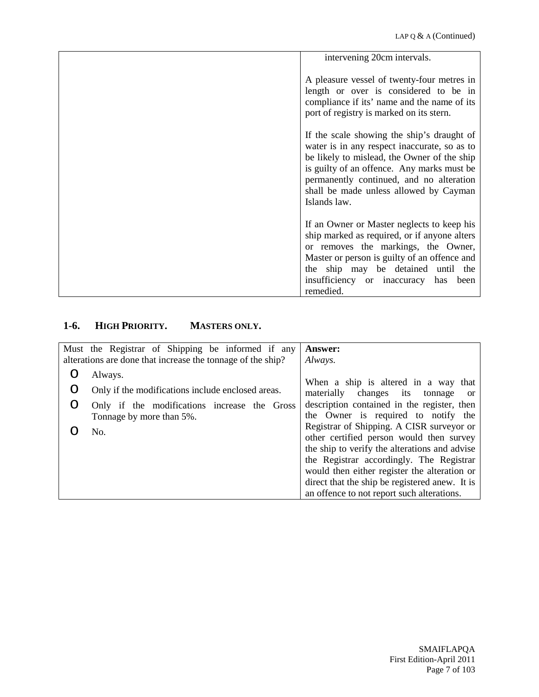| intervening 20cm intervals.                                                                                                                                                                                                                                                                   |
|-----------------------------------------------------------------------------------------------------------------------------------------------------------------------------------------------------------------------------------------------------------------------------------------------|
| A pleasure vessel of twenty-four metres in<br>length or over is considered to be in<br>compliance if its' name and the name of its<br>port of registry is marked on its stern.                                                                                                                |
| If the scale showing the ship's draught of<br>water is in any respect inaccurate, so as to<br>be likely to mislead, the Owner of the ship<br>is guilty of an offence. Any marks must be<br>permanently continued, and no alteration<br>shall be made unless allowed by Cayman<br>Islands law. |
| If an Owner or Master neglects to keep his<br>ship marked as required, or if anyone alters<br>or removes the markings, the Owner,<br>Master or person is guilty of an offence and<br>the ship may be detained until the<br>insufficiency or inaccuracy<br>has<br>been<br>remedied.            |

# **1-6. HIGH PRIORITY. MASTERS ONLY.**

|   | Must the Registrar of Shipping be informed if any                        | Answer:                                                                                                                                                                                                                                                                                                                            |
|---|--------------------------------------------------------------------------|------------------------------------------------------------------------------------------------------------------------------------------------------------------------------------------------------------------------------------------------------------------------------------------------------------------------------------|
|   | alterations are done that increase the tonnage of the ship?              | Always.                                                                                                                                                                                                                                                                                                                            |
|   | Always.                                                                  | When a ship is altered in a way that                                                                                                                                                                                                                                                                                               |
| O | Only if the modifications include enclosed areas.                        | materially changes its<br>tonnage<br><sub>or</sub>                                                                                                                                                                                                                                                                                 |
| O | Only if the modifications increase the Gross<br>Tonnage by more than 5%. | description contained in the register, then<br>the Owner is required to notify the                                                                                                                                                                                                                                                 |
|   | No.                                                                      | Registrar of Shipping. A CISR surveyor or<br>other certified person would then survey<br>the ship to verify the alterations and advise<br>the Registrar accordingly. The Registrar<br>would then either register the alteration or<br>direct that the ship be registered anew. It is<br>an offence to not report such alterations. |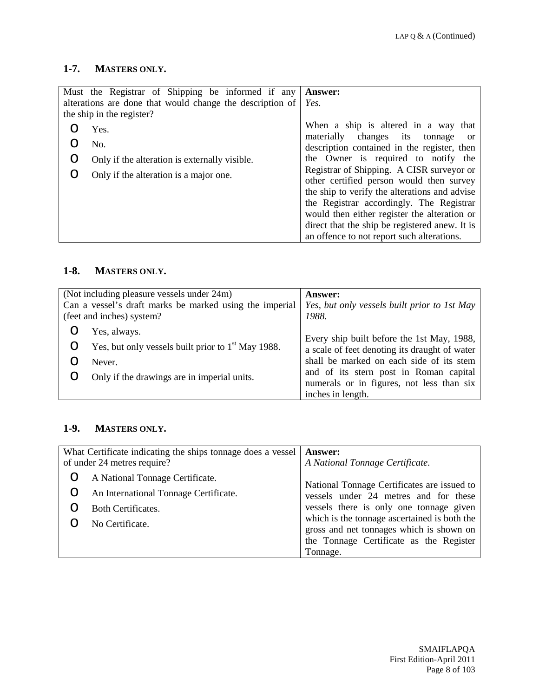## **1-7. MASTERS ONLY.**

|         | Must the Registrar of Shipping be informed if any<br>alterations are done that would change the description of<br>the ship in the register? | <b>Answer:</b><br>Yes.                                                                                                                                                                                                                                                                                                                                                                                              |
|---------|---------------------------------------------------------------------------------------------------------------------------------------------|---------------------------------------------------------------------------------------------------------------------------------------------------------------------------------------------------------------------------------------------------------------------------------------------------------------------------------------------------------------------------------------------------------------------|
| Ő<br>() | Yes.<br>No.<br>Only if the alteration is externally visible.<br>Only if the alteration is a major one.                                      | When a ship is altered in a way that<br>materially changes its tonnage<br><sub>or</sub><br>description contained in the register, then<br>the Owner is required to notify the<br>Registrar of Shipping. A CISR surveyor or<br>other certified person would then survey<br>the ship to verify the alterations and advise<br>the Registrar accordingly. The Registrar<br>would then either register the alteration or |
|         |                                                                                                                                             | direct that the ship be registered anew. It is<br>an offence to not report such alterations.                                                                                                                                                                                                                                                                                                                        |

### **1-8. MASTERS ONLY.**

| (Not including pleasure vessels under 24m)              |                                                      | <b>Answer:</b>                                                                              |
|---------------------------------------------------------|------------------------------------------------------|---------------------------------------------------------------------------------------------|
| Can a vessel's draft marks be marked using the imperial |                                                      | Yes, but only vessels built prior to 1st May                                                |
| (feet and inches) system?                               |                                                      | 1988.                                                                                       |
|                                                         | Yes, always.                                         |                                                                                             |
|                                                         | Yes, but only vessels built prior to $1st$ May 1988. | Every ship built before the 1st May, 1988,<br>a scale of feet denoting its draught of water |
|                                                         | Never.                                               | shall be marked on each side of its stem                                                    |
|                                                         | Only if the drawings are in imperial units.          | and of its stern post in Roman capital<br>numerals or in figures, not less than six         |
|                                                         |                                                      | inches in length.                                                                           |

# **1-9. MASTERS ONLY.**

| What Certificate indicating the ships tonnage does a vessel<br>of under 24 metres require? |                                       | <b>Answer:</b><br>A National Tonnage Certificate.                                        |
|--------------------------------------------------------------------------------------------|---------------------------------------|------------------------------------------------------------------------------------------|
|                                                                                            | A National Tonnage Certificate.       |                                                                                          |
|                                                                                            | An International Tonnage Certificate. | National Tonnage Certificates are issued to<br>vessels under 24 metres and for these     |
|                                                                                            | <b>Both Certificates.</b>             | vessels there is only one tonnage given                                                  |
|                                                                                            | No Certificate.                       | which is the tonnage ascertained is both the<br>gross and net tonnages which is shown on |
|                                                                                            |                                       | the Tonnage Certificate as the Register                                                  |
|                                                                                            |                                       | Tonnage.                                                                                 |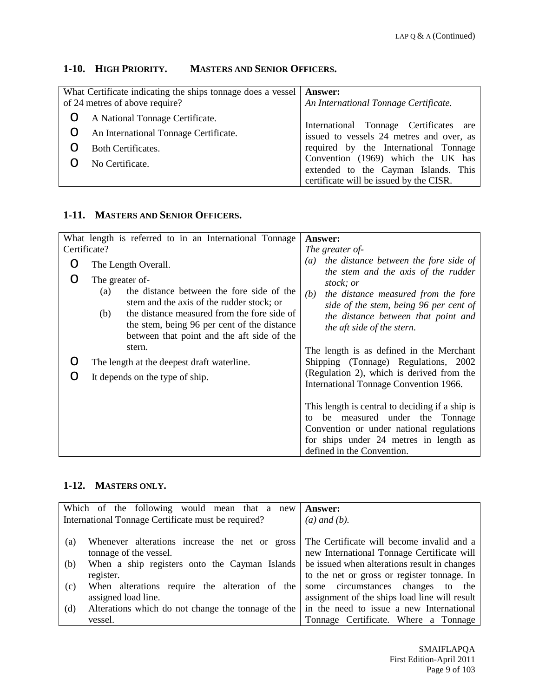# **1-10. HIGH PRIORITY. MASTERS AND SENIOR OFFICERS.**

| What Certificate indicating the ships tonnage does a vessel   Answer:<br>of 24 metres of above require? |                                       | An International Tonnage Certificate.                                      |
|---------------------------------------------------------------------------------------------------------|---------------------------------------|----------------------------------------------------------------------------|
| Ő                                                                                                       | A National Tonnage Certificate.       | International Tonnage Certificates are                                     |
| Ő                                                                                                       | An International Tonnage Certificate. | issued to vessels 24 metres and over, as                                   |
|                                                                                                         | <b>Both Certificates.</b>             | required by the International Tonnage                                      |
|                                                                                                         | No Certificate.                       | Convention (1969) which the UK has<br>extended to the Cayman Islands. This |
|                                                                                                         |                                       | certificate will be issued by the CISR.                                    |

## **1-11. MASTERS AND SENIOR OFFICERS.**

|   | What length is referred to in an International Tonnage                                                                                                    | <b>Answer:</b>                                                                                                                                                                                             |
|---|-----------------------------------------------------------------------------------------------------------------------------------------------------------|------------------------------------------------------------------------------------------------------------------------------------------------------------------------------------------------------------|
|   | Certificate?                                                                                                                                              | The greater of-                                                                                                                                                                                            |
| O | The Length Overall.                                                                                                                                       | the distance between the fore side of<br>$\left(a\right)$<br>the stem and the axis of the rudder                                                                                                           |
|   | The greater of-<br>the distance between the fore side of the<br>(a)<br>stem and the axis of the rudder stock; or                                          | stock; or<br>the distance measured from the fore<br>(b)<br>side of the stem, being 96 per cent of                                                                                                          |
|   | the distance measured from the fore side of<br>(b)<br>the stem, being 96 per cent of the distance<br>between that point and the aft side of the<br>stern. | the distance between that point and<br>the aft side of the stern.                                                                                                                                          |
|   | The length at the deepest draft waterline.                                                                                                                | The length is as defined in the Merchant<br>Shipping (Tonnage) Regulations, 2002                                                                                                                           |
|   | It depends on the type of ship.                                                                                                                           | (Regulation 2), which is derived from the<br>International Tonnage Convention 1966.                                                                                                                        |
|   |                                                                                                                                                           | This length is central to deciding if a ship is<br>be measured under the Tonnage<br>to<br>Convention or under national regulations<br>for ships under 24 metres in length as<br>defined in the Convention. |

# **1-12. MASTERS ONLY.**

|     | Which of the following would mean that a new        | <b>Answer:</b>                                |
|-----|-----------------------------------------------------|-----------------------------------------------|
|     | International Tonnage Certificate must be required? | $(a)$ and $(b)$ .                             |
|     |                                                     |                                               |
| (a) | Whenever alterations increase the net or gross      | The Certificate will become invalid and a     |
|     | tonnage of the vessel.                              | new International Tonnage Certificate will    |
| (b) | When a ship registers onto the Cayman Islands       | be issued when alterations result in changes  |
|     | register.                                           | to the net or gross or register tonnage. In   |
| (c) | When alterations require the alteration of the      | some circumstances changes<br>the<br>to       |
|     | assigned load line.                                 | assignment of the ships load line will result |
| (d) | Alterations which do not change the tonnage of the  | in the need to issue a new International      |
|     | vessel.                                             | Tonnage Certificate. Where a Tonnage          |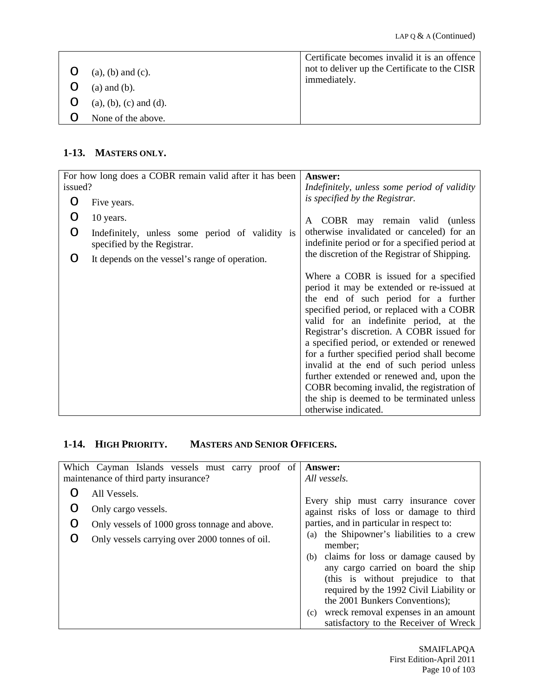|                            | Certificate becomes invalid it is an offence  |
|----------------------------|-----------------------------------------------|
| $(a)$ , $(b)$ and $(c)$ .  | not to deliver up the Certificate to the CISR |
|                            | immediately.                                  |
| $(a)$ and $(b)$ .          |                                               |
| $(a), (b), (c)$ and $(d).$ |                                               |
| None of the above.         |                                               |
|                            |                                               |

## **1-13. MASTERS ONLY.**

| For how long does a COBR remain valid after it has been |                                                                                | <b>Answer:</b>                                                                                                                                                                                                                                                                                                                                                                                                                                                                                                                                                            |
|---------------------------------------------------------|--------------------------------------------------------------------------------|---------------------------------------------------------------------------------------------------------------------------------------------------------------------------------------------------------------------------------------------------------------------------------------------------------------------------------------------------------------------------------------------------------------------------------------------------------------------------------------------------------------------------------------------------------------------------|
| issued?                                                 |                                                                                | Indefinitely, unless some period of validity                                                                                                                                                                                                                                                                                                                                                                                                                                                                                                                              |
|                                                         | Five years.                                                                    | is specified by the Registrar.                                                                                                                                                                                                                                                                                                                                                                                                                                                                                                                                            |
|                                                         | 10 years.                                                                      | COBR may remain valid (unless<br>A                                                                                                                                                                                                                                                                                                                                                                                                                                                                                                                                        |
| O                                                       | Indefinitely, unless some period of validity is<br>specified by the Registrar. | otherwise invalidated or canceled) for an<br>indefinite period or for a specified period at                                                                                                                                                                                                                                                                                                                                                                                                                                                                               |
| O                                                       | It depends on the vessel's range of operation.                                 | the discretion of the Registrar of Shipping.                                                                                                                                                                                                                                                                                                                                                                                                                                                                                                                              |
|                                                         |                                                                                | Where a COBR is issued for a specified<br>period it may be extended or re-issued at<br>the end of such period for a further<br>specified period, or replaced with a COBR<br>valid for an indefinite period, at the<br>Registrar's discretion. A COBR issued for<br>a specified period, or extended or renewed<br>for a further specified period shall become<br>invalid at the end of such period unless<br>further extended or renewed and, upon the<br>COBR becoming invalid, the registration of<br>the ship is deemed to be terminated unless<br>otherwise indicated. |

# **1-14. HIGH PRIORITY. MASTERS AND SENIOR OFFICERS.**

| Which Cayman Islands vessels must carry proof of<br>maintenance of third party insurance? | <b>Answer:</b><br>All vessels.                                                                                                                                                                         |
|-------------------------------------------------------------------------------------------|--------------------------------------------------------------------------------------------------------------------------------------------------------------------------------------------------------|
| All Vessels.<br>Only cargo vessels.                                                       | Every ship must carry insurance cover                                                                                                                                                                  |
| Only vessels of 1000 gross tonnage and above.                                             | against risks of loss or damage to third<br>parties, and in particular in respect to:<br>the Shipowner's liabilities to a crew<br>(a)                                                                  |
| Only vessels carrying over 2000 tonnes of oil.                                            | member;<br>claims for loss or damage caused by<br>(b)<br>any cargo carried on board the ship                                                                                                           |
|                                                                                           | (this is without prejudice to that<br>required by the 1992 Civil Liability or<br>the 2001 Bunkers Conventions);<br>wreck removal expenses in an amount<br>(c)<br>satisfactory to the Receiver of Wreck |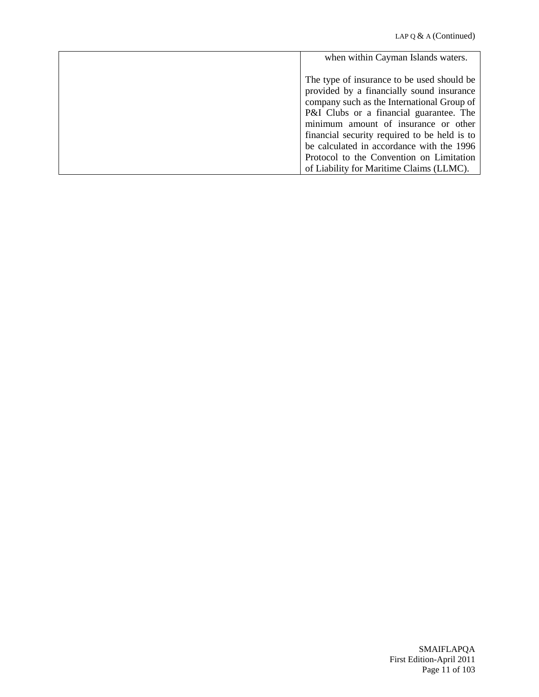| when within Cayman Islands waters.           |
|----------------------------------------------|
| The type of insurance to be used should be   |
| provided by a financially sound insurance    |
| company such as the International Group of   |
| P&I Clubs or a financial guarantee. The      |
| minimum amount of insurance or other         |
| financial security required to be held is to |
| be calculated in accordance with the 1996    |
| Protocol to the Convention on Limitation     |
| of Liability for Maritime Claims (LLMC).     |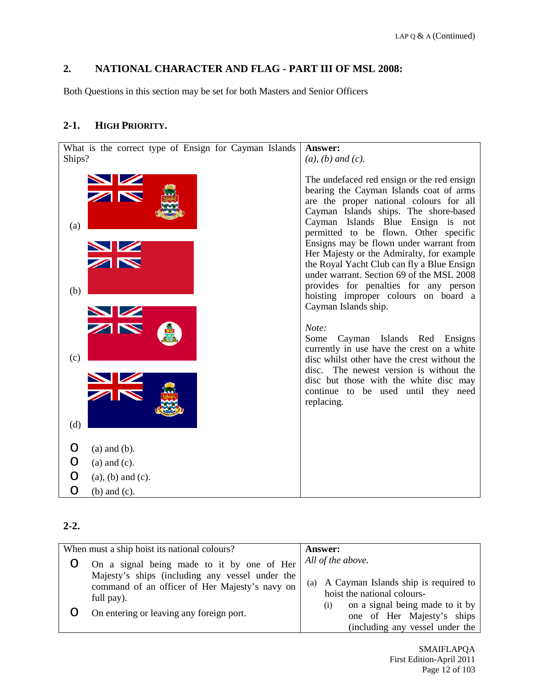# <span id="page-11-0"></span>**2. NATIONAL CHARACTER AND FLAG - PART III OF MSL 2008:**

Both Questions in this section may be set for both Masters and Senior Officers

## **2-1. HIGH PRIORITY.**

| What is the correct type of Ensign for Cayman Islands | Answer:                                                                                                                                                                                                                                                                                                                                                                                                                                                                                                                                             |
|-------------------------------------------------------|-----------------------------------------------------------------------------------------------------------------------------------------------------------------------------------------------------------------------------------------------------------------------------------------------------------------------------------------------------------------------------------------------------------------------------------------------------------------------------------------------------------------------------------------------------|
| Ships?                                                | $(a)$ , $(b)$ and $(c)$ .                                                                                                                                                                                                                                                                                                                                                                                                                                                                                                                           |
| ZN<br>(a)<br>(b)                                      | The undefaced red ensign or the red ensign<br>bearing the Cayman Islands coat of arms<br>are the proper national colours for all<br>Cayman Islands ships. The shore-based<br>Cayman Islands Blue Ensign is not<br>permitted to be flown. Other specific<br>Ensigns may be flown under warrant from<br>Her Majesty or the Admiralty, for example<br>the Royal Yacht Club can fly a Blue Ensign<br>under warrant. Section 69 of the MSL 2008<br>provides for penalties for any person<br>hoisting improper colours on board a<br>Cayman Islands ship. |
| (c)                                                   | Note:<br>Some<br>Cayman Islands Red Ensigns<br>currently in use have the crest on a white<br>disc whilst other have the crest without the                                                                                                                                                                                                                                                                                                                                                                                                           |
| (d)                                                   | disc. The newest version is without the<br>disc but those with the white disc may<br>continue to be used until they need<br>replacing.                                                                                                                                                                                                                                                                                                                                                                                                              |
| $(a)$ and $(b)$ .<br>O                                |                                                                                                                                                                                                                                                                                                                                                                                                                                                                                                                                                     |
| O<br>$(a)$ and $(c)$ .                                |                                                                                                                                                                                                                                                                                                                                                                                                                                                                                                                                                     |
| O<br>$(a)$ , $(b)$ and $(c)$ .                        |                                                                                                                                                                                                                                                                                                                                                                                                                                                                                                                                                     |
| O<br>$(b)$ and $(c)$ .                                |                                                                                                                                                                                                                                                                                                                                                                                                                                                                                                                                                     |

# **2-2.**

| When must a ship hoist its national colours?                                                                                                                  | <b>Answer:</b>                                                                                                                         |
|---------------------------------------------------------------------------------------------------------------------------------------------------------------|----------------------------------------------------------------------------------------------------------------------------------------|
| On a signal being made to it by one of Her<br>Majesty's ships (including any vessel under the<br>command of an officer of Her Majesty's navy on<br>full pay). | All of the above.<br>(a) A Cayman Islands ship is required to<br>hoist the national colours-<br>on a signal being made to it by<br>(i) |
| On entering or leaving any foreign port.                                                                                                                      | one of Her Majesty's ships<br>(including any vessel under the                                                                          |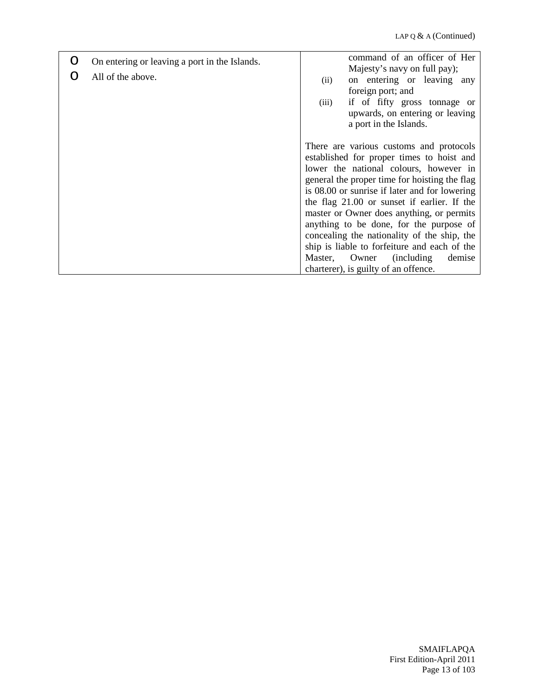| O | On entering or leaving a port in the Islands.<br>All of the above. | command of an officer of Her<br>Majesty's navy on full pay);<br>on entering or leaving any<br>(ii)<br>foreign port; and<br>if of fifty gross tonnage or<br>(iii)<br>upwards, on entering or leaving<br>a port in the Islands.                                                                                                                                                                                                                                                                                                                        |
|---|--------------------------------------------------------------------|------------------------------------------------------------------------------------------------------------------------------------------------------------------------------------------------------------------------------------------------------------------------------------------------------------------------------------------------------------------------------------------------------------------------------------------------------------------------------------------------------------------------------------------------------|
|   |                                                                    | There are various customs and protocols<br>established for proper times to hoist and<br>lower the national colours, however in<br>general the proper time for hoisting the flag<br>is 08.00 or sunrise if later and for lowering<br>the flag 21.00 or sunset if earlier. If the<br>master or Owner does anything, or permits<br>anything to be done, for the purpose of<br>concealing the nationality of the ship, the<br>ship is liable to forfeiture and each of the<br>Master, Owner (including<br>demise<br>charterer), is guilty of an offence. |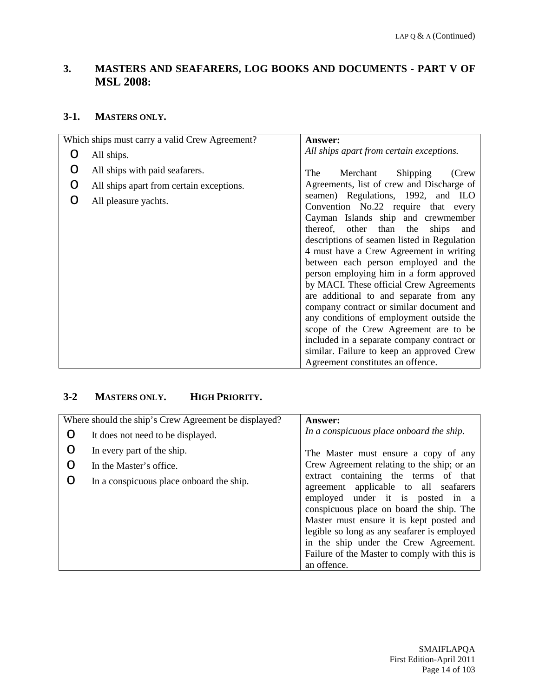# <span id="page-13-0"></span>**3. MASTERS AND SEAFARERS, LOG BOOKS AND DOCUMENTS - PART V OF MSL 2008:**

## **3-1. MASTERS ONLY.**

|   | Which ships must carry a valid Crew Agreement? | <b>Answer:</b>                                                                |
|---|------------------------------------------------|-------------------------------------------------------------------------------|
|   | All ships.                                     | All ships apart from certain exceptions.                                      |
| O | All ships with paid seafarers.                 | Merchant<br>Shipping<br>The<br>(Crew                                          |
| O | All ships apart from certain exceptions.       | Agreements, list of crew and Discharge of                                     |
| O | All pleasure yachts.                           | seamen) Regulations, 1992, and ILO<br>Convention No.22 require that every     |
|   |                                                | Cayman Islands ship and crewmember<br>thereof, other than the<br>ships<br>and |
|   |                                                | descriptions of seamen listed in Regulation                                   |
|   |                                                | 4 must have a Crew Agreement in writing                                       |
|   |                                                | between each person employed and the                                          |
|   |                                                | person employing him in a form approved                                       |
|   |                                                | by MACI. These official Crew Agreements                                       |
|   |                                                | are additional to and separate from any                                       |
|   |                                                | company contract or similar document and                                      |
|   |                                                | any conditions of employment outside the                                      |
|   |                                                | scope of the Crew Agreement are to be                                         |
|   |                                                | included in a separate company contract or                                    |
|   |                                                | similar. Failure to keep an approved Crew                                     |
|   |                                                | Agreement constitutes an offence.                                             |

## **3-2 MASTERS ONLY. HIGH PRIORITY.**

|   | Where should the ship's Crew Agreement be displayed? | <b>Answer:</b>                                                                                                                                                                                                                                                                                                                                                   |
|---|------------------------------------------------------|------------------------------------------------------------------------------------------------------------------------------------------------------------------------------------------------------------------------------------------------------------------------------------------------------------------------------------------------------------------|
| O | It does not need to be displayed.                    | In a conspicuous place onboard the ship.                                                                                                                                                                                                                                                                                                                         |
| O | In every part of the ship.                           | The Master must ensure a copy of any                                                                                                                                                                                                                                                                                                                             |
| O | In the Master's office.                              | Crew Agreement relating to the ship; or an                                                                                                                                                                                                                                                                                                                       |
| O | In a conspicuous place onboard the ship.             | extract containing the terms of that<br>agreement applicable to all seafarers<br>employed under it is posted in a<br>conspicuous place on board the ship. The<br>Master must ensure it is kept posted and<br>legible so long as any seafarer is employed<br>in the ship under the Crew Agreement.<br>Failure of the Master to comply with this is<br>an offence. |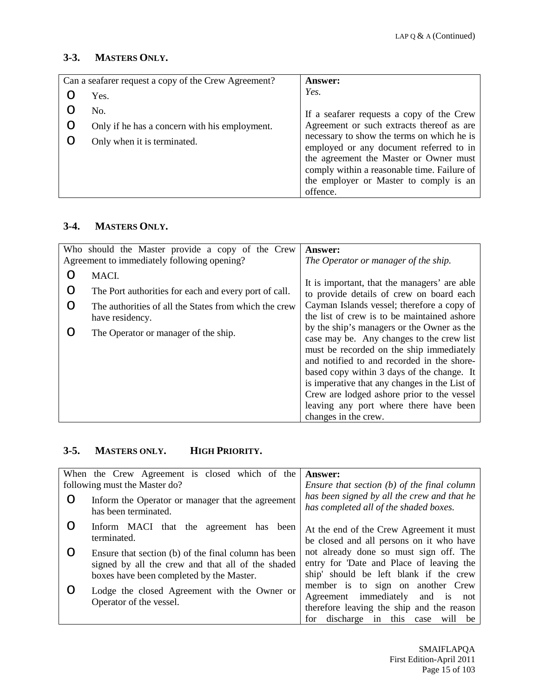## **3-3. MASTERS ONLY.**

| Can a seafarer request a copy of the Crew Agreement? | <b>Answer:</b>                                                                                                                                                                                                                       |
|------------------------------------------------------|--------------------------------------------------------------------------------------------------------------------------------------------------------------------------------------------------------------------------------------|
| Yes.                                                 | Yes.                                                                                                                                                                                                                                 |
| No.                                                  | If a seafarer requests a copy of the Crew                                                                                                                                                                                            |
| Only if he has a concern with his employment.        | Agreement or such extracts thereof as are                                                                                                                                                                                            |
| Only when it is terminated.                          | necessary to show the terms on which he is<br>employed or any document referred to in<br>the agreement the Master or Owner must<br>comply within a reasonable time. Failure of<br>the employer or Master to comply is an<br>offence. |

### **3-4. MASTERS ONLY.**

|   | Who should the Master provide a copy of the Crew      | <b>Answer:</b>                                                                           |
|---|-------------------------------------------------------|------------------------------------------------------------------------------------------|
|   | Agreement to immediately following opening?           | The Operator or manager of the ship.                                                     |
| ∩ | MACI.                                                 |                                                                                          |
| O | The Port authorities for each and every port of call. | It is important, that the managers' are able<br>to provide details of crew on board each |
| O | The authorities of all the States from which the crew | Cayman Islands vessel; therefore a copy of                                               |
|   | have residency.                                       | the list of crew is to be maintained ashore                                              |
| ∩ | The Operator or manager of the ship.                  | by the ship's managers or the Owner as the                                               |
|   |                                                       | case may be. Any changes to the crew list                                                |
|   |                                                       | must be recorded on the ship immediately                                                 |
|   |                                                       | and notified to and recorded in the shore-                                               |
|   |                                                       | based copy within 3 days of the change. It                                               |
|   |                                                       | is imperative that any changes in the List of                                            |
|   |                                                       | Crew are lodged ashore prior to the vessel                                               |
|   |                                                       | leaving any port where there have been                                                   |
|   |                                                       | changes in the crew.                                                                     |

# **3-5. MASTERS ONLY. HIGH PRIORITY.**

|     | When the Crew Agreement is closed which of the                                                                                                        | <b>Answer:</b>                                                                                                                                                 |
|-----|-------------------------------------------------------------------------------------------------------------------------------------------------------|----------------------------------------------------------------------------------------------------------------------------------------------------------------|
|     | following must the Master do?                                                                                                                         | Ensure that section $(b)$ of the final column                                                                                                                  |
| O   | Inform the Operator or manager that the agreement<br>has been terminated.                                                                             | has been signed by all the crew and that he<br>has completed all of the shaded boxes.                                                                          |
| ( ) | Inform MACI that the agreement has<br>been<br>terminated.                                                                                             | At the end of the Crew Agreement it must<br>be closed and all persons on it who have                                                                           |
| ∩   | Ensure that section (b) of the final column has been<br>signed by all the crew and that all of the shaded<br>boxes have been completed by the Master. | not already done so must sign off. The<br>entry for 'Date and Place of leaving the<br>ship' should be left blank if the crew                                   |
|     | Lodge the closed Agreement with the Owner or<br>Operator of the vessel.                                                                               | member is to sign on another Crew<br>Agreement immediately<br>and is<br>not<br>therefore leaving the ship and the reason<br>for discharge in this case will be |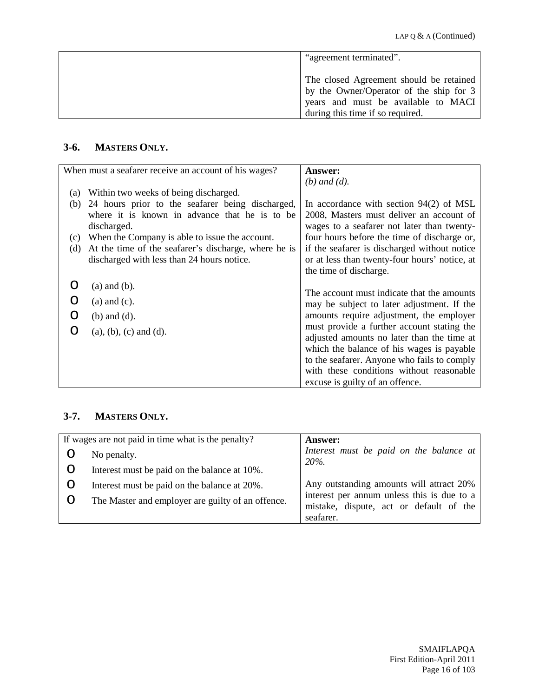| "agreement terminated".                                                                                                                                       |
|---------------------------------------------------------------------------------------------------------------------------------------------------------------|
| The closed Agreement should be retained<br>by the Owner/Operator of the ship for 3<br>years and must be available to MACI<br>during this time if so required. |

# **3-6. MASTERS ONLY.**

|     | When must a seafarer receive an account of his wages? | <b>Answer:</b>                                                                          |
|-----|-------------------------------------------------------|-----------------------------------------------------------------------------------------|
|     |                                                       | $(b)$ and $(d)$ .                                                                       |
| (a) | Within two weeks of being discharged.                 |                                                                                         |
| (b) | 24 hours prior to the seafarer being discharged,      | In accordance with section $94(2)$ of MSL                                               |
|     | where it is known in advance that he is to be         | 2008, Masters must deliver an account of                                                |
|     | discharged.                                           | wages to a seafarer not later than twenty-                                              |
| (c) | When the Company is able to issue the account.        | four hours before the time of discharge or,                                             |
| (d) | At the time of the seafarer's discharge, where he is  | if the seafarer is discharged without notice                                            |
|     | discharged with less than 24 hours notice.            | or at less than twenty-four hours' notice, at                                           |
|     |                                                       | the time of discharge.                                                                  |
|     | $(a)$ and $(b)$ .                                     |                                                                                         |
|     | $(a)$ and $(c)$ .                                     | The account must indicate that the amounts                                              |
|     |                                                       | may be subject to later adjustment. If the                                              |
|     | $(b)$ and $(d)$ .                                     | amounts require adjustment, the employer                                                |
|     | $(a), (b), (c)$ and $(d)$ .                           | must provide a further account stating the                                              |
|     |                                                       | adjusted amounts no later than the time at                                              |
|     |                                                       | which the balance of his wages is payable                                               |
|     |                                                       | to the seafarer. Anyone who fails to comply<br>with these conditions without reasonable |
|     |                                                       |                                                                                         |
|     |                                                       | excuse is guilty of an offence.                                                         |

# **3-7. MASTERS ONLY.**

| If wages are not paid in time what is the penalty? | <b>Answer:</b>                                                                                     |
|----------------------------------------------------|----------------------------------------------------------------------------------------------------|
| No penalty.                                        | Interest must be paid on the balance at<br>$20\%$ .                                                |
| Interest must be paid on the balance at 10%.       |                                                                                                    |
| Interest must be paid on the balance at 20%.       | Any outstanding amounts will attract 20%                                                           |
| The Master and employer are guilty of an offence.  | interest per annum unless this is due to a<br>mistake, dispute, act or default of the<br>seafarer. |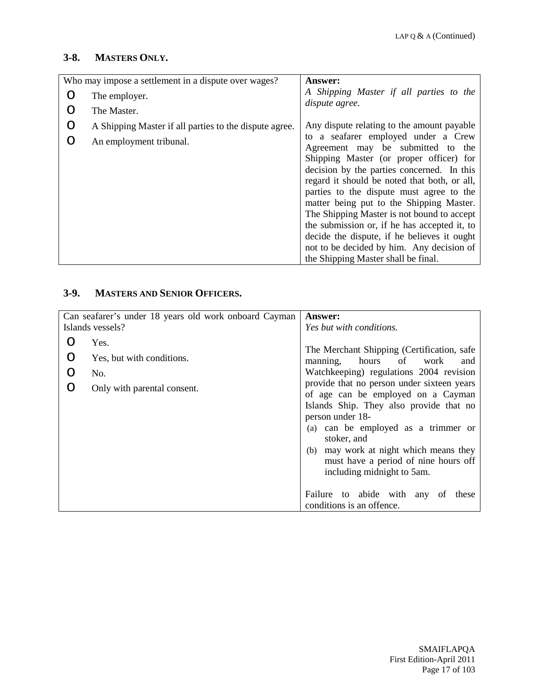## **3-8. MASTERS ONLY.**

|   | Who may impose a settlement in a dispute over wages?   | <b>Answer:</b>                                                                                                                                                                                                                                                                                                                                                                                                                                                                                         |
|---|--------------------------------------------------------|--------------------------------------------------------------------------------------------------------------------------------------------------------------------------------------------------------------------------------------------------------------------------------------------------------------------------------------------------------------------------------------------------------------------------------------------------------------------------------------------------------|
| ∩ | The employer.                                          | A Shipping Master if all parties to the                                                                                                                                                                                                                                                                                                                                                                                                                                                                |
| ∩ | The Master.                                            | dispute agree.                                                                                                                                                                                                                                                                                                                                                                                                                                                                                         |
| O | A Shipping Master if all parties to the dispute agree. | Any dispute relating to the amount payable                                                                                                                                                                                                                                                                                                                                                                                                                                                             |
| ∩ | An employment tribunal.                                | to a seafarer employed under a Crew<br>Agreement may be submitted to<br>the<br>Shipping Master (or proper officer) for<br>decision by the parties concerned. In this<br>regard it should be noted that both, or all,<br>parties to the dispute must agree to the<br>matter being put to the Shipping Master.<br>The Shipping Master is not bound to accept<br>the submission or, if he has accepted it, to<br>decide the dispute, if he believes it ought<br>not to be decided by him. Any decision of |
|   |                                                        | the Shipping Master shall be final.                                                                                                                                                                                                                                                                                                                                                                                                                                                                    |

# **3-9. MASTERS AND SENIOR OFFICERS.**

|   | Can seafarer's under 18 years old work onboard Cayman | <b>Answer:</b>                                                                                                                                                                                                                                                                                                        |
|---|-------------------------------------------------------|-----------------------------------------------------------------------------------------------------------------------------------------------------------------------------------------------------------------------------------------------------------------------------------------------------------------------|
|   | Islands vessels?                                      | Yes but with conditions.                                                                                                                                                                                                                                                                                              |
| ∩ | Yes.                                                  |                                                                                                                                                                                                                                                                                                                       |
| O | Yes, but with conditions.                             | The Merchant Shipping (Certification, safe<br>manning, hours of work<br>and                                                                                                                                                                                                                                           |
| O | No.                                                   | Watchkeeping) regulations 2004 revision                                                                                                                                                                                                                                                                               |
| ∩ | Only with parental consent.                           | provide that no person under sixteen years<br>of age can be employed on a Cayman<br>Islands Ship. They also provide that no<br>person under 18-<br>(a) can be employed as a trimmer or<br>stoker, and<br>(b) may work at night which means they<br>must have a period of nine hours off<br>including midnight to 5am. |
|   |                                                       | Failure to abide with any<br>these<br>of<br>conditions is an offence.                                                                                                                                                                                                                                                 |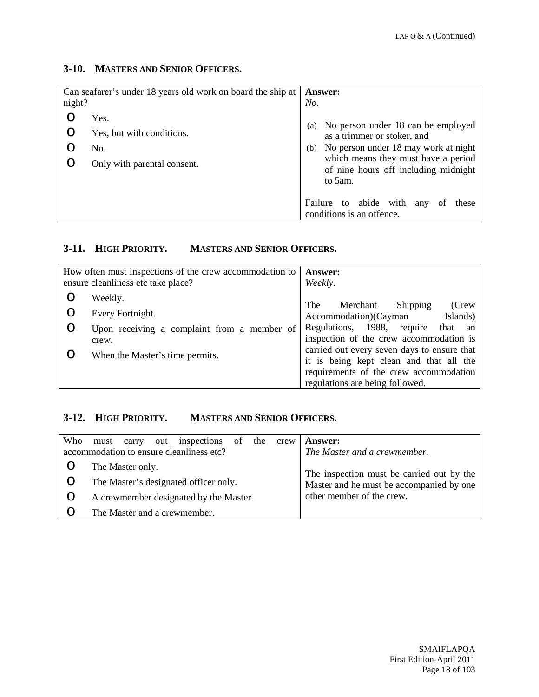### **3-10. MASTERS AND SENIOR OFFICERS.**

| night? | Can seafarer's under 18 years old work on board the ship at             | <b>Answer:</b><br>No.                                                                                                                                                                                             |
|--------|-------------------------------------------------------------------------|-------------------------------------------------------------------------------------------------------------------------------------------------------------------------------------------------------------------|
|        | Yes.<br>Yes, but with conditions.<br>No.<br>Only with parental consent. | No person under 18 can be employed<br>(a)<br>as a trimmer or stoker, and<br>No person under 18 may work at night<br>(b)<br>which means they must have a period<br>of nine hours off including midnight<br>to 5am. |
|        |                                                                         | to abide with<br>Failure<br>any<br>these<br>Οt<br>conditions is an offence.                                                                                                                                       |

# **3-11. HIGH PRIORITY. MASTERS AND SENIOR OFFICERS.**

|   | How often must inspections of the crew accommodation to | Answer:                                                                                                                                                             |
|---|---------------------------------------------------------|---------------------------------------------------------------------------------------------------------------------------------------------------------------------|
|   | ensure cleanliness etc take place?                      | Weekly.                                                                                                                                                             |
|   | Weekly.                                                 | The<br>Merchant<br>Shipping<br>(Crew                                                                                                                                |
| O | Every Fortnight.                                        | Accommodation)(Cayman<br>Islands)                                                                                                                                   |
| O | Upon receiving a complaint from a member of<br>crew.    | Regulations, 1988, require<br>that an<br>inspection of the crew accommodation is                                                                                    |
|   | When the Master's time permits.                         | carried out every seven days to ensure that<br>it is being kept clean and that all the<br>requirements of the crew accommodation<br>regulations are being followed. |

## **3-12. HIGH PRIORITY. MASTERS AND SENIOR OFFICERS.**

| Who | out inspections of the crew<br>carry<br>must<br>accommodation to ensure cleanliness etc? | <b>Answer:</b><br>The Master and a crewmember.                                        |
|-----|------------------------------------------------------------------------------------------|---------------------------------------------------------------------------------------|
|     | The Master only.                                                                         |                                                                                       |
|     | The Master's designated officer only.                                                    | The inspection must be carried out by the<br>Master and he must be accompanied by one |
|     | A crewmember designated by the Master.                                                   | other member of the crew.                                                             |
|     | The Master and a crewmember.                                                             |                                                                                       |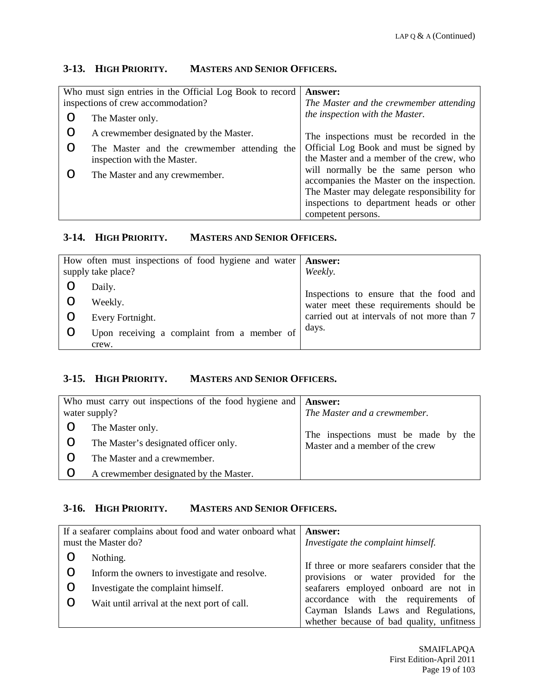## **3-13. HIGH PRIORITY. MASTERS AND SENIOR OFFICERS.**

| Who must sign entries in the Official Log Book to record |                                             | Answer:                                    |
|----------------------------------------------------------|---------------------------------------------|--------------------------------------------|
|                                                          | inspections of crew accommodation?          | The Master and the crewmember attending    |
|                                                          | The Master only.                            | the inspection with the Master.            |
|                                                          | A crewmember designated by the Master.      | The inspections must be recorded in the    |
|                                                          | The Master and the crewmember attending the | Official Log Book and must be signed by    |
|                                                          | inspection with the Master.                 | the Master and a member of the crew, who   |
|                                                          | The Master and any crewmember.              | will normally be the same person who       |
|                                                          |                                             | accompanies the Master on the inspection.  |
|                                                          |                                             | The Master may delegate responsibility for |
|                                                          |                                             | inspections to department heads or other   |
|                                                          |                                             | competent persons.                         |

#### **3-14. HIGH PRIORITY. MASTERS AND SENIOR OFFICERS.**

| How often must inspections of food hygiene and water   Answer:<br>supply take place? | Weekly.                                     |
|--------------------------------------------------------------------------------------|---------------------------------------------|
| Daily.                                                                               | Inspections to ensure that the food and     |
| Weekly.                                                                              | water meet these requirements should be     |
| Every Fortnight.                                                                     | carried out at intervals of not more than 7 |
| Upon receiving a complaint from a member of<br>crew.                                 | days.                                       |

### **3-15. HIGH PRIORITY. MASTERS AND SENIOR OFFICERS.**

| Who must carry out inspections of the food hygiene and $\vert$ <b>Answer:</b><br>water supply? | The Master and a crewmember.                                           |
|------------------------------------------------------------------------------------------------|------------------------------------------------------------------------|
| The Master only.                                                                               |                                                                        |
| The Master's designated officer only.                                                          | The inspections must be made by the<br>Master and a member of the crew |
| The Master and a crewmember.                                                                   |                                                                        |
| A crewmember designated by the Master.                                                         |                                                                        |

#### **3-16. HIGH PRIORITY. MASTERS AND SENIOR OFFICERS.**

| If a seafarer complains about food and water onboard what  <br>must the Master do? |                                               | <b>Answer:</b><br>Investigate the complaint himself.                                 |
|------------------------------------------------------------------------------------|-----------------------------------------------|--------------------------------------------------------------------------------------|
|                                                                                    | Nothing.                                      |                                                                                      |
| O                                                                                  | Inform the owners to investigate and resolve. | If three or more seafarers consider that the<br>provisions or water provided for the |
| Ő                                                                                  | Investigate the complaint himself.            | seafarers employed onboard are not in                                                |
| Ő                                                                                  | Wait until arrival at the next port of call.  | accordance with the requirements of<br>Cayman Islands Laws and Regulations,          |
|                                                                                    |                                               | whether because of bad quality, unfitness                                            |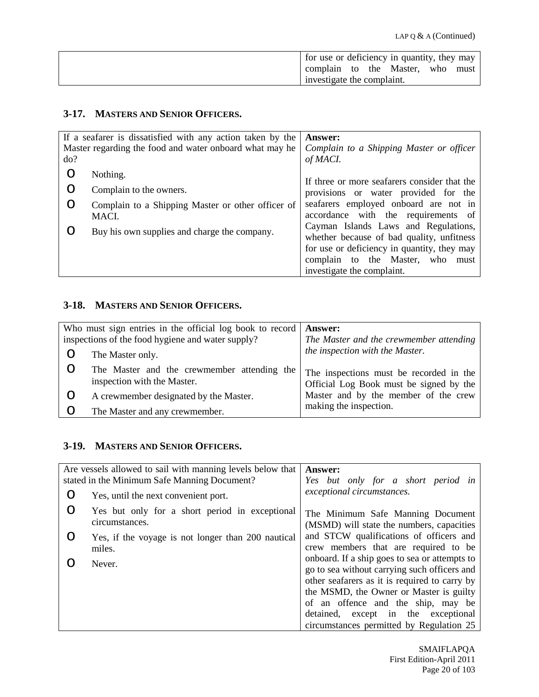| for use or deficiency in quantity, they may |  |  |      |
|---------------------------------------------|--|--|------|
| complain to the Master, who                 |  |  | must |
| investigate the complaint.                  |  |  |      |

# **3-17. MASTERS AND SENIOR OFFICERS.**

|     | If a seafarer is dissatisfied with any action taken by the | <b>Answer:</b>                                                                    |
|-----|------------------------------------------------------------|-----------------------------------------------------------------------------------|
|     | Master regarding the food and water onboard what may he    | Complain to a Shipping Master or officer                                          |
| do? |                                                            | of MACI.                                                                          |
|     | Nothing.                                                   | If three or more seafarers consider that the                                      |
|     | Complain to the owners.                                    | provisions or water provided for the                                              |
| O   | Complain to a Shipping Master or other officer of<br>MACI. | seafarers employed onboard are not in<br>accordance with the requirements of      |
|     | Buy his own supplies and charge the company.               | Cayman Islands Laws and Regulations,<br>whether because of bad quality, unfitness |
|     |                                                            | for use or deficiency in quantity, they may                                       |
|     |                                                            | complain to the Master, who must                                                  |
|     |                                                            | investigate the complaint.                                                        |

## **3-18. MASTERS AND SENIOR OFFICERS.**

| Who must sign entries in the official log book to record |                                                                            | <b>Answer:</b>                                                                     |
|----------------------------------------------------------|----------------------------------------------------------------------------|------------------------------------------------------------------------------------|
| inspections of the food hygiene and water supply?        |                                                                            | The Master and the crewmember attending                                            |
|                                                          | The Master only.                                                           | the inspection with the Master.                                                    |
|                                                          | The Master and the crewmember attending the<br>inspection with the Master. | The inspections must be recorded in the<br>Official Log Book must be signed by the |
|                                                          | A crewmember designated by the Master.                                     | Master and by the member of the crew                                               |
|                                                          | The Master and any crewmember.                                             | making the inspection.                                                             |

# **3-19. MASTERS AND SENIOR OFFICERS.**

|   | Are vessels allowed to sail with manning levels below that | Answer:                                       |
|---|------------------------------------------------------------|-----------------------------------------------|
|   | stated in the Minimum Safe Manning Document?               | Yes but only for a short period in            |
| O | Yes, until the next convenient port.                       | exceptional circumstances.                    |
| O | Yes but only for a short period in exceptional             | The Minimum Safe Manning Document             |
|   | circumstances.                                             | (MSMD) will state the numbers, capacities     |
| Ő | Yes, if the voyage is not longer than 200 nautical         | and STCW qualifications of officers and       |
|   | miles.                                                     | crew members that are required to be          |
|   | Never.                                                     | onboard. If a ship goes to sea or attempts to |
|   |                                                            | go to sea without carrying such officers and  |
|   |                                                            | other seafarers as it is required to carry by |
|   |                                                            | the MSMD, the Owner or Master is guilty       |
|   |                                                            | of an offence and the ship, may be            |
|   |                                                            | detained, except in the exceptional           |
|   |                                                            | circumstances permitted by Regulation 25      |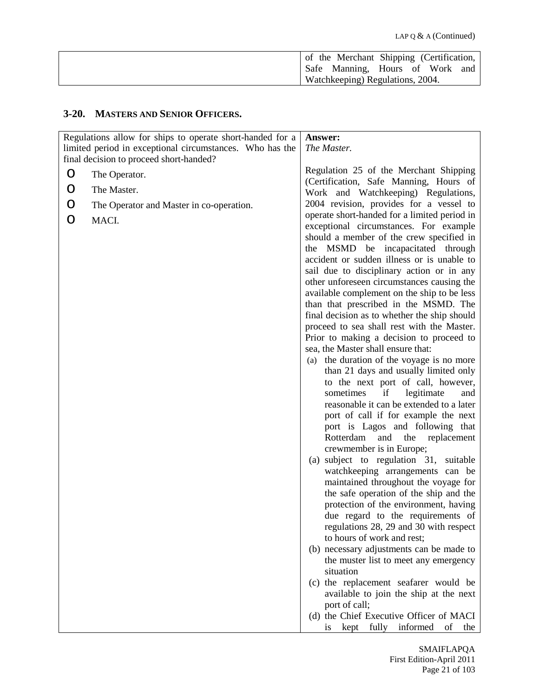|  | of the Merchant Shipping (Certification, |  |  |
|--|------------------------------------------|--|--|
|  | Safe Manning, Hours of Work and          |  |  |
|  | Watchkeeping) Regulations, 2004.         |  |  |

# **3-20. MASTERS AND SENIOR OFFICERS.**

|   | Regulations allow for ships to operate short-handed for a                                           | Answer:                                                                        |
|---|-----------------------------------------------------------------------------------------------------|--------------------------------------------------------------------------------|
|   | limited period in exceptional circumstances. Who has the<br>final decision to proceed short-handed? | The Master.                                                                    |
|   |                                                                                                     | Regulation 25 of the Merchant Shipping                                         |
| O | The Operator.                                                                                       | (Certification, Safe Manning, Hours of                                         |
| O | The Master.                                                                                         | Work and Watchkeeping) Regulations,                                            |
| O | The Operator and Master in co-operation.                                                            | 2004 revision, provides for a vessel to                                        |
|   |                                                                                                     | operate short-handed for a limited period in                                   |
| O | MACI.                                                                                               | exceptional circumstances. For example                                         |
|   |                                                                                                     | should a member of the crew specified in                                       |
|   |                                                                                                     | the MSMD be incapacitated through                                              |
|   |                                                                                                     | accident or sudden illness or is unable to                                     |
|   |                                                                                                     | sail due to disciplinary action or in any                                      |
|   |                                                                                                     | other unforeseen circumstances causing the                                     |
|   |                                                                                                     | available complement on the ship to be less                                    |
|   |                                                                                                     | than that prescribed in the MSMD. The                                          |
|   |                                                                                                     | final decision as to whether the ship should                                   |
|   |                                                                                                     | proceed to sea shall rest with the Master.                                     |
|   |                                                                                                     | Prior to making a decision to proceed to<br>sea, the Master shall ensure that: |
|   |                                                                                                     | (a) the duration of the voyage is no more                                      |
|   |                                                                                                     | than 21 days and usually limited only                                          |
|   |                                                                                                     | to the next port of call, however,                                             |
|   |                                                                                                     | sometimes<br>if<br>legitimate<br>and                                           |
|   |                                                                                                     | reasonable it can be extended to a later                                       |
|   |                                                                                                     | port of call if for example the next                                           |
|   |                                                                                                     | port is Lagos and following that                                               |
|   |                                                                                                     | Rotterdam<br>and the<br>replacement                                            |
|   |                                                                                                     | crewmember is in Europe;                                                       |
|   |                                                                                                     | (a) subject to regulation 31, suitable                                         |
|   |                                                                                                     | watchkeeping arrangements can be                                               |
|   |                                                                                                     | maintained throughout the voyage for                                           |
|   |                                                                                                     | the safe operation of the ship and the                                         |
|   |                                                                                                     | protection of the environment, having                                          |
|   |                                                                                                     | due regard to the requirements of<br>regulations 28, 29 and 30 with respect    |
|   |                                                                                                     | to hours of work and rest;                                                     |
|   |                                                                                                     | (b) necessary adjustments can be made to                                       |
|   |                                                                                                     | the muster list to meet any emergency                                          |
|   |                                                                                                     | situation                                                                      |
|   |                                                                                                     | (c) the replacement seafarer would be                                          |
|   |                                                                                                     | available to join the ship at the next                                         |
|   |                                                                                                     | port of call;                                                                  |
|   |                                                                                                     | (d) the Chief Executive Officer of MACI                                        |
|   |                                                                                                     | kept fully informed<br>of<br><i>is</i><br>the                                  |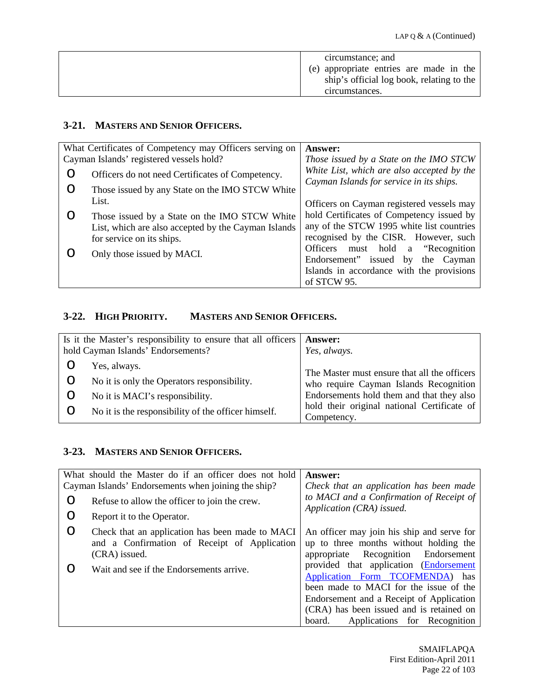| circumstance; and                                                                    |
|--------------------------------------------------------------------------------------|
| (e) appropriate entries are made in the<br>ship's official log book, relating to the |
| circumstances.                                                                       |

#### **3-21. MASTERS AND SENIOR OFFICERS.**

|                  | What Certificates of Competency may Officers serving on | <b>Answer:</b>                                                                         |
|------------------|---------------------------------------------------------|----------------------------------------------------------------------------------------|
|                  | Cayman Islands' registered vessels hold?                | Those issued by a State on the IMO STCW                                                |
| O                | Officers do not need Certificates of Competency.        | White List, which are also accepted by the<br>Cayman Islands for service in its ships. |
| O                | Those issued by any State on the IMO STCW White         |                                                                                        |
|                  | List.                                                   | Officers on Cayman registered vessels may                                              |
| $\left( \right)$ | Those issued by a State on the IMO STCW White           | hold Certificates of Competency issued by                                              |
|                  | List, which are also accepted by the Cayman Islands     | any of the STCW 1995 white list countries                                              |
|                  | for service on its ships.                               | recognised by the CISR. However, such                                                  |
|                  | Only those issued by MACI.                              | Officers must hold a "Recognition"                                                     |
|                  |                                                         | Endorsement" issued by the Cayman                                                      |
|                  |                                                         | Islands in accordance with the provisions                                              |
|                  |                                                         | of STCW 95.                                                                            |

# **3-22. HIGH PRIORITY. MASTERS AND SENIOR OFFICERS.**

| Is it the Master's responsibility to ensure that all officers<br>hold Cayman Islands' Endorsements? |                                                                                                | <b>Answer:</b><br>Yes, always.                                                                                                      |
|-----------------------------------------------------------------------------------------------------|------------------------------------------------------------------------------------------------|-------------------------------------------------------------------------------------------------------------------------------------|
| O                                                                                                   | Yes, always.<br>No it is only the Operators responsibility.<br>No it is MACI's responsibility. | The Master must ensure that all the officers<br>who require Cayman Islands Recognition<br>Endorsements hold them and that they also |
|                                                                                                     | No it is the responsibility of the officer himself.                                            | hold their original national Certificate of<br>Competency.                                                                          |

## **3-23. MASTERS AND SENIOR OFFICERS.**

|   | What should the Master do if an officer does not hold                                                            | Answer:                                                                                                                                                                                                                                               |
|---|------------------------------------------------------------------------------------------------------------------|-------------------------------------------------------------------------------------------------------------------------------------------------------------------------------------------------------------------------------------------------------|
|   | Cayman Islands' Endorsements when joining the ship?                                                              | Check that an application has been made                                                                                                                                                                                                               |
| O | Refuse to allow the officer to join the crew.                                                                    | to MACI and a Confirmation of Receipt of<br>Application (CRA) issued.                                                                                                                                                                                 |
| O | Report it to the Operator.                                                                                       |                                                                                                                                                                                                                                                       |
| O | Check that an application has been made to MACI<br>and a Confirmation of Receipt of Application<br>(CRA) issued. | An officer may join his ship and serve for<br>up to three months without holding the<br>appropriate Recognition Endorsement                                                                                                                           |
|   | Wait and see if the Endorsements arrive.                                                                         | provided that application (Endorsement<br>Application Form TCOFMENDA) has<br>been made to MACI for the issue of the<br>Endorsement and a Receipt of Application<br>(CRA) has been issued and is retained on<br>Applications for Recognition<br>board. |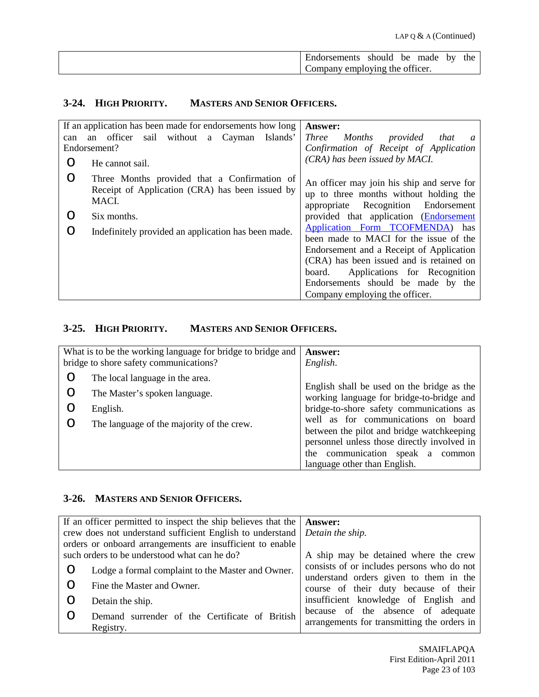| <b>Endorsements</b>            | should | be | made | bv | the |
|--------------------------------|--------|----|------|----|-----|
| Company employing the officer. |        |    |      |    |     |

# **3-24. HIGH PRIORITY. MASTERS AND SENIOR OFFICERS.**

|     | If an application has been made for endorsements how long                                                | Answer:                                                                                                                                                                                                                                                                             |
|-----|----------------------------------------------------------------------------------------------------------|-------------------------------------------------------------------------------------------------------------------------------------------------------------------------------------------------------------------------------------------------------------------------------------|
| can | sail without a Cayman<br>officer<br>Islands'<br>an                                                       | Three Months provided that<br>$\mathfrak a$                                                                                                                                                                                                                                         |
|     | Endorsement?                                                                                             | Confirmation of Receipt of Application                                                                                                                                                                                                                                              |
| ∩   | He cannot sail.                                                                                          | (CRA) has been issued by MACI.                                                                                                                                                                                                                                                      |
| O   | Three Months provided that a Confirmation of<br>Receipt of Application (CRA) has been issued by<br>MACI. | An officer may join his ship and serve for<br>up to three months without holding the<br>appropriate Recognition Endorsement                                                                                                                                                         |
| ∩   | Six months.                                                                                              | provided that application (Endorsement                                                                                                                                                                                                                                              |
| O   | Indefinitely provided an application has been made.                                                      | Application Form TCOFMENDA) has<br>been made to MACI for the issue of the<br>Endorsement and a Receipt of Application<br>(CRA) has been issued and is retained on<br>Applications for Recognition<br>board.<br>Endorsements should be made by the<br>Company employing the officer. |

### **3-25. HIGH PRIORITY. MASTERS AND SENIOR OFFICERS.**

|             | What is to be the working language for bridge to bridge and<br>bridge to shore safety communications? | Answer:<br>English.                                                                                                                                                                                    |
|-------------|-------------------------------------------------------------------------------------------------------|--------------------------------------------------------------------------------------------------------------------------------------------------------------------------------------------------------|
| O<br>O<br>O | The local language in the area.<br>The Master's spoken language.<br>English.                          | English shall be used on the bridge as the<br>working language for bridge-to-bridge and<br>bridge-to-shore safety communications as                                                                    |
| O           | The language of the majority of the crew.                                                             | well as for communications on board<br>between the pilot and bridge watchkeeping<br>personnel unless those directly involved in<br>the communication speak a<br>common<br>language other than English. |

#### **3-26. MASTERS AND SENIOR OFFICERS.**

| If an officer permitted to inspect the ship believes that the $\vert$ <b>Answer:</b><br>crew does not understand sufficient English to understand   Detain the ship.<br>orders or onboard arrangements are insufficient to enable |                                                             |                                                                                   |
|-----------------------------------------------------------------------------------------------------------------------------------------------------------------------------------------------------------------------------------|-------------------------------------------------------------|-----------------------------------------------------------------------------------|
|                                                                                                                                                                                                                                   | such orders to be understood what can he do?                | A ship may be detained where the crew                                             |
|                                                                                                                                                                                                                                   | Lodge a formal complaint to the Master and Owner.           | consists of or includes persons who do not                                        |
|                                                                                                                                                                                                                                   | Fine the Master and Owner.                                  | understand orders given to them in the<br>course of their duty because of their   |
|                                                                                                                                                                                                                                   | Detain the ship.                                            | insufficient knowledge of English and                                             |
|                                                                                                                                                                                                                                   | Demand surrender of the Certificate of British<br>Registry. | because of the absence of adequate<br>arrangements for transmitting the orders in |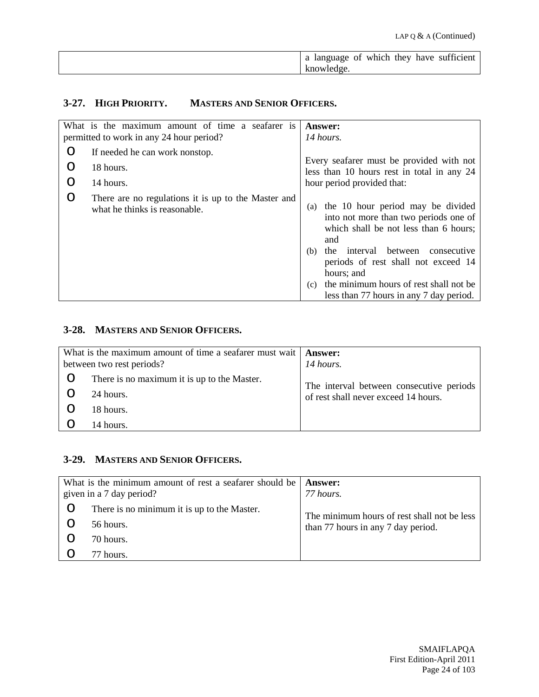| language of which they have sufficient<br>a |
|---------------------------------------------|
| knowledge.                                  |

# **3-27. HIGH PRIORITY. MASTERS AND SENIOR OFFICERS.**

|   | What is the maximum amount of time a seafarer is                                     | <b>Answer:</b>                                                                                                                                                                                                                                                                                                                      |
|---|--------------------------------------------------------------------------------------|-------------------------------------------------------------------------------------------------------------------------------------------------------------------------------------------------------------------------------------------------------------------------------------------------------------------------------------|
|   | permitted to work in any 24 hour period?                                             | 14 hours.                                                                                                                                                                                                                                                                                                                           |
| O | If needed he can work nonstop.                                                       |                                                                                                                                                                                                                                                                                                                                     |
| O | 18 hours.                                                                            | Every seafarer must be provided with not<br>less than 10 hours rest in total in any 24                                                                                                                                                                                                                                              |
| O | 14 hours.                                                                            | hour period provided that:                                                                                                                                                                                                                                                                                                          |
| O | There are no regulations it is up to the Master and<br>what he thinks is reasonable. | the 10 hour period may be divided<br>(a)<br>into not more than two periods one of<br>which shall be not less than 6 hours;<br>and<br>interval between<br>consecutive<br>the<br>(b)<br>periods of rest shall not exceed 14<br>hours; and<br>the minimum hours of rest shall not be<br>(c)<br>less than 77 hours in any 7 day period. |

#### **3-28. MASTERS AND SENIOR OFFICERS.**

| What is the maximum amount of time a seafarer must wait   <b>Answer:</b><br>between two rest periods? |                                             | 14 hours.                                |
|-------------------------------------------------------------------------------------------------------|---------------------------------------------|------------------------------------------|
| O                                                                                                     | There is no maximum it is up to the Master. | The interval between consecutive periods |
|                                                                                                       | 24 hours.                                   | of rest shall never exceed 14 hours.     |
|                                                                                                       | 18 hours.                                   |                                          |
|                                                                                                       | 14 hours.                                   |                                          |

#### **3-29. MASTERS AND SENIOR OFFICERS.**

| What is the minimum amount of rest a seafarer should be<br>given in a 7 day period? |                                             | Answer:<br>77 hours.                        |
|-------------------------------------------------------------------------------------|---------------------------------------------|---------------------------------------------|
|                                                                                     | There is no minimum it is up to the Master. | The minimum hours of rest shall not be less |
|                                                                                     | 56 hours.                                   | than 77 hours in any 7 day period.          |
|                                                                                     | 70 hours.                                   |                                             |
|                                                                                     | 77 hours.                                   |                                             |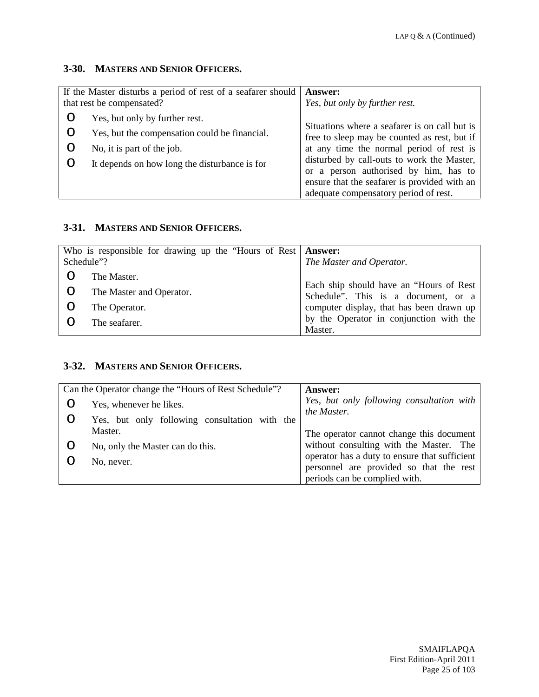### **3-30. MASTERS AND SENIOR OFFICERS.**

| If the Master disturbs a period of rest of a seafarer should   <b>Answer:</b><br>that rest be compensated? |                                                                                                                                                                | Yes, but only by further rest.                                                                                                                                                                                                                                                   |
|------------------------------------------------------------------------------------------------------------|----------------------------------------------------------------------------------------------------------------------------------------------------------------|----------------------------------------------------------------------------------------------------------------------------------------------------------------------------------------------------------------------------------------------------------------------------------|
|                                                                                                            | Yes, but only by further rest.<br>Yes, but the compensation could be financial.<br>No, it is part of the job.<br>It depends on how long the disturbance is for | Situations where a seafarer is on call but is<br>free to sleep may be counted as rest, but if<br>at any time the normal period of rest is<br>disturbed by call-outs to work the Master,<br>or a person authorised by him, has to<br>ensure that the seafarer is provided with an |
|                                                                                                            |                                                                                                                                                                | adequate compensatory period of rest.                                                                                                                                                                                                                                            |

# **3-31. MASTERS AND SENIOR OFFICERS.**

| Schedule"? | Who is responsible for drawing up the "Hours of Rest   Answer: | The Master and Operator.                                                                                                   |
|------------|----------------------------------------------------------------|----------------------------------------------------------------------------------------------------------------------------|
| O          | The Master.<br>The Master and Operator.<br>The Operator.       | Each ship should have an "Hours of Rest<br>Schedule". This is a document, or a<br>computer display, that has been drawn up |
|            | The seafarer.                                                  | by the Operator in conjunction with the<br>Master.                                                                         |

#### **3-32. MASTERS AND SENIOR OFFICERS.**

|   | Can the Operator change the "Hours of Rest Schedule"? | <b>Answer:</b>                                           |
|---|-------------------------------------------------------|----------------------------------------------------------|
|   | Yes, whenever he likes.                               | Yes, but only following consultation with<br>the Master. |
|   | Yes, but only following consultation with the         |                                                          |
|   | Master.                                               | The operator cannot change this document                 |
| O | No, only the Master can do this.                      | without consulting with the Master. The                  |
|   | No, never.                                            | operator has a duty to ensure that sufficient            |
|   |                                                       | personnel are provided so that the rest                  |
|   |                                                       | periods can be complied with.                            |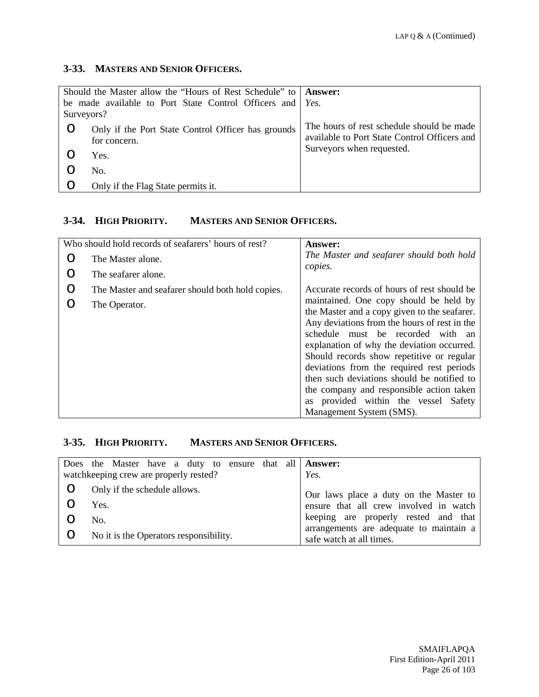## **3-33. MASTERS AND SENIOR OFFICERS.**

| Should the Master allow the "Hours of Rest Schedule" to   <b>Answer:</b> |                                                    |                                              |
|--------------------------------------------------------------------------|----------------------------------------------------|----------------------------------------------|
| be made available to Port State Control Officers and <i>Yes</i> .        |                                                    |                                              |
| Surveyors?                                                               |                                                    |                                              |
| O                                                                        | Only if the Port State Control Officer has grounds | The hours of rest schedule should be made    |
|                                                                          | for concern.                                       | available to Port State Control Officers and |
|                                                                          | Yes.                                               | Surveyors when requested.                    |
|                                                                          | No.                                                |                                              |
|                                                                          | Only if the Flag State permits it.                 |                                              |

# **3-34. HIGH PRIORITY. MASTERS AND SENIOR OFFICERS.**

|   | Who should hold records of seafarers' hours of rest? | Answer:                                                                                                                                                                                                                                                                                                                                                                                                                                                                           |
|---|------------------------------------------------------|-----------------------------------------------------------------------------------------------------------------------------------------------------------------------------------------------------------------------------------------------------------------------------------------------------------------------------------------------------------------------------------------------------------------------------------------------------------------------------------|
| ∩ | The Master alone.                                    | The Master and seafarer should both hold<br>copies.                                                                                                                                                                                                                                                                                                                                                                                                                               |
| O | The seafarer alone.                                  |                                                                                                                                                                                                                                                                                                                                                                                                                                                                                   |
| O | The Master and seafarer should both hold copies.     | Accurate records of hours of rest should be                                                                                                                                                                                                                                                                                                                                                                                                                                       |
| ∩ | The Operator.                                        | maintained. One copy should be held by<br>the Master and a copy given to the seafarer.<br>Any deviations from the hours of rest in the<br>schedule must be recorded with an<br>explanation of why the deviation occurred.<br>Should records show repetitive or regular<br>deviations from the required rest periods<br>then such deviations should be notified to<br>the company and responsible action taken<br>as provided within the vessel Safety<br>Management System (SMS). |

## **3-35. HIGH PRIORITY. MASTERS AND SENIOR OFFICERS.**

| Does the Master have a duty to ensure that all <b>Answer:</b> |                                                                     |
|---------------------------------------------------------------|---------------------------------------------------------------------|
| watchkeeping crew are properly rested?                        | Yes.                                                                |
| Only if the schedule allows.                                  | Our laws place a duty on the Master to                              |
| Yes.                                                          | ensure that all crew involved in watch                              |
| No.                                                           | keeping are properly rested and that                                |
| No it is the Operators responsibility.                        | arrangements are adequate to maintain a<br>safe watch at all times. |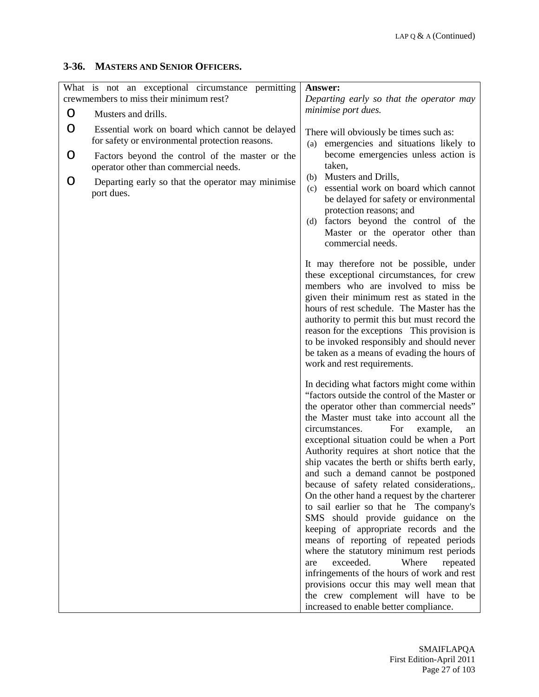# **3-36. MASTERS AND SENIOR OFFICERS.**

|   | What is not an exceptional circumstance permitting<br>crewmembers to miss their minimum rest?      | Answer:<br>Departing early so that the operator may                                                                                                                                                                                                                                                                                                                                                                                                                                                                                                                                                                                                                                                                                                                                                                                                                                                                                                          |  |  |
|---|----------------------------------------------------------------------------------------------------|--------------------------------------------------------------------------------------------------------------------------------------------------------------------------------------------------------------------------------------------------------------------------------------------------------------------------------------------------------------------------------------------------------------------------------------------------------------------------------------------------------------------------------------------------------------------------------------------------------------------------------------------------------------------------------------------------------------------------------------------------------------------------------------------------------------------------------------------------------------------------------------------------------------------------------------------------------------|--|--|
| O | Musters and drills.                                                                                | minimise port dues.                                                                                                                                                                                                                                                                                                                                                                                                                                                                                                                                                                                                                                                                                                                                                                                                                                                                                                                                          |  |  |
| O | Essential work on board which cannot be delayed<br>for safety or environmental protection reasons. | There will obviously be times such as:<br>emergencies and situations likely to<br>(a)                                                                                                                                                                                                                                                                                                                                                                                                                                                                                                                                                                                                                                                                                                                                                                                                                                                                        |  |  |
| O | Factors beyond the control of the master or the<br>operator other than commercial needs.           | become emergencies unless action is<br>taken,<br>Musters and Drills,<br>(b)                                                                                                                                                                                                                                                                                                                                                                                                                                                                                                                                                                                                                                                                                                                                                                                                                                                                                  |  |  |
| O | Departing early so that the operator may minimise<br>port dues.                                    | essential work on board which cannot<br>(c)<br>be delayed for safety or environmental<br>protection reasons; and<br>factors beyond the control of the<br>(d)<br>Master or the operator other than<br>commercial needs.                                                                                                                                                                                                                                                                                                                                                                                                                                                                                                                                                                                                                                                                                                                                       |  |  |
|   |                                                                                                    | It may therefore not be possible, under<br>these exceptional circumstances, for crew<br>members who are involved to miss be<br>given their minimum rest as stated in the<br>hours of rest schedule. The Master has the<br>authority to permit this but must record the<br>reason for the exceptions This provision is<br>to be invoked responsibly and should never<br>be taken as a means of evading the hours of<br>work and rest requirements.                                                                                                                                                                                                                                                                                                                                                                                                                                                                                                            |  |  |
|   |                                                                                                    | In deciding what factors might come within<br>"factors outside the control of the Master or<br>the operator other than commercial needs"<br>the Master must take into account all the<br>circumstances.<br>For<br>example,<br>an<br>exceptional situation could be when a Port<br>Authority requires at short notice that the<br>ship vacates the berth or shifts berth early,<br>and such a demand cannot be postponed<br>because of safety related considerations,.<br>On the other hand a request by the charterer<br>to sail earlier so that he The company's<br>SMS should provide guidance on the<br>keeping of appropriate records and the<br>means of reporting of repeated periods<br>where the statutory minimum rest periods<br>exceeded.<br>Where<br>repeated<br>are<br>infringements of the hours of work and rest<br>provisions occur this may well mean that<br>the crew complement will have to be<br>increased to enable better compliance. |  |  |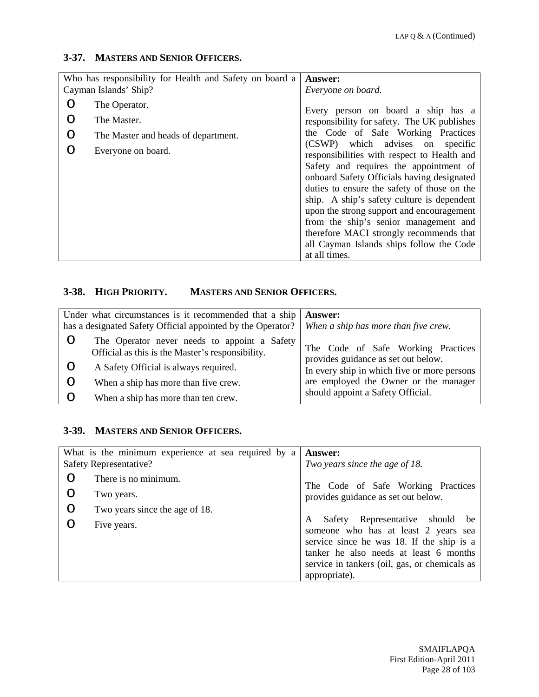#### **3-37. MASTERS AND SENIOR OFFICERS.**

|                       | Who has responsibility for Health and Safety on board a | Answer:                                                                         |
|-----------------------|---------------------------------------------------------|---------------------------------------------------------------------------------|
| Cayman Islands' Ship? |                                                         | Everyone on board.                                                              |
| ∩                     | The Operator.                                           | Every person on board a ship has a                                              |
| O                     | The Master.                                             | responsibility for safety. The UK publishes                                     |
| O                     | The Master and heads of department.                     | the Code of Safe Working Practices                                              |
| ∩                     | Everyone on board.                                      | (CSWP) which advises on specific<br>responsibilities with respect to Health and |
|                       |                                                         | Safety and requires the appointment of                                          |
|                       |                                                         | onboard Safety Officials having designated                                      |
|                       |                                                         | duties to ensure the safety of those on the                                     |
|                       |                                                         | ship. A ship's safety culture is dependent                                      |
|                       |                                                         | upon the strong support and encouragement                                       |
|                       |                                                         | from the ship's senior management and                                           |
|                       |                                                         | therefore MACI strongly recommends that                                         |
|                       |                                                         | all Cayman Islands ships follow the Code                                        |
|                       |                                                         | at all times.                                                                   |

# **3-38. HIGH PRIORITY. MASTERS AND SENIOR OFFICERS.**

| Under what circumstances is it recommended that a ship<br>has a designated Safety Official appointed by the Operator? |                                                                                                  | Answer:<br>When a ship has more than five crew.                           |
|-----------------------------------------------------------------------------------------------------------------------|--------------------------------------------------------------------------------------------------|---------------------------------------------------------------------------|
|                                                                                                                       | The Operator never needs to appoint a Safety<br>Official as this is the Master's responsibility. | The Code of Safe Working Practices<br>provides guidance as set out below. |
|                                                                                                                       | A Safety Official is always required.                                                            | In every ship in which five or more persons                               |
|                                                                                                                       | When a ship has more than five crew.                                                             | are employed the Owner or the manager                                     |
|                                                                                                                       | When a ship has more than ten crew.                                                              | should appoint a Safety Official.                                         |

#### **3-39. MASTERS AND SENIOR OFFICERS.**

|         | What is the minimum experience at sea required by a | Answer:                                                                                                                                                                                                                                  |
|---------|-----------------------------------------------------|------------------------------------------------------------------------------------------------------------------------------------------------------------------------------------------------------------------------------------------|
|         | Safety Representative?                              | Two years since the age of 18.                                                                                                                                                                                                           |
| O       | There is no minimum.                                | The Code of Safe Working Practices                                                                                                                                                                                                       |
| O       | Two years.                                          | provides guidance as set out below.                                                                                                                                                                                                      |
| $\circ$ | Two years since the age of 18.                      |                                                                                                                                                                                                                                          |
| ∩       | Five years.                                         | Safety Representative should<br>A<br>be<br>someone who has at least 2 years sea<br>service since he was 18. If the ship is a<br>tanker he also needs at least 6 months<br>service in tankers (oil, gas, or chemicals as<br>appropriate). |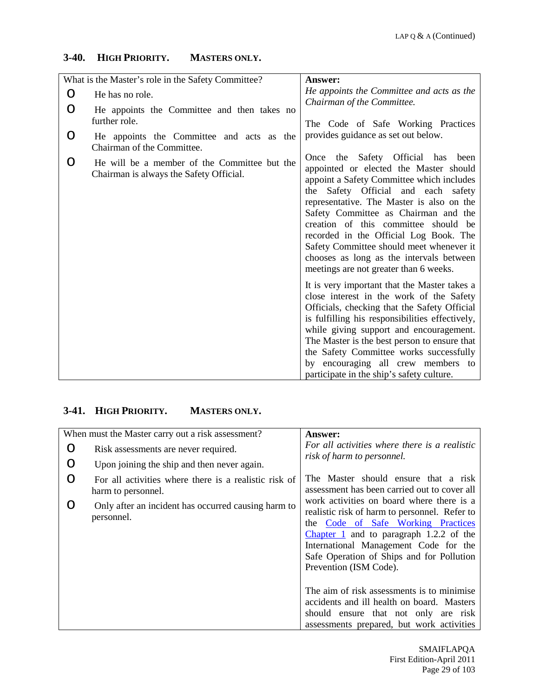## **3-40. HIGH PRIORITY. MASTERS ONLY.**

|         | What is the Master's role in the Safety Committee?                                      | <b>Answer:</b>                                                                                                                                                                                                                                                                                                                                                                                                                                                           |
|---------|-----------------------------------------------------------------------------------------|--------------------------------------------------------------------------------------------------------------------------------------------------------------------------------------------------------------------------------------------------------------------------------------------------------------------------------------------------------------------------------------------------------------------------------------------------------------------------|
| $\circ$ | He has no role.                                                                         | He appoints the Committee and acts as the                                                                                                                                                                                                                                                                                                                                                                                                                                |
| O       | He appoints the Committee and then takes no<br>further role.                            | Chairman of the Committee.<br>The Code of Safe Working Practices                                                                                                                                                                                                                                                                                                                                                                                                         |
| O       | He appoints the Committee and acts as the<br>Chairman of the Committee.                 | provides guidance as set out below.                                                                                                                                                                                                                                                                                                                                                                                                                                      |
| O       | He will be a member of the Committee but the<br>Chairman is always the Safety Official. | Once the Safety Official has been<br>appointed or elected the Master should<br>appoint a Safety Committee which includes<br>the Safety Official and each safety<br>representative. The Master is also on the<br>Safety Committee as Chairman and the<br>creation of this committee should be<br>recorded in the Official Log Book. The<br>Safety Committee should meet whenever it<br>chooses as long as the intervals between<br>meetings are not greater than 6 weeks. |
|         |                                                                                         | It is very important that the Master takes a<br>close interest in the work of the Safety<br>Officials, checking that the Safety Official<br>is fulfilling his responsibilities effectively,<br>while giving support and encouragement.<br>The Master is the best person to ensure that<br>the Safety Committee works successfully<br>by encouraging all crew members to<br>participate in the ship's safety culture.                                                     |

# **3-41. HIGH PRIORITY. MASTERS ONLY.**

| When must the Master carry out a risk assessment? |                                                                             | Answer:                                                                                                                                                                                                                                                                                       |
|---------------------------------------------------|-----------------------------------------------------------------------------|-----------------------------------------------------------------------------------------------------------------------------------------------------------------------------------------------------------------------------------------------------------------------------------------------|
| O                                                 | Risk assessments are never required.                                        | For all activities where there is a realistic<br>risk of harm to personnel.                                                                                                                                                                                                                   |
| O                                                 | Upon joining the ship and then never again.                                 |                                                                                                                                                                                                                                                                                               |
| O                                                 | For all activities where there is a realistic risk of<br>harm to personnel. | The Master should ensure that a risk<br>assessment has been carried out to cover all                                                                                                                                                                                                          |
| ∩                                                 | Only after an incident has occurred causing harm to<br>personnel.           | work activities on board where there is a<br>realistic risk of harm to personnel. Refer to<br>the Code of Safe Working Practices<br>Chapter 1 and to paragraph $1.2.2$ of the<br>International Management Code for the<br>Safe Operation of Ships and for Pollution<br>Prevention (ISM Code). |
|                                                   |                                                                             | The aim of risk assessments is to minimise.<br>accidents and ill health on board. Masters<br>should ensure that not only are risk<br>assessments prepared, but work activities                                                                                                                |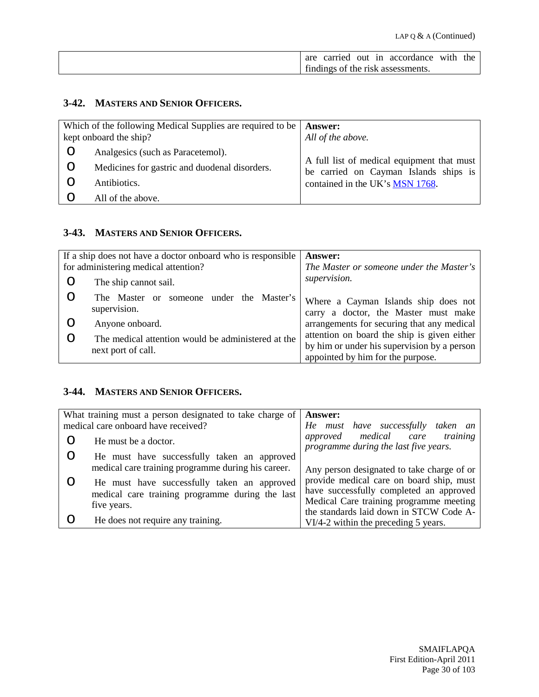| are | carried | out in | accordance                        | with | the |
|-----|---------|--------|-----------------------------------|------|-----|
|     |         |        | findings of the risk assessments. |      |     |

# **3-42. MASTERS AND SENIOR OFFICERS.**

|   | Which of the following Medical Supplies are required to be   Answer:<br>kept onboard the ship? | All of the above.                                                                   |
|---|------------------------------------------------------------------------------------------------|-------------------------------------------------------------------------------------|
| Ő | Analgesics (such as Paracetemol).                                                              |                                                                                     |
| O | Medicines for gastric and duodenal disorders.                                                  | A full list of medical equipment that must<br>be carried on Cayman Islands ships is |
|   | Antibiotics.                                                                                   | contained in the UK's MSN 1768.                                                     |
|   | All of the above.                                                                              |                                                                                     |

## **3-43. MASTERS AND SENIOR OFFICERS.**

|   | If a ship does not have a doctor onboard who is responsible              | Answer:                                                                                                                         |
|---|--------------------------------------------------------------------------|---------------------------------------------------------------------------------------------------------------------------------|
|   | for administering medical attention?                                     | The Master or someone under the Master's                                                                                        |
| Ő | The ship cannot sail.                                                    | supervision.                                                                                                                    |
|   | someone under the Master's<br>The Master<br>- or<br>supervision.         | Where a Cayman Islands ship does not<br>carry a doctor, the Master must make                                                    |
|   | Anyone onboard.                                                          | arrangements for securing that any medical                                                                                      |
|   | The medical attention would be administered at the<br>next port of call. | attention on board the ship is given either<br>by him or under his supervision by a person<br>appointed by him for the purpose. |

#### **3-44. MASTERS AND SENIOR OFFICERS.**

|                                     | What training must a person designated to take charge of                                                      | Answer:                                                                                                                                                                                                                 |
|-------------------------------------|---------------------------------------------------------------------------------------------------------------|-------------------------------------------------------------------------------------------------------------------------------------------------------------------------------------------------------------------------|
| medical care onboard have received? |                                                                                                               | He must have successfully taken an                                                                                                                                                                                      |
|                                     | He must be a doctor.                                                                                          | approved medical care<br>training<br>programme during the last five years.                                                                                                                                              |
|                                     | He must have successfully taken an approved<br>medical care training programme during his career.             |                                                                                                                                                                                                                         |
|                                     | He must have successfully taken an approved<br>medical care training programme during the last<br>five years. | Any person designated to take charge of or<br>provide medical care on board ship, must<br>have successfully completed an approved<br>Medical Care training programme meeting<br>the standards laid down in STCW Code A- |
|                                     | He does not require any training.                                                                             | VI/4-2 within the preceding 5 years.                                                                                                                                                                                    |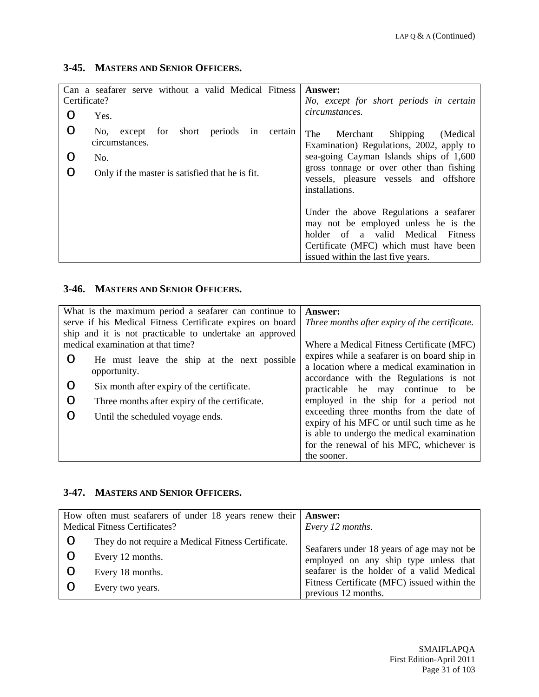# **3-45. MASTERS AND SENIOR OFFICERS.**

|   | Can a seafarer serve without a valid Medical Fitness                     | Answer:                                                                                                                                                                                                |
|---|--------------------------------------------------------------------------|--------------------------------------------------------------------------------------------------------------------------------------------------------------------------------------------------------|
|   | Certificate?                                                             | No, except for short periods in certain                                                                                                                                                                |
| ∩ | Yes.                                                                     | circumstances.                                                                                                                                                                                         |
| O | periods in<br>for<br>short<br>certain<br>No.<br>except<br>circumstances. | The<br>Merchant<br>Shipping<br>(Medical)<br>Examination) Regulations, 2002, apply to                                                                                                                   |
| O | No.                                                                      | sea-going Cayman Islands ships of 1,600                                                                                                                                                                |
| ∩ | Only if the master is satisfied that he is fit.                          | gross tonnage or over other than fishing<br>vessels, pleasure vessels and offshore<br>installations.                                                                                                   |
|   |                                                                          | Under the above Regulations a seafarer<br>may not be employed unless he is the<br>of a valid Medical Fitness<br>holder<br>Certificate (MFC) which must have been<br>issued within the last five years. |

# **3-46. MASTERS AND SENIOR OFFICERS.**

|                                                           | What is the maximum period a seafarer can continue to   | <b>Answer:</b>                                |
|-----------------------------------------------------------|---------------------------------------------------------|-----------------------------------------------|
| serve if his Medical Fitness Certificate expires on board |                                                         | Three months after expiry of the certificate. |
|                                                           | ship and it is not practicable to undertake an approved |                                               |
|                                                           | medical examination at that time?                       | Where a Medical Fitness Certificate (MFC)     |
| O                                                         | He must leave the ship at the next possible             | expires while a seafarer is on board ship in  |
|                                                           | opportunity.                                            | a location where a medical examination in     |
|                                                           |                                                         | accordance with the Regulations is not        |
| O                                                         | Six month after expiry of the certificate.              | practicable he may continue to be             |
| O                                                         | Three months after expiry of the certificate.           | employed in the ship for a period not         |
|                                                           | Until the scheduled voyage ends.                        | exceeding three months from the date of       |
|                                                           |                                                         | expiry of his MFC or until such time as he    |
|                                                           |                                                         | is able to undergo the medical examination    |
|                                                           |                                                         | for the renewal of his MFC, whichever is      |
|                                                           |                                                         | the sooner.                                   |

## **3-47. MASTERS AND SENIOR OFFICERS.**

|   | How often must seafarers of under 18 years renew their   <b>Answer:</b><br><b>Medical Fitness Certificates?</b> | Every 12 months.                                                   |
|---|-----------------------------------------------------------------------------------------------------------------|--------------------------------------------------------------------|
| O | They do not require a Medical Fitness Certificate.                                                              | Seafarers under 18 years of age may not be                         |
|   | Every 12 months.                                                                                                | employed on any ship type unless that                              |
|   | Every 18 months.                                                                                                | seafarer is the holder of a valid Medical                          |
|   | Every two years.                                                                                                | Fitness Certificate (MFC) issued within the<br>previous 12 months. |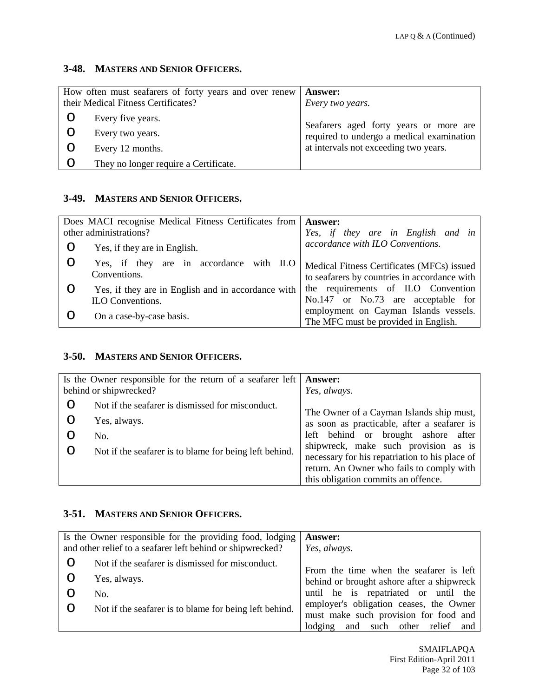#### **3-48. MASTERS AND SENIOR OFFICERS.**

|   | How often must seafarers of forty years and over renew<br>their Medical Fitness Certificates? | <b>Answer:</b><br>Every two years.                                                  |
|---|-----------------------------------------------------------------------------------------------|-------------------------------------------------------------------------------------|
|   | Every five years.                                                                             |                                                                                     |
|   | Every two years.                                                                              | Seafarers aged forty years or more are<br>required to undergo a medical examination |
|   | Every 12 months.                                                                              | at intervals not exceeding two years.                                               |
| O | They no longer require a Certificate.                                                         |                                                                                     |

### **3-49. MASTERS AND SENIOR OFFICERS.**

|   | Does MACI recognise Medical Fitness Certificates from                  | Answer:                                                                                    |
|---|------------------------------------------------------------------------|--------------------------------------------------------------------------------------------|
|   | other administrations?                                                 | Yes, if they are in English and in                                                         |
| O | Yes, if they are in English.                                           | accordance with ILO Conventions.                                                           |
| O | Yes, if they are in accordance with ILO<br>Conventions.                | Medical Fitness Certificates (MFCs) issued<br>to seafarers by countries in accordance with |
|   | Yes, if they are in English and in accordance with<br>ILO Conventions. | the requirements of ILO Convention<br>No.147 or No.73 are acceptable for                   |
|   | On a case-by-case basis.                                               | employment on Cayman Islands vessels.<br>The MFC must be provided in English.              |

#### **3-50. MASTERS AND SENIOR OFFICERS.**

| Is the Owner responsible for the return of a seafarer left  <br>behind or shipwrecked? |                                                        | <b>Answer:</b>                                                                         |
|----------------------------------------------------------------------------------------|--------------------------------------------------------|----------------------------------------------------------------------------------------|
|                                                                                        |                                                        | Yes, always.                                                                           |
| O                                                                                      | Not if the seafarer is dismissed for misconduct.       | The Owner of a Cayman Islands ship must,                                               |
| O                                                                                      | Yes, always.                                           | as soon as practicable, after a seafarer is                                            |
|                                                                                        | No.                                                    | left behind or brought ashore after                                                    |
|                                                                                        | Not if the seafarer is to blame for being left behind. | shipwreck, make such provision as is<br>necessary for his repatriation to his place of |
|                                                                                        |                                                        | return. An Owner who fails to comply with                                              |
|                                                                                        |                                                        | this obligation commits an offence.                                                    |

#### **3-51. MASTERS AND SENIOR OFFICERS.**

|   | Is the Owner responsible for the providing food, lodging   | Answer:                                    |
|---|------------------------------------------------------------|--------------------------------------------|
|   | and other relief to a seafarer left behind or shipwrecked? | Yes, always.                               |
| O | Not if the seafarer is dismissed for misconduct.           | From the time when the seafarer is left    |
| O | Yes, always.                                               | behind or brought ashore after a shipwreck |
|   | No.                                                        | until he is repatriated or until the       |
| O | Not if the seafarer is to blame for being left behind.     | employer's obligation ceases, the Owner    |
|   |                                                            | must make such provision for food and      |
|   |                                                            | lodging and such other relief and          |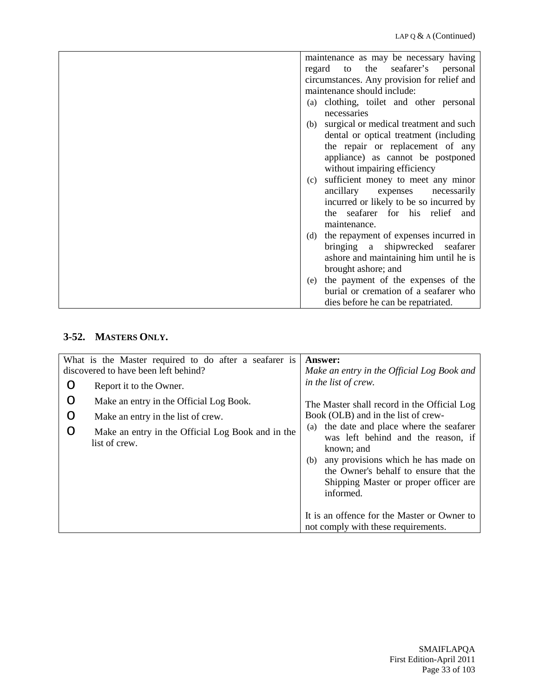| maintenance as may be necessary having        |
|-----------------------------------------------|
| the<br>seafarer's personal<br>regard<br>to    |
| circumstances. Any provision for relief and   |
| maintenance should include:                   |
| (a) clothing, toilet and other personal       |
| necessaries                                   |
| surgical or medical treatment and such<br>(b) |
| dental or optical treatment (including        |
| the repair or replacement of any              |
| appliance) as cannot be postponed             |
| without impairing efficiency                  |
| sufficient money to meet any minor<br>(c)     |
| ancillary<br>necessarily<br>expenses          |
| incurred or likely to be so incurred by       |
| the seafarer for his relief and               |
| maintenance.                                  |
| (d) the repayment of expenses incurred in     |
| bringing a shipwrecked seafarer               |
| ashore and maintaining him until he is        |
| brought ashore; and                           |
| the payment of the expenses of the<br>(e)     |
| burial or cremation of a seafarer who         |
| dies before he can be repatriated.            |

# **3-52. MASTERS ONLY.**

|   | What is the Master required to do after a seafarer is<br>discovered to have been left behind? | <b>Answer:</b><br>Make an entry in the Official Log Book and                                                                                                                                                                                  |
|---|-----------------------------------------------------------------------------------------------|-----------------------------------------------------------------------------------------------------------------------------------------------------------------------------------------------------------------------------------------------|
| O | Report it to the Owner.                                                                       | in the list of crew.                                                                                                                                                                                                                          |
| O | Make an entry in the Official Log Book.                                                       | The Master shall record in the Official Log                                                                                                                                                                                                   |
| O | Make an entry in the list of crew.                                                            | Book (OLB) and in the list of crew-                                                                                                                                                                                                           |
| O | Make an entry in the Official Log Book and in the<br>list of crew.                            | the date and place where the seafarer<br>(a)<br>was left behind and the reason, if<br>known; and<br>any provisions which he has made on<br>(b)<br>the Owner's behalf to ensure that the<br>Shipping Master or proper officer are<br>informed. |
|   |                                                                                               | It is an offence for the Master or Owner to<br>not comply with these requirements.                                                                                                                                                            |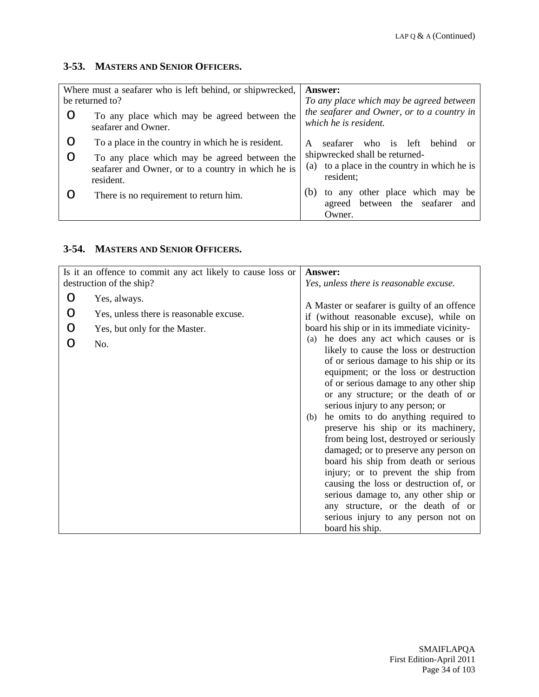# **3-53. MASTERS AND SENIOR OFFICERS.**

| Where must a seafarer who is left behind, or shipwrecked,<br>be returned to? |                                                                                                                 | <b>Answer:</b><br>To any place which may be agreed between                                  |
|------------------------------------------------------------------------------|-----------------------------------------------------------------------------------------------------------------|---------------------------------------------------------------------------------------------|
|                                                                              | To any place which may be agreed between the<br>seafarer and Owner.                                             | the seafarer and Owner, or to a country in<br>which he is resident.                         |
|                                                                              | To a place in the country in which he is resident.                                                              | who is left<br><b>behind</b><br>seafarer<br>A<br>0r                                         |
|                                                                              | To any place which may be agreed between the<br>seafarer and Owner, or to a country in which he is<br>resident. | shipwrecked shall be returned-<br>(a) to a place in the country in which he is<br>resident; |
|                                                                              | There is no requirement to return him.                                                                          | to any other place which may be<br>(b)<br>agreed between the seafarer<br>and<br>Owner.      |

# **3-54. MASTERS AND SENIOR OFFICERS.**

| Is it an offence to commit any act likely to cause loss or |                                                                                                 | Answer:                                                                                                                                                                                                                                                                                                                                                                                                                                                                                                                                                                                                                                                                                                                                                                              |
|------------------------------------------------------------|-------------------------------------------------------------------------------------------------|--------------------------------------------------------------------------------------------------------------------------------------------------------------------------------------------------------------------------------------------------------------------------------------------------------------------------------------------------------------------------------------------------------------------------------------------------------------------------------------------------------------------------------------------------------------------------------------------------------------------------------------------------------------------------------------------------------------------------------------------------------------------------------------|
|                                                            | destruction of the ship?                                                                        | Yes, unless there is reasonable excuse.                                                                                                                                                                                                                                                                                                                                                                                                                                                                                                                                                                                                                                                                                                                                              |
| O<br>O<br>O                                                | Yes, always.<br>Yes, unless there is reasonable excuse.<br>Yes, but only for the Master.<br>No. | A Master or seafarer is guilty of an offence<br>if (without reasonable excuse), while on<br>board his ship or in its immediate vicinity-<br>he does any act which causes or is<br>(a)<br>likely to cause the loss or destruction<br>of or serious damage to his ship or its<br>equipment; or the loss or destruction<br>of or serious damage to any other ship<br>or any structure; or the death of or<br>serious injury to any person; or<br>he omits to do anything required to<br>(b)<br>preserve his ship or its machinery,<br>from being lost, destroyed or seriously<br>damaged; or to preserve any person on<br>board his ship from death or serious<br>injury; or to prevent the ship from<br>causing the loss or destruction of, or<br>serious damage to, any other ship or |
|                                                            |                                                                                                 | any structure, or the death of or<br>serious injury to any person not on<br>board his ship.                                                                                                                                                                                                                                                                                                                                                                                                                                                                                                                                                                                                                                                                                          |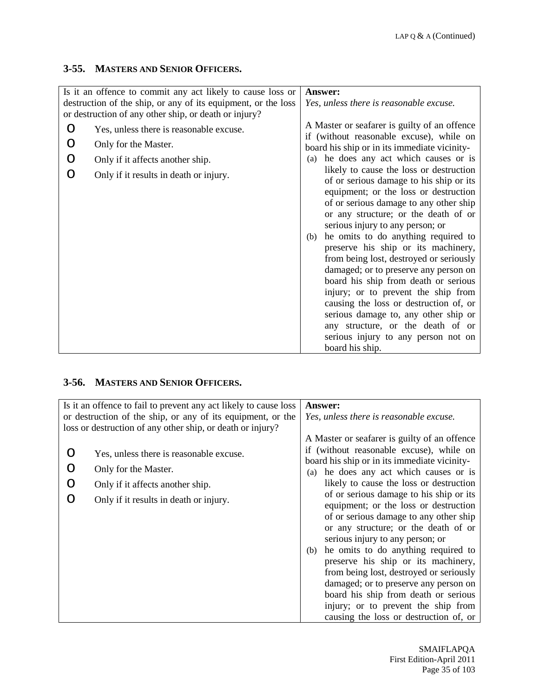## **3-55. MASTERS AND SENIOR OFFICERS.**

| Yes, unless there is reasonable excuse.                                                                                                                                                                                                                                                                                                                                                                                                                                                                                                                                                                                                                                                    |
|--------------------------------------------------------------------------------------------------------------------------------------------------------------------------------------------------------------------------------------------------------------------------------------------------------------------------------------------------------------------------------------------------------------------------------------------------------------------------------------------------------------------------------------------------------------------------------------------------------------------------------------------------------------------------------------------|
|                                                                                                                                                                                                                                                                                                                                                                                                                                                                                                                                                                                                                                                                                            |
|                                                                                                                                                                                                                                                                                                                                                                                                                                                                                                                                                                                                                                                                                            |
| A Master or seafarer is guilty of an offence<br>if (without reasonable excuse), while on                                                                                                                                                                                                                                                                                                                                                                                                                                                                                                                                                                                                   |
| board his ship or in its immediate vicinity-                                                                                                                                                                                                                                                                                                                                                                                                                                                                                                                                                                                                                                               |
| he does any act which causes or is<br>(a)                                                                                                                                                                                                                                                                                                                                                                                                                                                                                                                                                                                                                                                  |
| likely to cause the loss or destruction<br>of or serious damage to his ship or its<br>equipment; or the loss or destruction<br>of or serious damage to any other ship<br>or any structure; or the death of or<br>serious injury to any person; or<br>he omits to do anything required to<br>(b)<br>preserve his ship or its machinery,<br>from being lost, destroyed or seriously<br>damaged; or to preserve any person on<br>board his ship from death or serious<br>injury; or to prevent the ship from<br>causing the loss or destruction of, or<br>serious damage to, any other ship or<br>any structure, or the death of or<br>serious injury to any person not on<br>board his ship. |
|                                                                                                                                                                                                                                                                                                                                                                                                                                                                                                                                                                                                                                                                                            |

#### **3-56. MASTERS AND SENIOR OFFICERS.**

|   | Is it an offence to fail to prevent any act likely to cause loss<br>or destruction of the ship, or any of its equipment, or the<br>loss or destruction of any other ship, or death or injury? | Answer:<br>Yes, unless there is reasonable excuse.                                                                                                                                                                                                                                                                                                                                                                                                                                                                                                                                                                                                                                                                                           |
|---|-----------------------------------------------------------------------------------------------------------------------------------------------------------------------------------------------|----------------------------------------------------------------------------------------------------------------------------------------------------------------------------------------------------------------------------------------------------------------------------------------------------------------------------------------------------------------------------------------------------------------------------------------------------------------------------------------------------------------------------------------------------------------------------------------------------------------------------------------------------------------------------------------------------------------------------------------------|
| O | Yes, unless there is reasonable excuse.<br>Only for the Master.<br>Only if it affects another ship.<br>Only if it results in death or injury.                                                 | A Master or seafarer is guilty of an offence<br>if (without reasonable excuse), while on<br>board his ship or in its immediate vicinity-<br>he does any act which causes or is<br>(a)<br>likely to cause the loss or destruction<br>of or serious damage to his ship or its<br>equipment; or the loss or destruction<br>of or serious damage to any other ship<br>or any structure; or the death of or<br>serious injury to any person; or<br>he omits to do anything required to<br>(b)<br>preserve his ship or its machinery,<br>from being lost, destroyed or seriously<br>damaged; or to preserve any person on<br>board his ship from death or serious<br>injury; or to prevent the ship from<br>causing the loss or destruction of, or |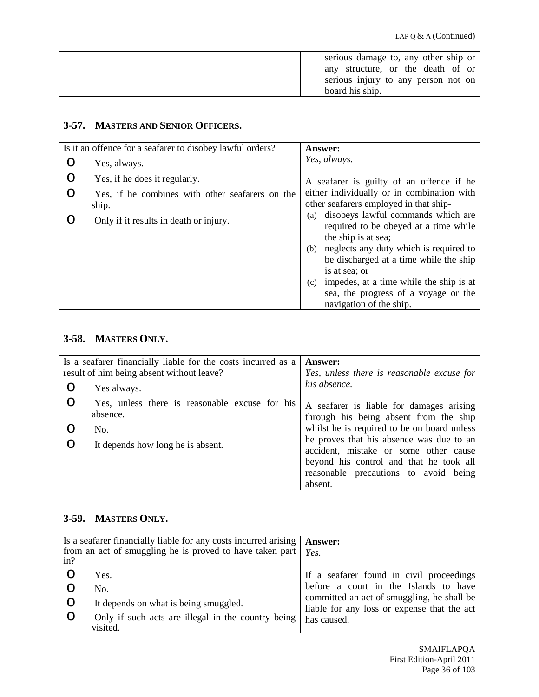| serious damage to, any other ship or |
|--------------------------------------|
| any structure, or the death of or    |
| serious injury to any person not on  |
| board his ship.                      |

# **3-57. MASTERS AND SENIOR OFFICERS.**

|         | Is it an offence for a seafarer to disobey lawful orders? | Answer:                                                                                                           |
|---------|-----------------------------------------------------------|-------------------------------------------------------------------------------------------------------------------|
| O       | Yes, always.                                              | Yes, always.                                                                                                      |
| O       | Yes, if he does it regularly.                             | A seafarer is guilty of an offence if he                                                                          |
| $\circ$ | Yes, if he combines with other seafarers on the<br>ship.  | either individually or in combination with<br>other seafarers employed in that ship-                              |
|         | Only if it results in death or injury.                    | disobeys lawful commands which are<br>(a)<br>required to be obeyed at a time while<br>the ship is at sea;         |
|         |                                                           | neglects any duty which is required to<br>(b)<br>be discharged at a time while the ship<br>is at sea; or          |
|         |                                                           | impedes, at a time while the ship is at<br>(c)<br>sea, the progress of a voyage or the<br>navigation of the ship. |

## **3-58. MASTERS ONLY.**

|   | Is a seafarer financially liable for the costs incurred as a<br>result of him being absent without leave? | <b>Answer:</b><br>Yes, unless there is reasonable excuse for                       |
|---|-----------------------------------------------------------------------------------------------------------|------------------------------------------------------------------------------------|
|   |                                                                                                           |                                                                                    |
| O | Yes always.                                                                                               | his absence.                                                                       |
| O | Yes, unless there is reasonable excuse for his<br>absence.                                                | A seafarer is liable for damages arising<br>through his being absent from the ship |
|   | No.                                                                                                       | whilst he is required to be on board unless                                        |
| O | It depends how long he is absent.                                                                         | he proves that his absence was due to an<br>accident, mistake or some other cause  |
|   |                                                                                                           | beyond his control and that he took all                                            |
|   |                                                                                                           | reasonable precautions to avoid being                                              |
|   |                                                                                                           | absent.                                                                            |

# **3-59. MASTERS ONLY.**

| Is a seafarer financially liable for any costs incurred arising<br>from an act of smuggling he is proved to have taken part<br>in? | <b>Answer:</b><br>Yes.                                                                                                                                                                        |
|------------------------------------------------------------------------------------------------------------------------------------|-----------------------------------------------------------------------------------------------------------------------------------------------------------------------------------------------|
| Yes.<br>No.<br>It depends on what is being smuggled.<br>O<br>Only if such acts are illegal in the country being<br>visited.        | If a seafarer found in civil proceedings<br>before a court in the Islands to have<br>committed an act of smuggling, he shall be<br>liable for any loss or expense that the act<br>has caused. |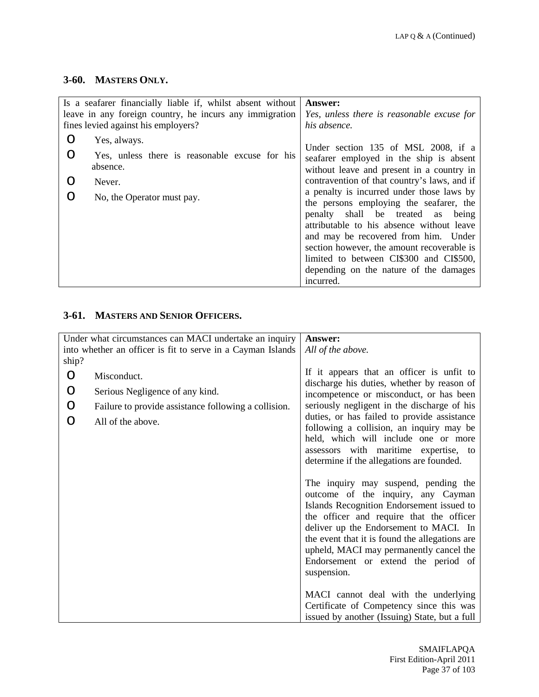#### **3-60. MASTERS ONLY.**

|   | Is a seafarer financially liable if, whilst absent without | <b>Answer:</b>                                                                 |
|---|------------------------------------------------------------|--------------------------------------------------------------------------------|
|   | leave in any foreign country, he incurs any immigration    | Yes, unless there is reasonable excuse for                                     |
|   | fines levied against his employers?                        | his absence.                                                                   |
| ∩ | Yes, always.                                               |                                                                                |
| ∩ | Yes, unless there is reasonable excuse for his             | Under section 135 of MSL 2008, if a<br>seafarer employed in the ship is absent |
|   | absence.                                                   | without leave and present in a country in                                      |
|   | Never.                                                     | contravention of that country's laws, and if                                   |
|   | No, the Operator must pay.                                 | a penalty is incurred under those laws by                                      |
|   |                                                            | the persons employing the seafarer, the                                        |
|   |                                                            | penalty shall be treated as<br>being                                           |
|   |                                                            | attributable to his absence without leave                                      |
|   |                                                            | and may be recovered from him. Under                                           |
|   |                                                            | section however, the amount recoverable is                                     |
|   |                                                            | limited to between CI\$300 and CI\$500,                                        |
|   |                                                            | depending on the nature of the damages                                         |
|   |                                                            | incurred.                                                                      |

#### **3-61. MASTERS AND SENIOR OFFICERS.**

| Under what circumstances can MACI undertake an inquiry      |                                                      | Answer:                                                                                                                                                                                                                                                                                                                                                          |
|-------------------------------------------------------------|------------------------------------------------------|------------------------------------------------------------------------------------------------------------------------------------------------------------------------------------------------------------------------------------------------------------------------------------------------------------------------------------------------------------------|
| into whether an officer is fit to serve in a Cayman Islands |                                                      | All of the above.                                                                                                                                                                                                                                                                                                                                                |
| ship?                                                       |                                                      |                                                                                                                                                                                                                                                                                                                                                                  |
| O                                                           | Misconduct.                                          | If it appears that an officer is unfit to                                                                                                                                                                                                                                                                                                                        |
| O                                                           | Serious Negligence of any kind.                      | discharge his duties, whether by reason of<br>incompetence or misconduct, or has been                                                                                                                                                                                                                                                                            |
| O                                                           | Failure to provide assistance following a collision. | seriously negligent in the discharge of his                                                                                                                                                                                                                                                                                                                      |
| O                                                           | All of the above.                                    | duties, or has failed to provide assistance<br>following a collision, an inquiry may be                                                                                                                                                                                                                                                                          |
|                                                             |                                                      | held, which will include one or more                                                                                                                                                                                                                                                                                                                             |
|                                                             |                                                      | assessors with maritime expertise, to                                                                                                                                                                                                                                                                                                                            |
|                                                             |                                                      | determine if the allegations are founded.                                                                                                                                                                                                                                                                                                                        |
|                                                             |                                                      | The inquiry may suspend, pending the<br>outcome of the inquiry, any Cayman<br>Islands Recognition Endorsement issued to<br>the officer and require that the officer<br>deliver up the Endorsement to MACI. In<br>the event that it is found the allegations are<br>upheld, MACI may permanently cancel the<br>Endorsement or extend the period of<br>suspension. |
|                                                             |                                                      | MACI cannot deal with the underlying<br>Certificate of Competency since this was                                                                                                                                                                                                                                                                                 |
|                                                             |                                                      | issued by another (Issuing) State, but a full                                                                                                                                                                                                                                                                                                                    |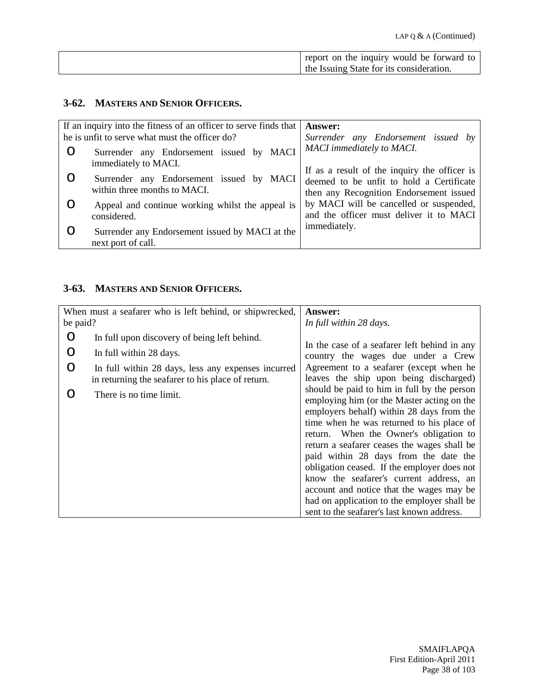| report on the inquiry would be forward to |
|-------------------------------------------|
| the Issuing State for its consideration.  |

#### **3-62. MASTERS AND SENIOR OFFICERS.**

| If an inquiry into the fitness of an officer to serve finds that         | <b>Answer:</b>                                                                                                                      |
|--------------------------------------------------------------------------|-------------------------------------------------------------------------------------------------------------------------------------|
| he is unfit to serve what must the officer do?                           | Surrender any Endorsement issued by                                                                                                 |
| Surrender any Endorsement issued by MACI<br>immediately to MACI.         | <b>MACI</b> immediately to MACI.                                                                                                    |
| Surrender any Endorsement issued by MACI<br>within three months to MACI. | If as a result of the inquiry the officer is<br>deemed to be unfit to hold a Certificate<br>then any Recognition Endorsement issued |
| Appeal and continue working whilst the appeal is<br>considered.          | by MACI will be cancelled or suspended,<br>and the officer must deliver it to MACI                                                  |
| Surrender any Endorsement issued by MACI at the<br>next port of call.    | immediately.                                                                                                                        |

## **3-63. MASTERS AND SENIOR OFFICERS.**

| When must a seafarer who is left behind, or shipwrecked, |                                                                                                         | <b>Answer:</b>                                                                                                                                                                                                                                                                                                                                                                                                                                                                                                                                           |
|----------------------------------------------------------|---------------------------------------------------------------------------------------------------------|----------------------------------------------------------------------------------------------------------------------------------------------------------------------------------------------------------------------------------------------------------------------------------------------------------------------------------------------------------------------------------------------------------------------------------------------------------------------------------------------------------------------------------------------------------|
| be paid?                                                 |                                                                                                         | In full within 28 days.                                                                                                                                                                                                                                                                                                                                                                                                                                                                                                                                  |
| ∩                                                        | In full upon discovery of being left behind.                                                            |                                                                                                                                                                                                                                                                                                                                                                                                                                                                                                                                                          |
|                                                          | In full within 28 days.                                                                                 | In the case of a seafarer left behind in any<br>country the wages due under a Crew                                                                                                                                                                                                                                                                                                                                                                                                                                                                       |
| O                                                        | In full within 28 days, less any expenses incurred<br>in returning the seafarer to his place of return. | Agreement to a seafarer (except when he<br>leaves the ship upon being discharged)                                                                                                                                                                                                                                                                                                                                                                                                                                                                        |
| ∩                                                        | There is no time limit.                                                                                 | should be paid to him in full by the person<br>employing him (or the Master acting on the<br>employers behalf) within 28 days from the<br>time when he was returned to his place of<br>return. When the Owner's obligation to<br>return a seafarer ceases the wages shall be<br>paid within 28 days from the date the<br>obligation ceased. If the employer does not<br>know the seafarer's current address, an<br>account and notice that the wages may be<br>had on application to the employer shall be<br>sent to the seafarer's last known address. |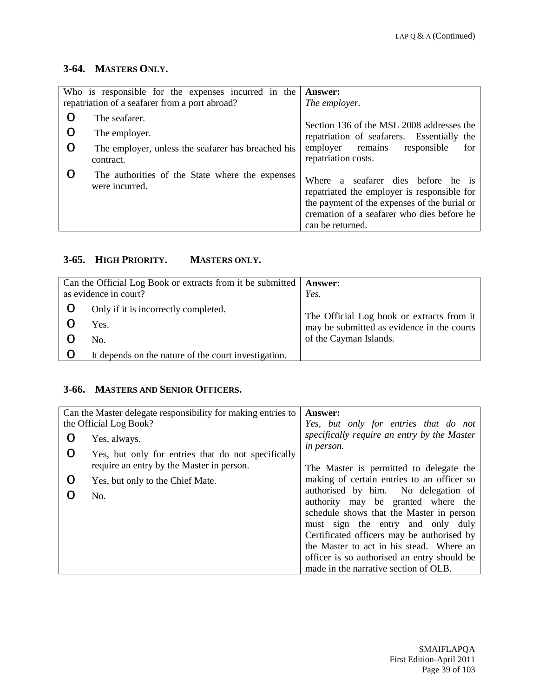#### **3-64. MASTERS ONLY.**

|   | Who is responsible for the expenses incurred in the               | <b>Answer:</b>                                                                                                                                                                                         |
|---|-------------------------------------------------------------------|--------------------------------------------------------------------------------------------------------------------------------------------------------------------------------------------------------|
|   | repatriation of a seafarer from a port abroad?                    | The employer.                                                                                                                                                                                          |
| ∩ | The seafarer.                                                     | Section 136 of the MSL 2008 addresses the                                                                                                                                                              |
| O | The employer.                                                     | repatriation of seafarers. Essentially the                                                                                                                                                             |
| O | The employer, unless the seafarer has breached his<br>contract.   | remains<br>employer<br>responsible<br>for<br>repatriation costs.                                                                                                                                       |
|   | The authorities of the State where the expenses<br>were incurred. | a seafarer dies before he is<br>Where<br>repatriated the employer is responsible for<br>the payment of the expenses of the burial or<br>cremation of a seafarer who dies before he<br>can be returned. |

# **3-65. HIGH PRIORITY. MASTERS ONLY.**

| Can the Official Log Book or extracts from it be submitted   Answer:<br>as evidence in court? | Yes.                                                                                                              |
|-----------------------------------------------------------------------------------------------|-------------------------------------------------------------------------------------------------------------------|
| Only if it is incorrectly completed.<br>Yes.<br>No.                                           | The Official Log book or extracts from it<br>may be submitted as evidence in the courts<br>of the Cayman Islands. |
| It depends on the nature of the court investigation.                                          |                                                                                                                   |

#### **3-66. MASTERS AND SENIOR OFFICERS.**

|   | Can the Master delegate responsibility for making entries to | <b>Answer:</b>                                                            |
|---|--------------------------------------------------------------|---------------------------------------------------------------------------|
|   | the Official Log Book?                                       | Yes, but only for entries that do not                                     |
| O | Yes, always.                                                 | specifically require an entry by the Master<br>in person.                 |
| O | Yes, but only for entries that do not specifically           |                                                                           |
|   | require an entry by the Master in person.                    | The Master is permitted to delegate the                                   |
| O | Yes, but only to the Chief Mate.                             | making of certain entries to an officer so                                |
|   | No.                                                          | authorised by him. No delegation of<br>authority may be granted where the |
|   |                                                              | schedule shows that the Master in person                                  |
|   |                                                              | must sign the entry and only duly                                         |
|   |                                                              | Certificated officers may be authorised by                                |
|   |                                                              | the Master to act in his stead. Where an                                  |
|   |                                                              | officer is so authorised an entry should be                               |
|   |                                                              | made in the narrative section of OLB.                                     |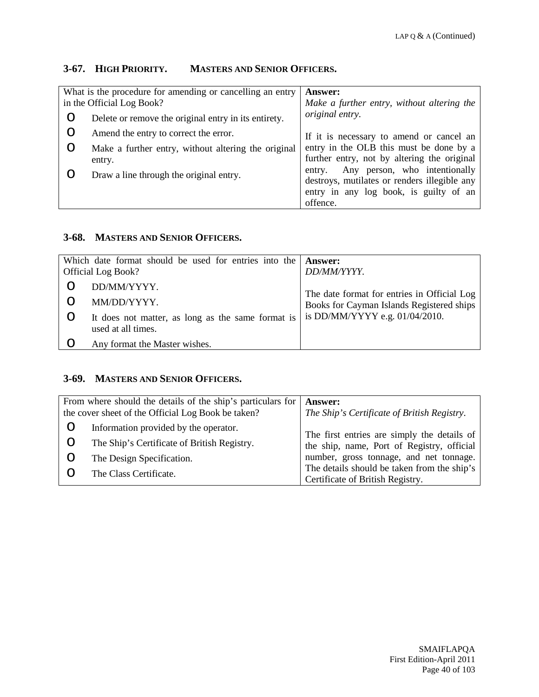#### **3-67. HIGH PRIORITY. MASTERS AND SENIOR OFFICERS.**

| What is the procedure for amending or cancelling an entry<br>in the Official Log Book? |                                                               | <b>Answer:</b><br>Make a further entry, without altering the                                                                                  |
|----------------------------------------------------------------------------------------|---------------------------------------------------------------|-----------------------------------------------------------------------------------------------------------------------------------------------|
|                                                                                        | Delete or remove the original entry in its entirety.          | original entry.                                                                                                                               |
|                                                                                        | Amend the entry to correct the error.                         | If it is necessary to amend or cancel an                                                                                                      |
|                                                                                        | Make a further entry, without altering the original<br>entry. | entry in the OLB this must be done by a<br>further entry, not by altering the original                                                        |
|                                                                                        | Draw a line through the original entry.                       | Any person, who intentionally<br>entry.<br>destroys, mutilates or renders illegible any<br>entry in any log book, is guilty of an<br>offence. |

#### **3-68. MASTERS AND SENIOR OFFICERS.**

| Which date format should be used for entries into the                                                          | <b>Answer:</b>                              |
|----------------------------------------------------------------------------------------------------------------|---------------------------------------------|
| <b>Official Log Book?</b>                                                                                      | DD/MM/YYYY.                                 |
| DD/MM/YYYY.                                                                                                    | The date format for entries in Official Log |
| MM/DD/YYYY.                                                                                                    | Books for Cayman Islands Registered ships   |
| It does not matter, as long as the same format is $\vert$ is DD/MM/YYYY e.g. 01/04/2010.<br>used at all times. |                                             |
| Any format the Master wishes.                                                                                  |                                             |

#### **3-69. MASTERS AND SENIOR OFFICERS.**

|   | From where should the details of the ship's particulars for<br>the cover sheet of the Official Log Book be taken? | <b>Answer:</b><br>The Ship's Certificate of British Registry.                   |
|---|-------------------------------------------------------------------------------------------------------------------|---------------------------------------------------------------------------------|
| O | Information provided by the operator.                                                                             | The first entries are simply the details of                                     |
| O | The Ship's Certificate of British Registry.                                                                       | the ship, name, Port of Registry, official                                      |
|   | The Design Specification.                                                                                         | number, gross tonnage, and net tonnage.                                         |
|   | The Class Certificate.                                                                                            | The details should be taken from the ship's<br>Certificate of British Registry. |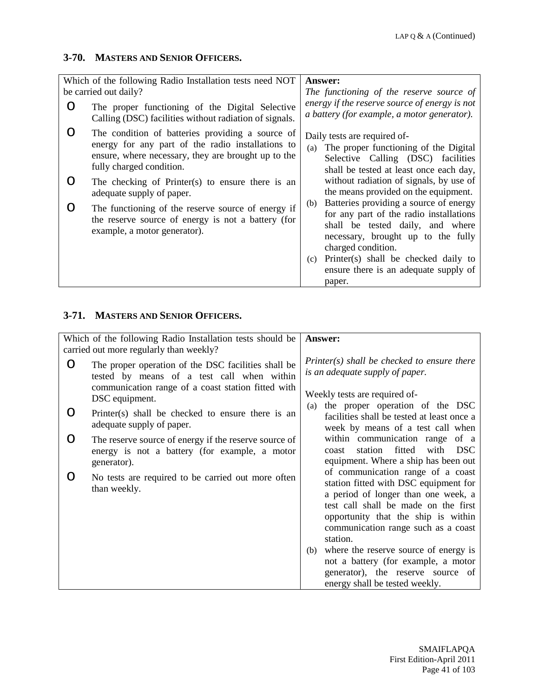#### **3-70. MASTERS AND SENIOR OFFICERS.**

| Which of the following Radio Installation tests need NOT                                                                                                                                 | <b>Answer:</b>                                                                                                                                                                                                                          |
|------------------------------------------------------------------------------------------------------------------------------------------------------------------------------------------|-----------------------------------------------------------------------------------------------------------------------------------------------------------------------------------------------------------------------------------------|
| be carried out daily?<br>The proper functioning of the Digital Selective<br>Calling (DSC) facilities without radiation of signals.                                                       | The functioning of the reserve source of<br>energy if the reserve source of energy is not<br>a battery (for example, a motor generator).                                                                                                |
| The condition of batteries providing a source of<br>energy for any part of the radio installations to<br>ensure, where necessary, they are brought up to the<br>fully charged condition. | Daily tests are required of-<br>The proper functioning of the Digital<br>(a)<br>Selective Calling (DSC) facilities<br>shall be tested at least once each day,                                                                           |
| The checking of Printer(s) to ensure there is an<br>adequate supply of paper.                                                                                                            | without radiation of signals, by use of<br>the means provided on the equipment.                                                                                                                                                         |
| The functioning of the reserve source of energy if<br>the reserve source of energy is not a battery (for<br>example, a motor generator).                                                 | Batteries providing a source of energy<br>(b)<br>for any part of the radio installations<br>shall be tested daily, and where<br>necessary, brought up to the fully<br>charged condition.<br>Printer(s) shall be checked daily to<br>(c) |
|                                                                                                                                                                                          | ensure there is an adequate supply of<br>paper.                                                                                                                                                                                         |

#### **3-71. MASTERS AND SENIOR OFFICERS.**

|   | Which of the following Radio Installation tests should be<br>carried out more regularly than weekly?                                                                      | Answer:                                                                                                                                                                                                                                             |
|---|---------------------------------------------------------------------------------------------------------------------------------------------------------------------------|-----------------------------------------------------------------------------------------------------------------------------------------------------------------------------------------------------------------------------------------------------|
| O | The proper operation of the DSC facilities shall be<br>tested by means of a test call when within<br>communication range of a coast station fitted with<br>DSC equipment. | $P\text{rinter}(s)$ shall be checked to ensure there<br>is an adequate supply of paper.<br>Weekly tests are required of-                                                                                                                            |
| O | Printer(s) shall be checked to ensure there is an<br>adequate supply of paper.                                                                                            | (a) the proper operation of the DSC<br>facilities shall be tested at least once a<br>week by means of a test call when                                                                                                                              |
| O | The reserve source of energy if the reserve source of<br>energy is not a battery (for example, a motor<br>generator).                                                     | within communication range of a<br>station fitted with DSC<br>coast<br>equipment. Where a ship has been out                                                                                                                                         |
|   | No tests are required to be carried out more often<br>than weekly.                                                                                                        | of communication range of a coast<br>station fitted with DSC equipment for<br>a period of longer than one week, a<br>test call shall be made on the first<br>opportunity that the ship is within<br>communication range such as a coast<br>station. |
|   |                                                                                                                                                                           | (b) where the reserve source of energy is<br>not a battery (for example, a motor<br>generator), the reserve source of<br>energy shall be tested weekly.                                                                                             |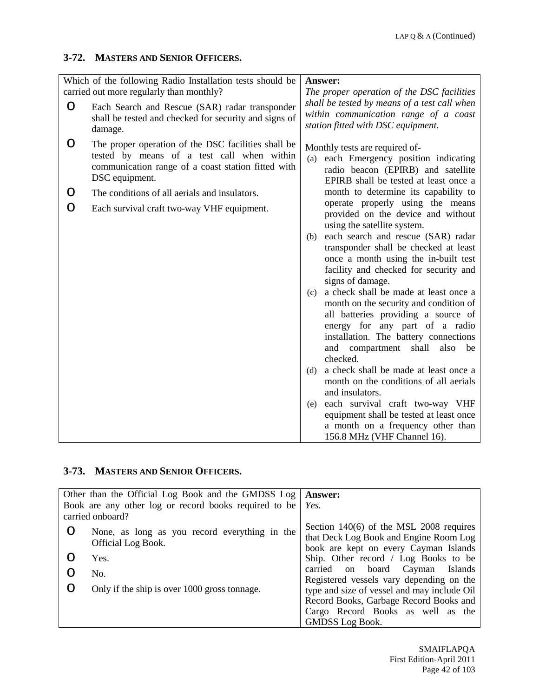#### **3-72. MASTERS AND SENIOR OFFICERS.**

|   | Which of the following Radio Installation tests should be                                                                                                                 | Answer:                                                                                                                                                                                                                                                                                                                                                                                                                                                                           |
|---|---------------------------------------------------------------------------------------------------------------------------------------------------------------------------|-----------------------------------------------------------------------------------------------------------------------------------------------------------------------------------------------------------------------------------------------------------------------------------------------------------------------------------------------------------------------------------------------------------------------------------------------------------------------------------|
|   | carried out more regularly than monthly?                                                                                                                                  | The proper operation of the DSC facilities                                                                                                                                                                                                                                                                                                                                                                                                                                        |
| O | Each Search and Rescue (SAR) radar transponder<br>shall be tested and checked for security and signs of<br>damage.                                                        | shall be tested by means of a test call when<br>within communication range of a coast<br>station fitted with DSC equipment.                                                                                                                                                                                                                                                                                                                                                       |
| O | The proper operation of the DSC facilities shall be<br>tested by means of a test call when within<br>communication range of a coast station fitted with<br>DSC equipment. | Monthly tests are required of-<br>each Emergency position indicating<br>(a)<br>radio beacon (EPIRB) and satellite<br>EPIRB shall be tested at least once a                                                                                                                                                                                                                                                                                                                        |
| O | The conditions of all aerials and insulators.                                                                                                                             | month to determine its capability to                                                                                                                                                                                                                                                                                                                                                                                                                                              |
| O | Each survival craft two-way VHF equipment.                                                                                                                                | operate properly using the means<br>provided on the device and without<br>using the satellite system.                                                                                                                                                                                                                                                                                                                                                                             |
|   |                                                                                                                                                                           | each search and rescue (SAR) radar<br>(b)<br>transponder shall be checked at least<br>once a month using the in-built test<br>facility and checked for security and<br>signs of damage.<br>a check shall be made at least once a<br>(c)                                                                                                                                                                                                                                           |
|   |                                                                                                                                                                           | month on the security and condition of<br>all batteries providing a source of<br>energy for any part of a radio<br>installation. The battery connections<br>and compartment shall<br>also<br>be<br>checked.<br>a check shall be made at least once a<br>(d)<br>month on the conditions of all aerials<br>and insulators.<br>each survival craft two-way VHF<br>(e)<br>equipment shall be tested at least once<br>a month on a frequency other than<br>156.8 MHz (VHF Channel 16). |

### **3-73. MASTERS AND SENIOR OFFICERS.**

| Other than the Official Log Book and the GMDSS Log   Answer:<br>Book are any other log or record books required to be $\mid$ Yes. |                                                                                                                              |
|-----------------------------------------------------------------------------------------------------------------------------------|------------------------------------------------------------------------------------------------------------------------------|
| carried onboard?                                                                                                                  |                                                                                                                              |
| None, as long as you record everything in the<br>Official Log Book.                                                               | Section $140(6)$ of the MSL 2008 requires<br>that Deck Log Book and Engine Room Log<br>book are kept on every Cayman Islands |
| Yes.                                                                                                                              | Ship. Other record / Log Books to be                                                                                         |
| No.                                                                                                                               | carried on board Cayman Islands<br>Registered vessels vary depending on the                                                  |
| Only if the ship is over 1000 gross tonnage.                                                                                      | type and size of vessel and may include Oil                                                                                  |
|                                                                                                                                   | Record Books, Garbage Record Books and                                                                                       |
|                                                                                                                                   | Cargo Record Books as well as the                                                                                            |
|                                                                                                                                   | <b>GMDSS</b> Log Book.                                                                                                       |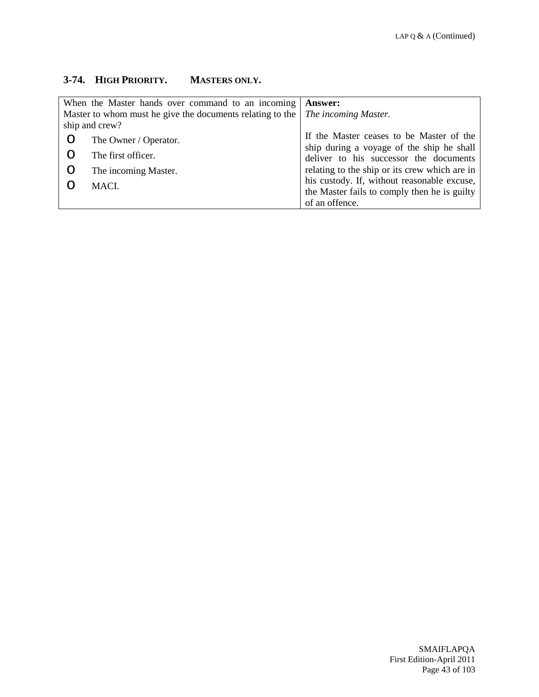## **3-74. HIGH PRIORITY. MASTERS ONLY.**

| When the Master hands over command to an incoming         |                       | <b>Answer:</b>                                |
|-----------------------------------------------------------|-----------------------|-----------------------------------------------|
| Master to whom must he give the documents relating to the |                       | The incoming Master.                          |
| ship and crew?                                            |                       |                                               |
|                                                           | The Owner / Operator. | If the Master ceases to be Master of the      |
|                                                           | The first officer.    | ship during a voyage of the ship he shall     |
|                                                           |                       | deliver to his successor the documents        |
|                                                           | The incoming Master.  | relating to the ship or its crew which are in |
|                                                           | MACL.                 | his custody. If, without reasonable excuse,   |
|                                                           |                       | the Master fails to comply then he is guilty  |
|                                                           |                       | of an offence.                                |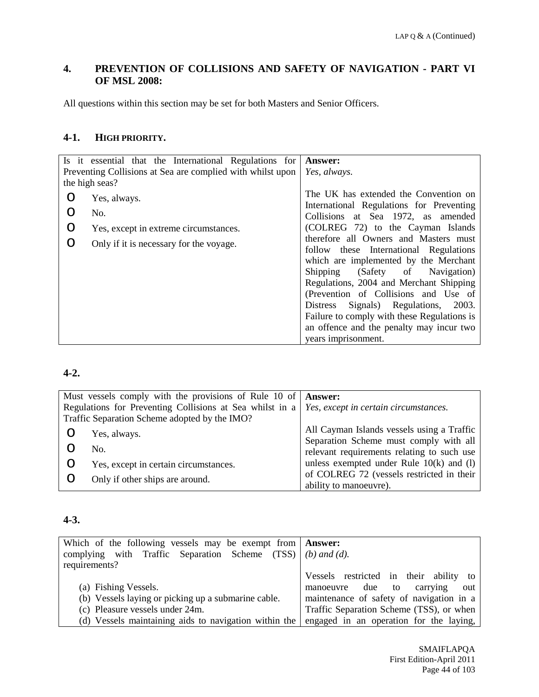### **4. PREVENTION OF COLLISIONS AND SAFETY OF NAVIGATION - PART VI OF MSL 2008:**

All questions within this section may be set for both Masters and Senior Officers.

#### **4-1. HIGH PRIORITY.**

| Is it essential that the International Regulations for<br>Preventing Collisions at Sea are complied with whilst upon<br>the high seas? | <b>Answer:</b><br>Yes, always.                                                                                                                                                                                                                                                                                                                                                                                                                                                                                                                                              |
|----------------------------------------------------------------------------------------------------------------------------------------|-----------------------------------------------------------------------------------------------------------------------------------------------------------------------------------------------------------------------------------------------------------------------------------------------------------------------------------------------------------------------------------------------------------------------------------------------------------------------------------------------------------------------------------------------------------------------------|
| Yes, always.<br>No.<br>Yes, except in extreme circumstances.<br>Only if it is necessary for the voyage.                                | The UK has extended the Convention on<br>International Regulations for Preventing<br>Collisions at Sea 1972, as amended<br>(COLREG 72) to the Cayman Islands<br>therefore all Owners and Masters must<br>follow these International Regulations<br>which are implemented by the Merchant<br>Shipping (Safety of Navigation)<br>Regulations, 2004 and Merchant Shipping<br>(Prevention of Collisions and Use of<br>Distress Signals) Regulations,<br>2003.<br>Failure to comply with these Regulations is<br>an offence and the penalty may incur two<br>years imprisonment. |

#### **4-2.**

| Must vessels comply with the provisions of Rule 10 of   Answer:                                       |                                            |
|-------------------------------------------------------------------------------------------------------|--------------------------------------------|
| Regulations for Preventing Collisions at Sea whilst in a $\mid$ Yes, except in certain circumstances. |                                            |
| Traffic Separation Scheme adopted by the IMO?                                                         |                                            |
| Yes, always.                                                                                          | All Cayman Islands vessels using a Traffic |
|                                                                                                       | Separation Scheme must comply with all     |
| No.                                                                                                   | relevant requirements relating to such use |
| Yes, except in certain circumstances.                                                                 | unless exempted under Rule $10(k)$ and (1) |
| Only if other ships are around.                                                                       | of COLREG 72 (vessels restricted in their  |
|                                                                                                       | ability to manoeuvre).                     |

# **4-3.**

| Which of the following vessels may be exempt from <b>Answer:</b> |                                          |
|------------------------------------------------------------------|------------------------------------------|
| complying with Traffic Separation Scheme $(TSS)   (b)$ and (d).  |                                          |
| requirements?                                                    |                                          |
|                                                                  | Vessels restricted in their ability to   |
| (a) Fishing Vessels.                                             | manoeuvre due to carrying<br>out         |
| (b) Vessels laying or picking up a submarine cable.              | maintenance of safety of navigation in a |
| (c) Pleasure vessels under 24m.                                  | Traffic Separation Scheme (TSS), or when |
| (d) Vessels maintaining aids to navigation within the            | engaged in an operation for the laying,  |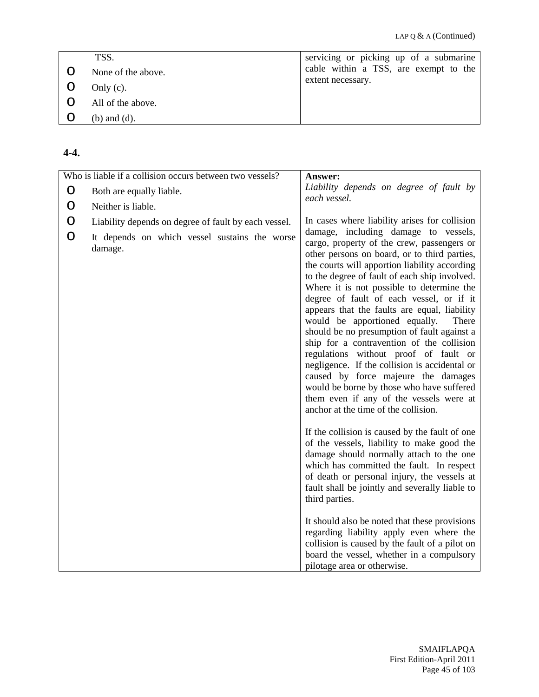| TSS.               | servicing or picking up of a submarine |
|--------------------|----------------------------------------|
| None of the above. | cable within a TSS, are exempt to the  |
| Only $(c)$ .       | extent necessary.                      |
| All of the above.  |                                        |
| $(b)$ and $(d)$ .  |                                        |

#### **4-4.**

|             | Who is liable if a collision occurs between two vessels?                                                                               | Answer:                                                                                                                                                                                                                                                                                                                                                                                                                                                                                                                                                                                                                                                                                                                                            |
|-------------|----------------------------------------------------------------------------------------------------------------------------------------|----------------------------------------------------------------------------------------------------------------------------------------------------------------------------------------------------------------------------------------------------------------------------------------------------------------------------------------------------------------------------------------------------------------------------------------------------------------------------------------------------------------------------------------------------------------------------------------------------------------------------------------------------------------------------------------------------------------------------------------------------|
| $\circ$     | Both are equally liable.                                                                                                               | Liability depends on degree of fault by                                                                                                                                                                                                                                                                                                                                                                                                                                                                                                                                                                                                                                                                                                            |
|             |                                                                                                                                        | each vessel.                                                                                                                                                                                                                                                                                                                                                                                                                                                                                                                                                                                                                                                                                                                                       |
| O<br>O<br>O | Neither is liable.<br>Liability depends on degree of fault by each vessel.<br>It depends on which vessel sustains the worse<br>damage. | In cases where liability arises for collision<br>damage, including damage to vessels,<br>cargo, property of the crew, passengers or<br>other persons on board, or to third parties,<br>the courts will apportion liability according<br>to the degree of fault of each ship involved.<br>Where it is not possible to determine the<br>degree of fault of each vessel, or if it<br>appears that the faults are equal, liability<br>would be apportioned equally.<br>There<br>should be no presumption of fault against a<br>ship for a contravention of the collision<br>regulations without proof of fault or<br>negligence. If the collision is accidental or<br>caused by force majeure the damages<br>would be borne by those who have suffered |
|             |                                                                                                                                        | them even if any of the vessels were at<br>anchor at the time of the collision.<br>If the collision is caused by the fault of one<br>of the vessels, liability to make good the<br>damage should normally attach to the one<br>which has committed the fault. In respect<br>of death or personal injury, the vessels at<br>fault shall be jointly and severally liable to<br>third parties.<br>It should also be noted that these provisions<br>regarding liability apply even where the<br>collision is caused by the fault of a pilot on<br>board the vessel, whether in a compulsory<br>pilotage area or otherwise.                                                                                                                             |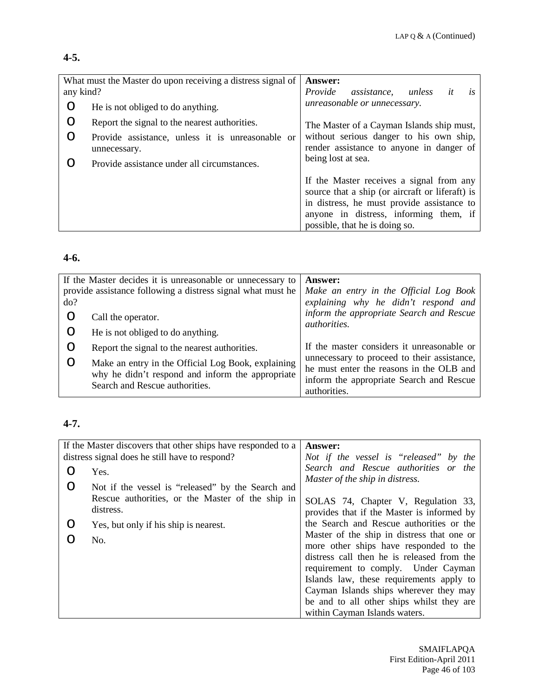#### **4-5.**

| What must the Master do upon receiving a distress signal of<br>any kind? |                                                                  | <b>Answer:</b><br>Provide<br>assistance,<br>unless<br>it<br>is                                                                                                                                                        |
|--------------------------------------------------------------------------|------------------------------------------------------------------|-----------------------------------------------------------------------------------------------------------------------------------------------------------------------------------------------------------------------|
| O                                                                        | He is not obliged to do anything.                                | unreasonable or unnecessary.                                                                                                                                                                                          |
| O                                                                        | Report the signal to the nearest authorities.                    | The Master of a Cayman Islands ship must,                                                                                                                                                                             |
|                                                                          | Provide assistance, unless it is unreasonable or<br>unnecessary. | without serious danger to his own ship,<br>render assistance to anyone in danger of                                                                                                                                   |
|                                                                          | Provide assistance under all circumstances.                      | being lost at sea.                                                                                                                                                                                                    |
|                                                                          |                                                                  | If the Master receives a signal from any<br>source that a ship (or aircraft or liferaft) is<br>in distress, he must provide assistance to<br>anyone in distress, informing them, if<br>possible, that he is doing so. |

### **4-6.**

| If the Master decides it is unreasonable or unnecessary to<br>provide assistance following a distress signal what must he<br>do? |                                                                                                                                          | <b>Answer:</b><br>Make an entry in the Official Log Book<br>explaining why he didn't respond and     |
|----------------------------------------------------------------------------------------------------------------------------------|------------------------------------------------------------------------------------------------------------------------------------------|------------------------------------------------------------------------------------------------------|
|                                                                                                                                  | Call the operator.<br>He is not obliged to do anything.                                                                                  | inform the appropriate Search and Rescue<br><i>authorities.</i>                                      |
|                                                                                                                                  | Report the signal to the nearest authorities.                                                                                            | If the master considers it unreasonable or<br>unnecessary to proceed to their assistance,            |
|                                                                                                                                  | Make an entry in the Official Log Book, explaining<br>why he didn't respond and inform the appropriate<br>Search and Rescue authorities. | he must enter the reasons in the OLB and<br>inform the appropriate Search and Rescue<br>authorities. |

# **4-7.**

| If the Master discovers that other ships have responded to a |                                                               | <b>Answer:</b>                                                                                                                                                                                                                                                  |
|--------------------------------------------------------------|---------------------------------------------------------------|-----------------------------------------------------------------------------------------------------------------------------------------------------------------------------------------------------------------------------------------------------------------|
|                                                              | distress signal does he still have to respond?                | Not if the vessel is "released" by the                                                                                                                                                                                                                          |
| ∩                                                            | Yes.                                                          | Search and Rescue authorities or the<br>Master of the ship in distress.                                                                                                                                                                                         |
| O                                                            | Not if the vessel is "released" by the Search and             |                                                                                                                                                                                                                                                                 |
|                                                              | Rescue authorities, or the Master of the ship in<br>distress. | SOLAS 74, Chapter V, Regulation 33,<br>provides that if the Master is informed by                                                                                                                                                                               |
| 0                                                            | Yes, but only if his ship is nearest.                         | the Search and Rescue authorities or the                                                                                                                                                                                                                        |
|                                                              | No.                                                           | Master of the ship in distress that one or<br>more other ships have responded to the<br>distress call then he is released from the<br>requirement to comply. Under Cayman<br>Islands law, these requirements apply to<br>Cayman Islands ships wherever they may |
|                                                              |                                                               | be and to all other ships whilst they are<br>within Cayman Islands waters.                                                                                                                                                                                      |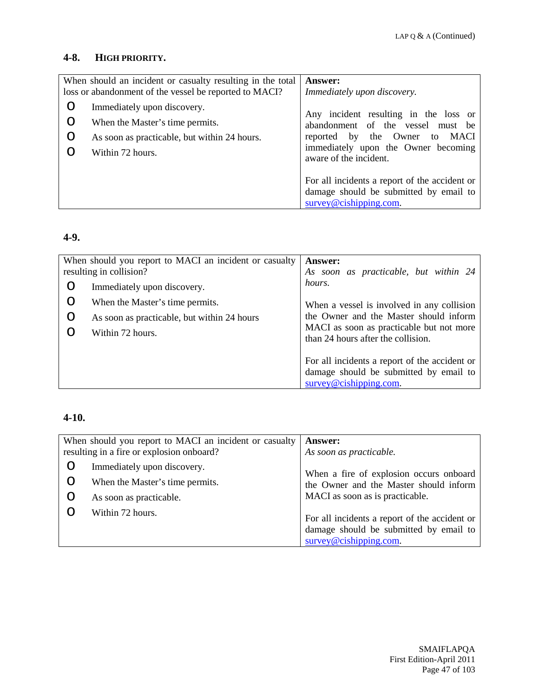### **4-8. HIGH PRIORITY.**

|             | When should an incident or casualty resulting in the total<br>loss or abandonment of the vessel be reported to MACI?               | <b>Answer:</b><br>Immediately upon discovery.                                                                                                                                |
|-------------|------------------------------------------------------------------------------------------------------------------------------------|------------------------------------------------------------------------------------------------------------------------------------------------------------------------------|
| O<br>O<br>O | Immediately upon discovery.<br>When the Master's time permits.<br>As soon as practicable, but within 24 hours.<br>Within 72 hours. | Any incident resulting in the loss or<br>abandonment of the vessel must be<br>reported by the Owner to MACI<br>immediately upon the Owner becoming<br>aware of the incident. |
|             |                                                                                                                                    | For all incidents a report of the accident or<br>damage should be submitted by email to<br>$\frac{\text{survey@cishing.com}}{}$                                              |

## **4-9.**

| When should you report to MACI an incident or casualty<br>resulting in collision? |                                             | <b>Answer:</b><br>As soon as practicable, but within 24                        |
|-----------------------------------------------------------------------------------|---------------------------------------------|--------------------------------------------------------------------------------|
| O                                                                                 | Immediately upon discovery.                 | hours.                                                                         |
| O                                                                                 | When the Master's time permits.             | When a vessel is involved in any collision                                     |
| $\circ$                                                                           | As soon as practicable, but within 24 hours | the Owner and the Master should inform                                         |
|                                                                                   | Within 72 hours.                            | MACI as soon as practicable but not more<br>than 24 hours after the collision. |
|                                                                                   |                                             | For all incidents a report of the accident or                                  |
|                                                                                   |                                             | damage should be submitted by email to                                         |
|                                                                                   |                                             | $surve\$ @cishipping.com.                                                      |

### **4-10.**

|   | When should you report to MACI an incident or casualty<br>resulting in a fire or explosion onboard? | <b>Answer:</b><br>As soon as practicable.                                                                             |
|---|-----------------------------------------------------------------------------------------------------|-----------------------------------------------------------------------------------------------------------------------|
| Ő | Immediately upon discovery.                                                                         | When a fire of explosion occurs onboard                                                                               |
| O | When the Master's time permits.                                                                     | the Owner and the Master should inform                                                                                |
|   | As soon as practicable.                                                                             | MACI as soon as is practicable.                                                                                       |
|   | Within 72 hours.                                                                                    | For all incidents a report of the accident or<br>damage should be submitted by email to<br>$surve\$ Q cishipping.com. |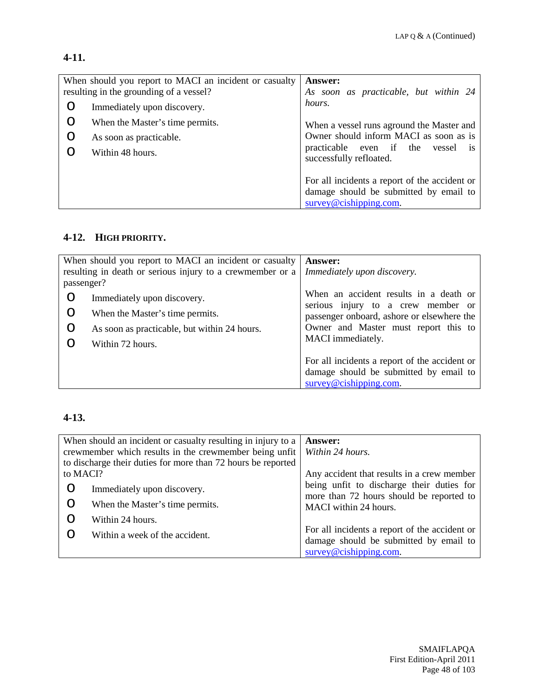### **4-11.**

| When should you report to MACI an incident or casualty<br>resulting in the grounding of a vessel? | <b>Answer:</b><br>As soon as practicable, but within 24                                                        |
|---------------------------------------------------------------------------------------------------|----------------------------------------------------------------------------------------------------------------|
| Immediately upon discovery.                                                                       | hours.                                                                                                         |
| When the Master's time permits.                                                                   | When a vessel runs aground the Master and                                                                      |
| As soon as practicable.                                                                           | Owner should inform MACI as soon as is                                                                         |
| Within 48 hours.                                                                                  | practicable even if the vessel<br><b>1S</b><br>successfully refloated.                                         |
|                                                                                                   | For all incidents a report of the accident or<br>damage should be submitted by email to<br>survey@cishing.com. |

## **4-12. HIGH PRIORITY.**

| When should you report to MACI an incident or casualty |                                                           | <b>Answer:</b>                                                               |
|--------------------------------------------------------|-----------------------------------------------------------|------------------------------------------------------------------------------|
|                                                        | resulting in death or serious injury to a crewmember or a | Immediately upon discovery.                                                  |
| passenger?                                             |                                                           |                                                                              |
| O                                                      | Immediately upon discovery.                               | When an accident results in a death or<br>serious injury to a crew member or |
|                                                        | When the Master's time permits.                           | passenger onboard, ashore or elsewhere the                                   |
|                                                        | As soon as practicable, but within 24 hours.              | Owner and Master must report this to                                         |
|                                                        | Within 72 hours.                                          | MACI immediately.                                                            |
|                                                        |                                                           | For all incidents a report of the accident or                                |
|                                                        |                                                           | damage should be submitted by email to                                       |
|                                                        |                                                           | $surve\$ @cishing.com.                                                       |

### **4-13.**

|                                                              | When should an incident or casualty resulting in injury to a | <b>Answer:</b>                                                                        |
|--------------------------------------------------------------|--------------------------------------------------------------|---------------------------------------------------------------------------------------|
| crewmember which results in the crewmember being unfit       |                                                              | Within 24 hours.                                                                      |
| to discharge their duties for more than 72 hours be reported |                                                              |                                                                                       |
| to MACI?                                                     |                                                              | Any accident that results in a crew member                                            |
| Ő                                                            | Immediately upon discovery.                                  | being unfit to discharge their duties for<br>more than 72 hours should be reported to |
| O                                                            | When the Master's time permits.                              | MACI within 24 hours.                                                                 |
|                                                              | Within 24 hours.                                             |                                                                                       |
|                                                              | Within a week of the accident.                               | For all incidents a report of the accident or                                         |
|                                                              |                                                              | damage should be submitted by email to                                                |
|                                                              |                                                              | survey@cishing.com.                                                                   |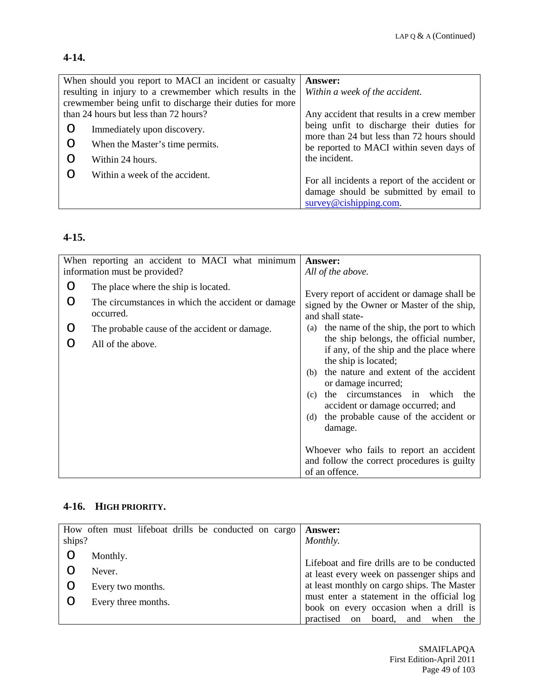#### **4-14.**

| When should you report to MACI an incident or casualty    |                                 | Answer:                                                                                 |
|-----------------------------------------------------------|---------------------------------|-----------------------------------------------------------------------------------------|
| resulting in injury to a crewmember which results in the  |                                 | Within a week of the accident.                                                          |
| crewmember being unfit to discharge their duties for more |                                 |                                                                                         |
| than 24 hours but less than 72 hours?                     |                                 | Any accident that results in a crew member                                              |
|                                                           | Immediately upon discovery.     | being unfit to discharge their duties for<br>more than 24 but less than 72 hours should |
|                                                           | When the Master's time permits. | be reported to MACI within seven days of                                                |
|                                                           | Within 24 hours.                | the incident.                                                                           |
|                                                           | Within a week of the accident.  |                                                                                         |
|                                                           |                                 | For all incidents a report of the accident or                                           |
|                                                           |                                 | damage should be submitted by email to                                                  |
|                                                           |                                 | $\text{survey@cishing.com.}$                                                            |

# **4-15.**

|             | When reporting an accident to MACI what minimum<br>information must be provided?                                                                                              | Answer:<br>All of the above.                                                                                                                                                                                                                                                                                                                                                                                                                                                                                                                                                             |
|-------------|-------------------------------------------------------------------------------------------------------------------------------------------------------------------------------|------------------------------------------------------------------------------------------------------------------------------------------------------------------------------------------------------------------------------------------------------------------------------------------------------------------------------------------------------------------------------------------------------------------------------------------------------------------------------------------------------------------------------------------------------------------------------------------|
| O<br>O<br>O | The place where the ship is located.<br>The circumstances in which the accident or damage.<br>occurred.<br>The probable cause of the accident or damage.<br>All of the above. | Every report of accident or damage shall be<br>signed by the Owner or Master of the ship,<br>and shall state-<br>the name of the ship, the port to which<br>(a)<br>the ship belongs, the official number,<br>if any, of the ship and the place where<br>the ship is located;<br>the nature and extent of the accident<br>(b)<br>or damage incurred;<br>the circumstances in which<br>the<br>(c)<br>accident or damage occurred; and<br>the probable cause of the accident or<br>(d)<br>damage.<br>Whoever who fails to report an accident<br>and follow the correct procedures is guilty |
|             |                                                                                                                                                                               | of an offence.                                                                                                                                                                                                                                                                                                                                                                                                                                                                                                                                                                           |

#### **4-16. HIGH PRIORITY.**

| ships? | How often must lifeboat drills be conducted on cargo | <b>Answer:</b><br>Monthly.                                                                 |
|--------|------------------------------------------------------|--------------------------------------------------------------------------------------------|
|        | Monthly.                                             |                                                                                            |
|        | Never.                                               | Lifeboat and fire drills are to be conducted<br>at least every week on passenger ships and |
|        | Every two months.                                    | at least monthly on cargo ships. The Master                                                |
|        | Every three months.                                  | must enter a statement in the official log<br>book on every occasion when a drill is       |
|        |                                                      | practised on board, and when the                                                           |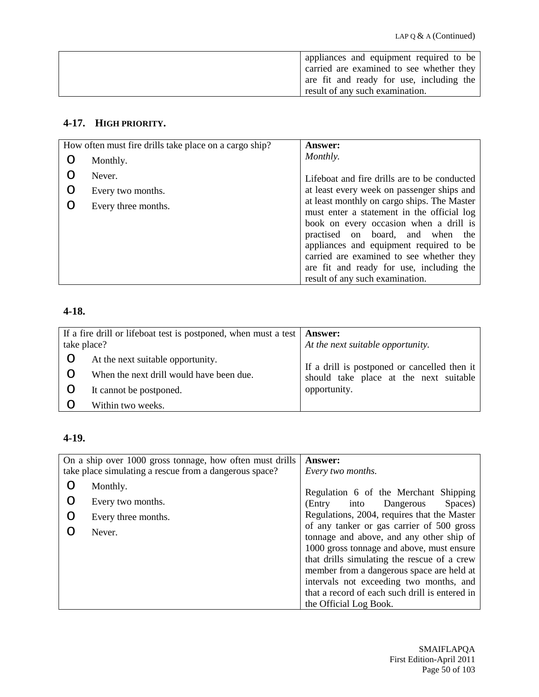| appliances and equipment required to be  |
|------------------------------------------|
| carried are examined to see whether they |
| are fit and ready for use, including the |
| result of any such examination.          |

### **4-17. HIGH PRIORITY.**

|   | How often must fire drills take place on a cargo ship? | <b>Answer:</b>                                                                            |
|---|--------------------------------------------------------|-------------------------------------------------------------------------------------------|
|   | Monthly.                                               | Monthly.                                                                                  |
|   | Never.                                                 | Lifeboat and fire drills are to be conducted                                              |
| O | Every two months.                                      | at least every week on passenger ships and                                                |
| ∩ | Every three months.                                    | at least monthly on cargo ships. The Master<br>must enter a statement in the official log |
|   |                                                        | book on every occasion when a drill is<br>practised on board, and when the                |
|   |                                                        | appliances and equipment required to be                                                   |
|   |                                                        | carried are examined to see whether they                                                  |
|   |                                                        | are fit and ready for use, including the                                                  |
|   |                                                        | result of any such examination.                                                           |

## **4-18.**

| take place? | If a fire drill or lifeboat test is postponed, when must a test $\vert$ <b>Answer:</b> | At the next suitable opportunity.            |
|-------------|----------------------------------------------------------------------------------------|----------------------------------------------|
|             | At the next suitable opportunity.                                                      | If a drill is postponed or cancelled then it |
|             | When the next drill would have been due.                                               | should take place at the next suitable       |
|             | It cannot be postponed.                                                                | opportunity.                                 |
|             | Within two weeks.                                                                      |                                              |

### **4-19.**

| On a ship over 1000 gross tonnage, how often must drills<br>take place simulating a rescue from a dangerous space? |                     | <b>Answer:</b><br>Every two months.                                                                                                                                                                                                                                                                                                                   |
|--------------------------------------------------------------------------------------------------------------------|---------------------|-------------------------------------------------------------------------------------------------------------------------------------------------------------------------------------------------------------------------------------------------------------------------------------------------------------------------------------------------------|
|                                                                                                                    | Monthly.            | Regulation 6 of the Merchant Shipping                                                                                                                                                                                                                                                                                                                 |
| O                                                                                                                  | Every two months.   | into Dangerous<br>Spaces)<br>(Entry                                                                                                                                                                                                                                                                                                                   |
| O                                                                                                                  | Every three months. | Regulations, 2004, requires that the Master                                                                                                                                                                                                                                                                                                           |
|                                                                                                                    | Never.              | of any tanker or gas carrier of 500 gross<br>tonnage and above, and any other ship of<br>1000 gross tonnage and above, must ensure<br>that drills simulating the rescue of a crew<br>member from a dangerous space are held at<br>intervals not exceeding two months, and<br>that a record of each such drill is entered in<br>the Official Log Book. |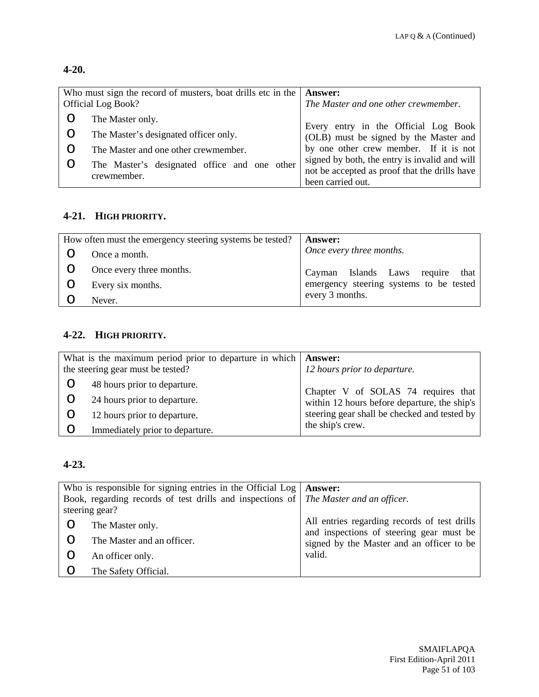## **4-20.**

| Who must sign the record of musters, boat drills etc in the<br><b>Official Log Book?</b> | <b>Answer:</b><br>The Master and one other crewmember.                                                                   |
|------------------------------------------------------------------------------------------|--------------------------------------------------------------------------------------------------------------------------|
| The Master only.                                                                         |                                                                                                                          |
| The Master's designated officer only.                                                    | Every entry in the Official Log Book<br>(OLB) must be signed by the Master and<br>by one other crew member. If it is not |
| The Master and one other crewmember.                                                     |                                                                                                                          |
| The Master's designated office and one other                                             | signed by both, the entry is invalid and will<br>not be accepted as proof that the drills have                           |
| crewmember.                                                                              | been carried out.                                                                                                        |

### **4-21. HIGH PRIORITY.**

| How often must the emergency steering systems be tested? | <b>Answer:</b>                          |
|----------------------------------------------------------|-----------------------------------------|
| Once a month.                                            | Once every three months.                |
| Once every three months.                                 | Cayman Islands Laws require that        |
| Every six months.                                        | emergency steering systems to be tested |
| Never.                                                   | every 3 months.                         |

## **4-22. HIGH PRIORITY.**

| What is the maximum period prior to departure in which $\vert$ <b>Answer:</b><br>the steering gear must be tested? | 12 hours prior to departure.                 |
|--------------------------------------------------------------------------------------------------------------------|----------------------------------------------|
| 48 hours prior to departure.                                                                                       | Chapter V of SOLAS 74 requires that          |
| 24 hours prior to departure.                                                                                       | within 12 hours before departure, the ship's |
| 12 hours prior to departure.                                                                                       | steering gear shall be checked and tested by |
| Immediately prior to departure.                                                                                    | the ship's crew.                             |

#### **4-23.**

|         | Who is responsible for signing entries in the Official Log $\vert$ Answer:           |                                                                                          |
|---------|--------------------------------------------------------------------------------------|------------------------------------------------------------------------------------------|
|         | Book, regarding records of test drills and inspections of The Master and an officer. |                                                                                          |
|         | steering gear?                                                                       |                                                                                          |
|         | The Master only.                                                                     | All entries regarding records of test drills<br>and inspections of steering gear must be |
|         | The Master and an officer.                                                           | signed by the Master and an officer to be                                                |
|         | An officer only.                                                                     | valid.                                                                                   |
| $\circ$ | The Safety Official.                                                                 |                                                                                          |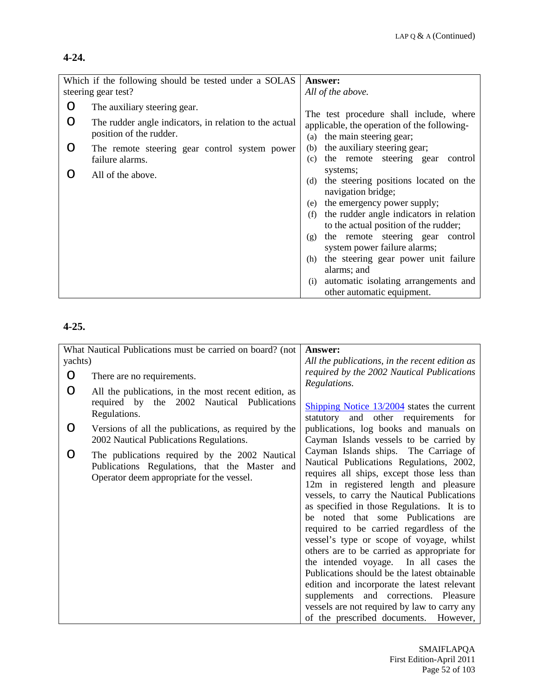#### **4-24.**

|     | Which if the following should be tested under a SOLAS                             | <b>Answer:</b>                                                                                                                                                                                                                                                                                                                                                                                                                           |
|-----|-----------------------------------------------------------------------------------|------------------------------------------------------------------------------------------------------------------------------------------------------------------------------------------------------------------------------------------------------------------------------------------------------------------------------------------------------------------------------------------------------------------------------------------|
|     | steering gear test?                                                               | All of the above.                                                                                                                                                                                                                                                                                                                                                                                                                        |
| ∩   | The auxiliary steering gear.                                                      | The test procedure shall include, where                                                                                                                                                                                                                                                                                                                                                                                                  |
|     | The rudder angle indicators, in relation to the actual<br>position of the rudder. | applicable, the operation of the following-<br>the main steering gear;<br>(a)                                                                                                                                                                                                                                                                                                                                                            |
| O   | The remote steering gear control system power<br>failure alarms.                  | the auxiliary steering gear;<br>(b)<br>the remote steering gear<br>(c)<br>control                                                                                                                                                                                                                                                                                                                                                        |
| ( ) | All of the above.                                                                 | systems;<br>the steering positions located on the<br>(d)<br>navigation bridge;<br>the emergency power supply;<br>(e)<br>the rudder angle indicators in relation<br>(f)<br>to the actual position of the rudder;<br>the remote steering gear<br>control<br>(g)<br>system power failure alarms;<br>the steering gear power unit failure<br>(h)<br>alarms; and<br>automatic isolating arrangements and<br>(i)<br>other automatic equipment. |

#### **4-25.**

|         | What Nautical Publications must be carried on board? (not | Answer:                                        |
|---------|-----------------------------------------------------------|------------------------------------------------|
| yachts) |                                                           | All the publications, in the recent edition as |
| O       | There are no requirements.                                | required by the 2002 Nautical Publications     |
|         |                                                           | Regulations.                                   |
| O       | All the publications, in the most recent edition, as      |                                                |
|         | required by the<br>2002 Nautical Publications             | Shipping Notice $13/2004$ states the current   |
|         | Regulations.                                              | statutory and other requirements for           |
| O       | Versions of all the publications, as required by the      | publications, log books and manuals on         |
|         | 2002 Nautical Publications Regulations.                   | Cayman Islands vessels to be carried by        |
| O       | The publications required by the 2002 Nautical            | Cayman Islands ships. The Carriage of          |
|         | Publications Regulations, that the Master and             | Nautical Publications Regulations, 2002,       |
|         | Operator deem appropriate for the vessel.                 | requires all ships, except those less than     |
|         |                                                           | 12m in registered length and pleasure          |
|         |                                                           | vessels, to carry the Nautical Publications    |
|         |                                                           | as specified in those Regulations. It is to    |
|         |                                                           | be noted that some Publications are            |
|         |                                                           | required to be carried regardless of the       |
|         |                                                           | vessel's type or scope of voyage, whilst       |
|         |                                                           | others are to be carried as appropriate for    |
|         |                                                           | the intended voyage. In all cases the          |
|         |                                                           | Publications should be the latest obtainable   |
|         |                                                           | edition and incorporate the latest relevant    |
|         |                                                           | supplements and corrections. Pleasure          |
|         |                                                           | vessels are not required by law to carry any   |
|         |                                                           | of the prescribed documents. However,          |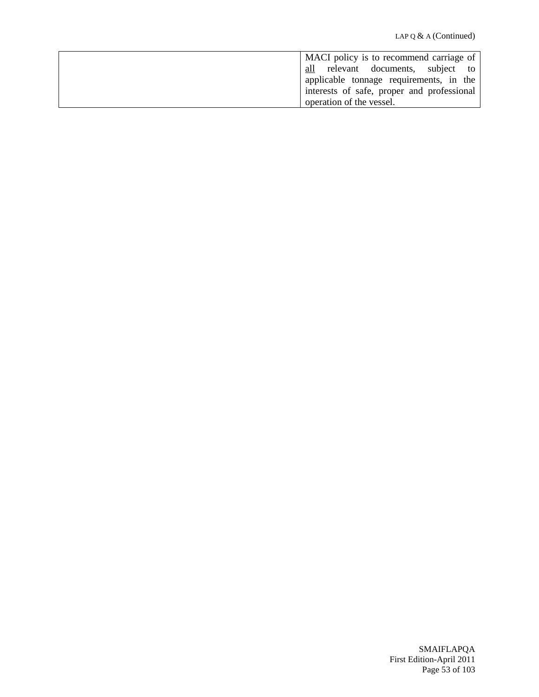| MACI policy is to recommend carriage of    |
|--------------------------------------------|
|                                            |
| all relevant documents, subject to         |
| applicable tonnage requirements, in the    |
| interests of safe, proper and professional |
| operation of the vessel.                   |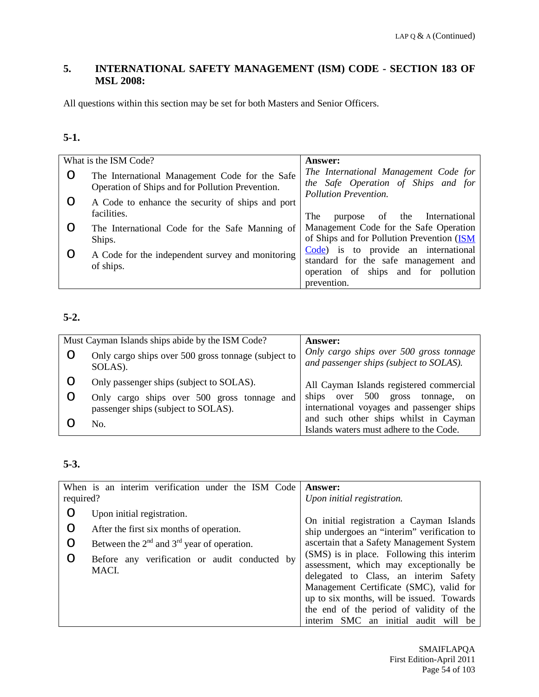### **5. INTERNATIONAL SAFETY MANAGEMENT (ISM) CODE - SECTION 183 OF MSL 2008:**

All questions within this section may be set for both Masters and Senior Officers.

## **5-1.**

| What is the ISM Code?                                                                              | <b>Answer:</b>                                                                                                                      |
|----------------------------------------------------------------------------------------------------|-------------------------------------------------------------------------------------------------------------------------------------|
| The International Management Code for the Safe<br>Operation of Ships and for Pollution Prevention. | The International Management Code for<br>the Safe Operation of Ships and for<br>Pollution Prevention.                               |
| A Code to enhance the security of ships and port<br>facilities.                                    | The<br>the International<br>- of<br>purpose                                                                                         |
| The International Code for the Safe Manning of<br>Ships.                                           | Management Code for the Safe Operation<br>of Ships and for Pollution Prevention (ISM                                                |
| A Code for the independent survey and monitoring<br>of ships.                                      | Code) is to provide an international<br>standard for the safe management and<br>operation of ships and for pollution<br>prevention. |

## **5-2.**

| Must Cayman Islands ships abide by the ISM Code?                                   | <b>Answer:</b>                                                                     |
|------------------------------------------------------------------------------------|------------------------------------------------------------------------------------|
| Only cargo ships over 500 gross tonnage (subject to<br>SOLAS).                     | Only cargo ships over 500 gross tonnage<br>and passenger ships (subject to SOLAS). |
| Only passenger ships (subject to SOLAS).                                           | All Cayman Islands registered commercial                                           |
| Only cargo ships over 500 gross tonnage and<br>passenger ships (subject to SOLAS). | ships over 500 gross<br>tonnage, on<br>international voyages and passenger ships   |
| No.                                                                                | and such other ships whilst in Cayman<br>Islands waters must adhere to the Code.   |

## **5-3.**

| required? | When is an interim verification under the ISM Code     | <b>Answer:</b><br>Upon initial registration.                                                                                                                                                                                                                                                                |
|-----------|--------------------------------------------------------|-------------------------------------------------------------------------------------------------------------------------------------------------------------------------------------------------------------------------------------------------------------------------------------------------------------|
| O         | Upon initial registration.                             | On initial registration a Cayman Islands                                                                                                                                                                                                                                                                    |
| O         | After the first six months of operation.               | ship undergoes an "interim" verification to                                                                                                                                                                                                                                                                 |
| O         | Between the $2nd$ and $3rd$ year of operation.         | ascertain that a Safety Management System                                                                                                                                                                                                                                                                   |
| O         | Before any verification or audit conducted by<br>MACI. | (SMS) is in place. Following this interim<br>assessment, which may exceptionally be<br>delegated to Class, an interim Safety<br>Management Certificate (SMC), valid for<br>up to six months, will be issued. Towards<br>the end of the period of validity of the<br>SMC an initial audit will be<br>interim |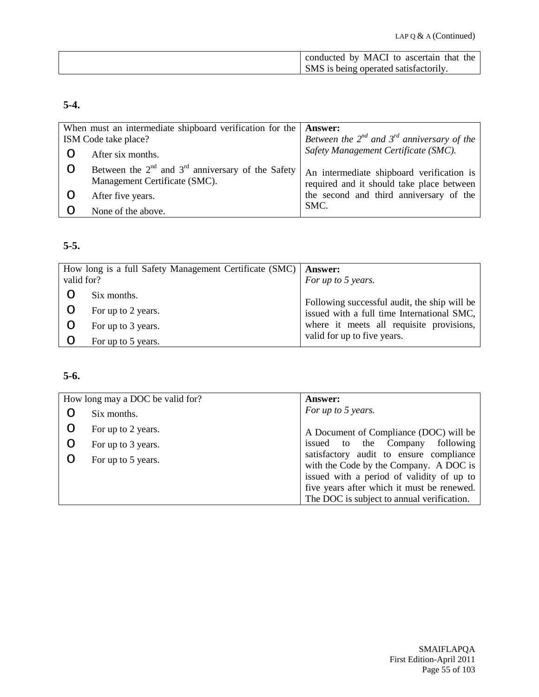| conducted by MACI to ascertain that the |
|-----------------------------------------|
| SMS is being operated satisfactorily.   |

## **5-4.**

| When must an intermediate shipboard verification for the<br><b>Answer:</b>                   |                                                                                        |
|----------------------------------------------------------------------------------------------|----------------------------------------------------------------------------------------|
| ISM Code take place?                                                                         | Between the $2^{nd}$ and $3^{rd}$ anniversary of the                                   |
| After six months.                                                                            | Safety Management Certificate (SMC).                                                   |
| Between the $2^{nd}$ and $3^{rd}$ anniversary of the Safety<br>Management Certificate (SMC). | An intermediate shipboard verification is<br>required and it should take place between |
| After five years.                                                                            | the second and third anniversary of the                                                |
| SMC.<br>None of the above.                                                                   |                                                                                        |

#### **5-5.**

| valid for? | How long is a full Safety Management Certificate (SMC) | <b>Answer:</b><br>For up to 5 years.         |
|------------|--------------------------------------------------------|----------------------------------------------|
|            | Six months.                                            | Following successful audit, the ship will be |
| O          | For up to 2 years.                                     | issued with a full time International SMC,   |
| O          | For up to 3 years.                                     | where it meets all requisite provisions,     |
|            | For up to 5 years.                                     | valid for up to five years.                  |

### **5-6.**

| How long may a DOC be valid for? | <b>Answer:</b>                                                                                                                 |
|----------------------------------|--------------------------------------------------------------------------------------------------------------------------------|
| Six months.                      | For up to 5 years.                                                                                                             |
| For up to 2 years.               | A Document of Compliance (DOC) will be                                                                                         |
| For up to 3 years.               | issued to the Company<br>following                                                                                             |
| For up to 5 years.               | satisfactory audit to ensure compliance<br>with the Code by the Company. A DOC is<br>issued with a period of validity of up to |
|                                  | five years after which it must be renewed.<br>The DOC is subject to annual verification.                                       |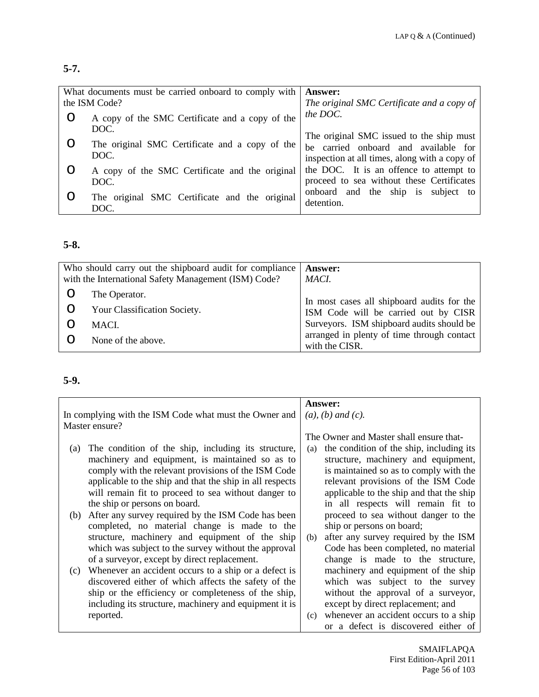### **5-7.**

| What documents must be carried onboard to comply with<br>the ISM Code? |                                                         | <b>Answer:</b><br>The original SMC Certificate and a copy of                                                                      |
|------------------------------------------------------------------------|---------------------------------------------------------|-----------------------------------------------------------------------------------------------------------------------------------|
|                                                                        | A copy of the SMC Certificate and a copy of the<br>DOC. | the DOC.                                                                                                                          |
|                                                                        | The original SMC Certificate and a copy of the<br>DOC.  | The original SMC issued to the ship must<br>be carried onboard and available for<br>inspection at all times, along with a copy of |
|                                                                        | A copy of the SMC Certificate and the original<br>DOC.  | the DOC. It is an offence to attempt to<br>proceed to sea without these Certificates                                              |
|                                                                        | The original SMC Certificate and the original<br>DOC.   | onboard and the ship is subject to<br>detention.                                                                                  |

## **5-8.**

| Who should carry out the shipboard audit for compliance<br>with the International Safety Management (ISM) Code? | <b>Answer:</b><br>MACI.                                      |
|-----------------------------------------------------------------------------------------------------------------|--------------------------------------------------------------|
| The Operator.                                                                                                   | In most cases all shipboard audits for the                   |
| Your Classification Society.                                                                                    | ISM Code will be carried out by CISR                         |
| MACL.                                                                                                           | Surveyors. ISM shipboard audits should be                    |
| None of the above.                                                                                              | arranged in plenty of time through contact<br>with the CISR. |

## **5-9.**

|     |                                                          |     | Answer:                                  |
|-----|----------------------------------------------------------|-----|------------------------------------------|
|     | In complying with the ISM Code what must the Owner and   |     | $(a)$ , $(b)$ and $(c)$ .                |
|     | Master ensure?                                           |     |                                          |
|     |                                                          |     | The Owner and Master shall ensure that-  |
| (a) | The condition of the ship, including its structure,      | (a) | the condition of the ship, including its |
|     | machinery and equipment, is maintained so as to          |     | structure, machinery and equipment,      |
|     | comply with the relevant provisions of the ISM Code      |     | is maintained so as to comply with the   |
|     | applicable to the ship and that the ship in all respects |     | relevant provisions of the ISM Code      |
|     | will remain fit to proceed to sea without danger to      |     | applicable to the ship and that the ship |
|     | the ship or persons on board.                            |     | in all respects will remain fit to       |
| (b) | After any survey required by the ISM Code has been       |     | proceed to sea without danger to the     |
|     | completed, no material change is made to the             |     | ship or persons on board;                |
|     | structure, machinery and equipment of the ship           | (b) | after any survey required by the ISM     |
|     | which was subject to the survey without the approval     |     | Code has been completed, no material     |
|     | of a surveyor, except by direct replacement.             |     | change is made to the structure,         |
| (c) | Whenever an accident occurs to a ship or a defect is     |     | machinery and equipment of the ship      |
|     | discovered either of which affects the safety of the     |     | which was subject to the survey          |
|     | ship or the efficiency or completeness of the ship,      |     | without the approval of a surveyor,      |
|     | including its structure, machinery and equipment it is   |     | except by direct replacement; and        |
|     | reported.                                                | (c) | whenever an accident occurs to a ship    |
|     |                                                          |     | or a defect is discovered either of      |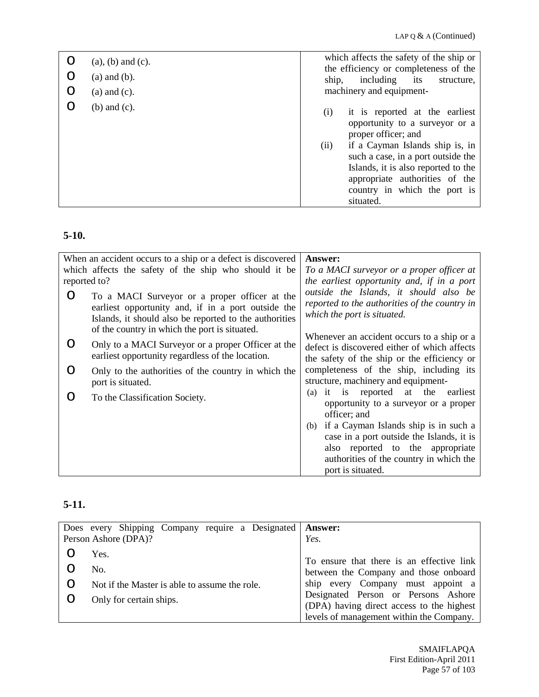| O<br>$\circ$<br>$\circ$ | $(a)$ , $(b)$ and $(c)$ .<br>$(a)$ and $(b)$ .<br>$(a)$ and $(c)$ . | which affects the safety of the ship or<br>the efficiency or completeness of the<br>including<br>ship,<br>its<br>structure,<br>machinery and equipment-                                                                                                                                               |
|-------------------------|---------------------------------------------------------------------|-------------------------------------------------------------------------------------------------------------------------------------------------------------------------------------------------------------------------------------------------------------------------------------------------------|
|                         | $(b)$ and $(c)$ .                                                   | it is reported at the earliest<br>(i)<br>opportunity to a surveyor or a<br>proper officer; and<br>(ii)<br>if a Cayman Islands ship is, in<br>such a case, in a port outside the<br>Islands, it is also reported to the<br>appropriate authorities of the<br>country in which the port is<br>situated. |

## **5-10.**

|                  | When an accident occurs to a ship or a defect is discovered                                                                                                                                                    | Answer:                                                                                                                |
|------------------|----------------------------------------------------------------------------------------------------------------------------------------------------------------------------------------------------------------|------------------------------------------------------------------------------------------------------------------------|
|                  | which affects the safety of the ship who should it be                                                                                                                                                          | To a MACI surveyor or a proper officer at                                                                              |
| reported to?     |                                                                                                                                                                                                                | the earliest opportunity and, if in a port                                                                             |
| O                | To a MACI Surveyor or a proper officer at the<br>earliest opportunity and, if in a port outside the<br>Islands, it should also be reported to the authorities<br>of the country in which the port is situated. | outside the Islands, it should also be<br>reported to the authorities of the country in<br>which the port is situated. |
|                  |                                                                                                                                                                                                                | Whenever an accident occurs to a ship or a                                                                             |
| $\left( \right)$ | Only to a MACI Surveyor or a proper Officer at the<br>earliest opportunity regardless of the location.                                                                                                         | defect is discovered either of which affects<br>the safety of the ship or the efficiency or                            |
| $\left( \right)$ | Only to the authorities of the country in which the<br>port is situated.                                                                                                                                       | completeness of the ship, including its<br>structure, machinery and equipment-                                         |
| 0                | To the Classification Society.                                                                                                                                                                                 | it is reported at the earliest<br>(a)<br>opportunity to a surveyor or a proper<br>officer; and                         |
|                  |                                                                                                                                                                                                                | (b) if a Cayman Islands ship is in such a                                                                              |
|                  |                                                                                                                                                                                                                | case in a port outside the Islands, it is                                                                              |
|                  |                                                                                                                                                                                                                | also reported to the appropriate                                                                                       |
|                  |                                                                                                                                                                                                                | authorities of the country in which the                                                                                |
|                  |                                                                                                                                                                                                                | port is situated.                                                                                                      |

# **5-11.**

| Does every Shipping Company require a Designated | <b>Answer:</b>                                                                     |
|--------------------------------------------------|------------------------------------------------------------------------------------|
| Person Ashore (DPA)?                             | Yes.                                                                               |
| Yes.                                             |                                                                                    |
| No.                                              | To ensure that there is an effective link<br>between the Company and those onboard |
| Not if the Master is able to assume the role.    | ship every Company must appoint a                                                  |
| Only for certain ships.                          | Designated Person or Persons Ashore                                                |
|                                                  | (DPA) having direct access to the highest                                          |
|                                                  | levels of management within the Company.                                           |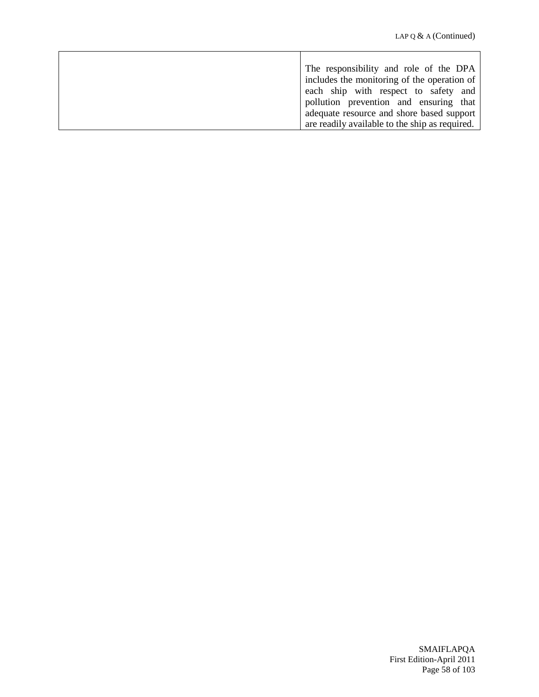| The responsibility and role of the DPA         |
|------------------------------------------------|
| includes the monitoring of the operation of    |
| each ship with respect to safety and           |
| pollution prevention and ensuring that         |
| adequate resource and shore based support      |
| are readily available to the ship as required. |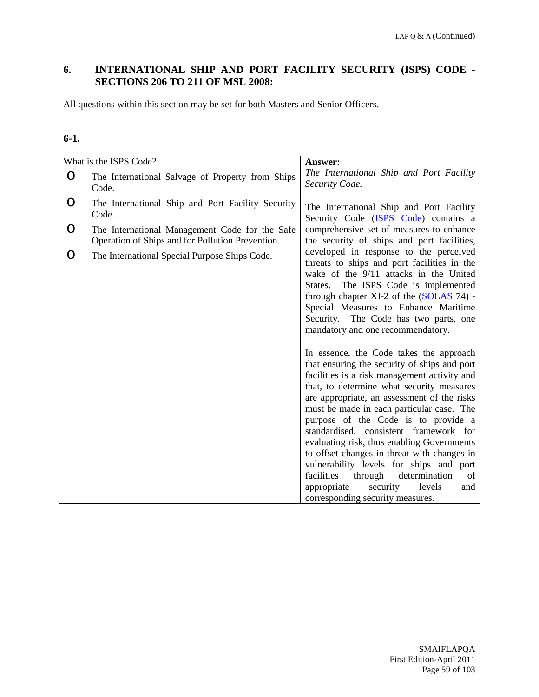### **6. INTERNATIONAL SHIP AND PORT FACILITY SECURITY (ISPS) CODE - SECTIONS 206 TO 211 OF MSL 2008:**

All questions within this section may be set for both Masters and Senior Officers.

#### **6-1.**

|   | What is the ISPS Code?                                                                             | <b>Answer:</b>                                                                                                                                                                                                                                                                                                                                                                                                                                                                                                                                                                                                                                                                                                                                                                                                                                                                                                                                                                              |
|---|----------------------------------------------------------------------------------------------------|---------------------------------------------------------------------------------------------------------------------------------------------------------------------------------------------------------------------------------------------------------------------------------------------------------------------------------------------------------------------------------------------------------------------------------------------------------------------------------------------------------------------------------------------------------------------------------------------------------------------------------------------------------------------------------------------------------------------------------------------------------------------------------------------------------------------------------------------------------------------------------------------------------------------------------------------------------------------------------------------|
| O | The International Salvage of Property from Ships<br>Code.                                          | The International Ship and Port Facility<br>Security Code.                                                                                                                                                                                                                                                                                                                                                                                                                                                                                                                                                                                                                                                                                                                                                                                                                                                                                                                                  |
| O | The International Ship and Port Facility Security<br>Code.                                         | The International Ship and Port Facility<br>Security Code (ISPS Code) contains a                                                                                                                                                                                                                                                                                                                                                                                                                                                                                                                                                                                                                                                                                                                                                                                                                                                                                                            |
| O | The International Management Code for the Safe<br>Operation of Ships and for Pollution Prevention. | comprehensive set of measures to enhance<br>the security of ships and port facilities,                                                                                                                                                                                                                                                                                                                                                                                                                                                                                                                                                                                                                                                                                                                                                                                                                                                                                                      |
| O | The International Special Purpose Ships Code.                                                      | developed in response to the perceived<br>threats to ships and port facilities in the<br>wake of the 9/11 attacks in the United<br>The ISPS Code is implemented<br>States.<br>through chapter XI-2 of the $(SOLAS 74)$ -<br>Special Measures to Enhance Maritime<br>Security. The Code has two parts, one<br>mandatory and one recommendatory.<br>In essence, the Code takes the approach<br>that ensuring the security of ships and port<br>facilities is a risk management activity and<br>that, to determine what security measures<br>are appropriate, an assessment of the risks<br>must be made in each particular case. The<br>purpose of the Code is to provide a<br>standardised, consistent framework for<br>evaluating risk, thus enabling Governments<br>to offset changes in threat with changes in<br>vulnerability levels for ships and port<br>facilities<br>through<br>determination<br>of<br>appropriate<br>security<br>levels<br>and<br>corresponding security measures. |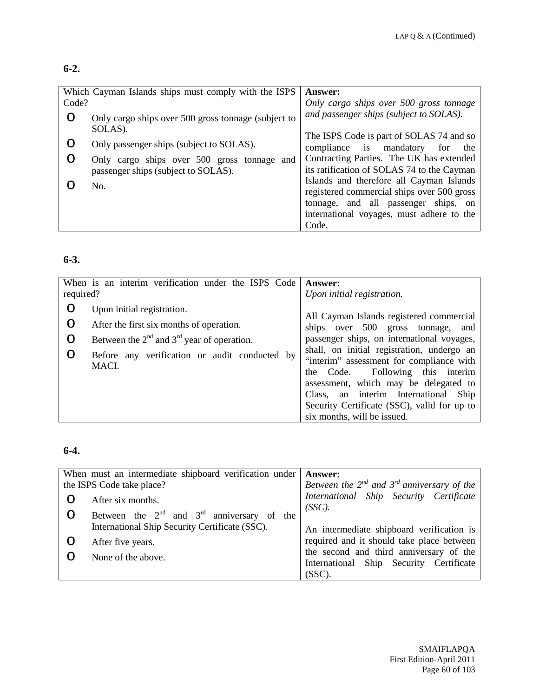#### **6-2.**

|       | Which Cayman Islands ships must comply with the ISPS           | <b>Answer:</b>                             |
|-------|----------------------------------------------------------------|--------------------------------------------|
| Code? |                                                                | Only cargo ships over 500 gross tonnage    |
| O     | Only cargo ships over 500 gross tonnage (subject to<br>SOLAS). | and passenger ships (subject to SOLAS).    |
|       |                                                                | The ISPS Code is part of SOLAS 74 and so   |
| Ő     | Only passenger ships (subject to SOLAS).                       | compliance is mandatory<br>for<br>the      |
| O     | Only cargo ships over 500 gross tonnage and                    | Contracting Parties. The UK has extended   |
|       | passenger ships (subject to SOLAS).                            | its ratification of SOLAS 74 to the Cayman |
|       | No.                                                            | Islands and therefore all Cayman Islands   |
|       |                                                                | registered commercial ships over 500 gross |
|       |                                                                | tonnage, and all passenger ships, on       |
|       |                                                                | international voyages, must adhere to the  |
|       |                                                                | Code.                                      |

### **6-3.**

| required? | When is an interim verification under the ISPS Code    | Answer:<br>Upon initial registration.                                                                                                                                                                                                                                                        |
|-----------|--------------------------------------------------------|----------------------------------------------------------------------------------------------------------------------------------------------------------------------------------------------------------------------------------------------------------------------------------------------|
| O         | Upon initial registration.                             |                                                                                                                                                                                                                                                                                              |
| $\circ$   | After the first six months of operation.               | All Cayman Islands registered commercial<br>ships over 500 gross tonnage,<br>and                                                                                                                                                                                                             |
| $\circ$   | Between the $2nd$ and $3rd$ year of operation.         | passenger ships, on international voyages,                                                                                                                                                                                                                                                   |
| O         | Before any verification or audit conducted by<br>MACI. | shall, on initial registration, undergo an<br>"interim" assessment for compliance with<br>the Code. Following this interim<br>assessment, which may be delegated to<br>Class, an interim International<br>Ship<br>Security Certificate (SSC), valid for up to<br>six months, will be issued. |

### **6-4.**

|   | When must an intermediate shipboard verification under<br>the ISPS Code take place? | <b>Answer:</b><br>Between the $2^{nd}$ and $3^{rd}$ anniversary of the             |
|---|-------------------------------------------------------------------------------------|------------------------------------------------------------------------------------|
|   | After six months.                                                                   | International Ship Security Certificate                                            |
| O | Between the $2^{nd}$ and $3^{rd}$ anniversary of the                                | $(SSC)$ .                                                                          |
|   | International Ship Security Certificate (SSC).                                      | An intermediate shipboard verification is                                          |
|   | After five years.                                                                   | required and it should take place between                                          |
|   | None of the above.                                                                  | the second and third anniversary of the<br>International Ship Security Certificate |
|   |                                                                                     | $(SSC)$ .                                                                          |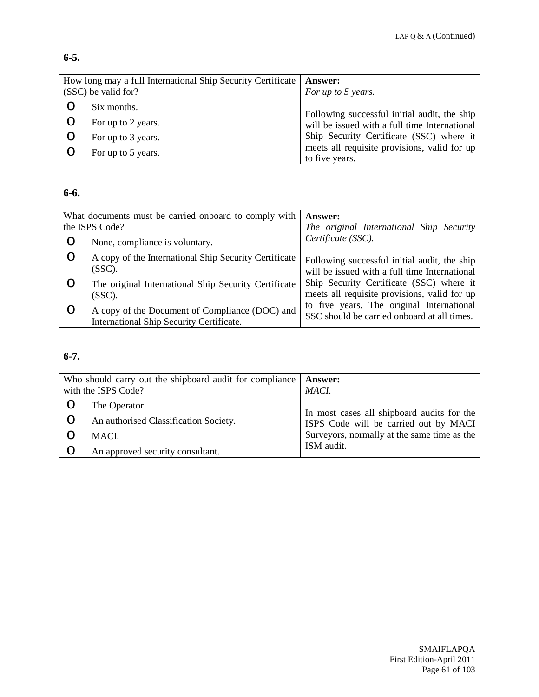## **6-5.**

| How long may a full International Ship Security Certificate<br>(SSC) be valid for? |                    | <b>Answer:</b><br>For up to 5 years.                                                          |
|------------------------------------------------------------------------------------|--------------------|-----------------------------------------------------------------------------------------------|
|                                                                                    |                    |                                                                                               |
|                                                                                    | Six months.        |                                                                                               |
|                                                                                    | For up to 2 years. | Following successful initial audit, the ship<br>will be issued with a full time International |
|                                                                                    |                    |                                                                                               |
|                                                                                    | For up to 3 years. | Ship Security Certificate (SSC) where it                                                      |
|                                                                                    |                    | meets all requisite provisions, valid for up                                                  |
|                                                                                    | For up to 5 years. | to five years.                                                                                |

### **6-6.**

| What documents must be carried onboard to comply with |                                                                                            | <b>Answer:</b>                                                                                |
|-------------------------------------------------------|--------------------------------------------------------------------------------------------|-----------------------------------------------------------------------------------------------|
| the ISPS Code?                                        |                                                                                            | The original International Ship Security                                                      |
|                                                       | None, compliance is voluntary.                                                             | Certificate (SSC).                                                                            |
|                                                       | A copy of the International Ship Security Certificate<br>(SSC).                            | Following successful initial audit, the ship<br>will be issued with a full time International |
|                                                       | The original International Ship Security Certificate<br>$(SSC)$ .                          | Ship Security Certificate (SSC) where it<br>meets all requisite provisions, valid for up      |
|                                                       | A copy of the Document of Compliance (DOC) and<br>International Ship Security Certificate. | to five years. The original International<br>SSC should be carried onboard at all times.      |

# **6-7.**

| Who should carry out the shipboard audit for compliance<br>with the ISPS Code? |                                       | Answer:<br>MACI.                            |
|--------------------------------------------------------------------------------|---------------------------------------|---------------------------------------------|
|                                                                                | The Operator.                         | In most cases all shipboard audits for the  |
|                                                                                | An authorised Classification Society. | ISPS Code will be carried out by MACI       |
|                                                                                | MACI.                                 | Surveyors, normally at the same time as the |
|                                                                                | An approved security consultant.      | ISM audit.                                  |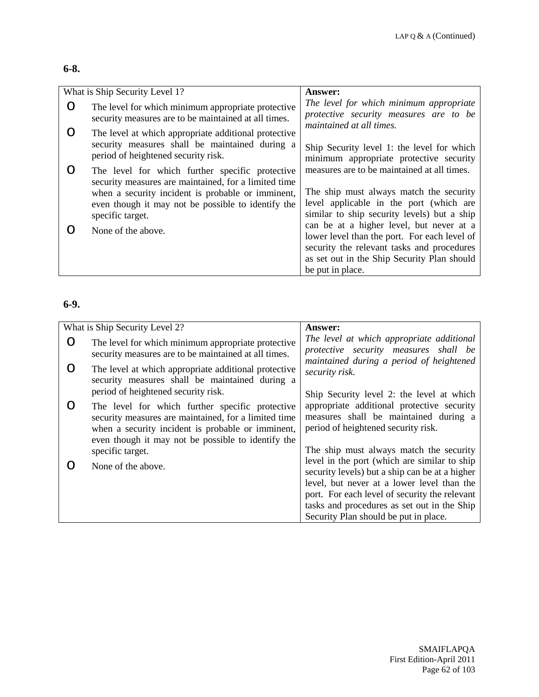#### **6-8.**

| What is Ship Security Level 1? |                                                                                                                                                                                                                                        | <b>Answer:</b>                                                                                                                                                                                            |
|--------------------------------|----------------------------------------------------------------------------------------------------------------------------------------------------------------------------------------------------------------------------------------|-----------------------------------------------------------------------------------------------------------------------------------------------------------------------------------------------------------|
| O                              | The level for which minimum appropriate protective<br>security measures are to be maintained at all times.                                                                                                                             | The level for which minimum appropriate<br>protective security measures are to be<br>maintained at all times.                                                                                             |
| O                              | The level at which appropriate additional protective<br>security measures shall be maintained during a<br>period of heightened security risk.                                                                                          | Ship Security level 1: the level for which<br>minimum appropriate protective security                                                                                                                     |
| O                              | The level for which further specific protective<br>security measures are maintained, for a limited time<br>when a security incident is probable or imminent,<br>even though it may not be possible to identify the<br>specific target. | measures are to be maintained at all times.<br>The ship must always match the security<br>level applicable in the port (which are<br>similar to ship security levels) but a ship                          |
|                                | None of the above.                                                                                                                                                                                                                     | can be at a higher level, but never at a<br>lower level than the port. For each level of<br>security the relevant tasks and procedures<br>as set out in the Ship Security Plan should<br>be put in place. |

#### **6-9.**

|           | What is Ship Security Level 2?                                                                                                                                                                                     | <b>Answer:</b>                                                                                                                               |
|-----------|--------------------------------------------------------------------------------------------------------------------------------------------------------------------------------------------------------------------|----------------------------------------------------------------------------------------------------------------------------------------------|
| O         | The level for which minimum appropriate protective<br>security measures are to be maintained at all times.                                                                                                         | The level at which appropriate additional<br>protective security measures shall be<br>maintained during a period of heightened               |
| $\bigcap$ | The level at which appropriate additional protective<br>security measures shall be maintained during a                                                                                                             | security risk.                                                                                                                               |
|           | period of heightened security risk.                                                                                                                                                                                | Ship Security level 2: the level at which                                                                                                    |
| ( )       | The level for which further specific protective<br>security measures are maintained, for a limited time<br>when a security incident is probable or imminent,<br>even though it may not be possible to identify the | appropriate additional protective security<br>measures shall be maintained during a<br>period of heightened security risk.                   |
|           | specific target.                                                                                                                                                                                                   | The ship must always match the security                                                                                                      |
|           | None of the above.                                                                                                                                                                                                 | level in the port (which are similar to ship<br>security levels) but a ship can be at a higher<br>level, but never at a lower level than the |
|           |                                                                                                                                                                                                                    | port. For each level of security the relevant                                                                                                |
|           |                                                                                                                                                                                                                    | tasks and procedures as set out in the Ship                                                                                                  |
|           |                                                                                                                                                                                                                    | Security Plan should be put in place.                                                                                                        |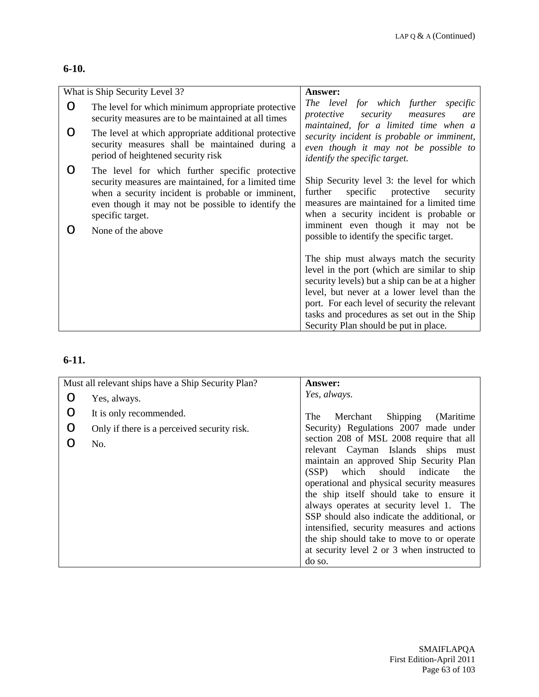#### **6-10.**

|   | What is Ship Security Level 3?                                                                                                                                                                                                         | <b>Answer:</b>                                                                                                                                                                                                                                                                                                                   |
|---|----------------------------------------------------------------------------------------------------------------------------------------------------------------------------------------------------------------------------------------|----------------------------------------------------------------------------------------------------------------------------------------------------------------------------------------------------------------------------------------------------------------------------------------------------------------------------------|
| O | The level for which minimum appropriate protective<br>security measures are to be maintained at all times                                                                                                                              | The level for which further specific<br>protective<br>security<br>measures<br>are<br>maintained, for a limited time when a                                                                                                                                                                                                       |
| O | The level at which appropriate additional protective<br>security measures shall be maintained during a<br>period of heightened security risk                                                                                           | security incident is probable or imminent,<br>even though it may not be possible to<br><i>identify the specific target.</i>                                                                                                                                                                                                      |
| O | The level for which further specific protective<br>security measures are maintained, for a limited time<br>when a security incident is probable or imminent,<br>even though it may not be possible to identify the<br>specific target. | Ship Security level 3: the level for which<br>further<br>specific<br>protective<br>security<br>measures are maintained for a limited time<br>when a security incident is probable or<br>imminent even though it may not be                                                                                                       |
| ∩ | None of the above                                                                                                                                                                                                                      | possible to identify the specific target.                                                                                                                                                                                                                                                                                        |
|   |                                                                                                                                                                                                                                        | The ship must always match the security<br>level in the port (which are similar to ship<br>security levels) but a ship can be at a higher<br>level, but never at a lower level than the<br>port. For each level of security the relevant<br>tasks and procedures as set out in the Ship<br>Security Plan should be put in place. |

# **6-11.**

|   | Must all relevant ships have a Ship Security Plan? | <b>Answer:</b>                                                                                                                                                                                                                                                                                                                                                                                                                                                                                     |
|---|----------------------------------------------------|----------------------------------------------------------------------------------------------------------------------------------------------------------------------------------------------------------------------------------------------------------------------------------------------------------------------------------------------------------------------------------------------------------------------------------------------------------------------------------------------------|
| ∩ | Yes, always.                                       | Yes, always.                                                                                                                                                                                                                                                                                                                                                                                                                                                                                       |
| O | It is only recommended.                            | Merchant Shipping (Maritime<br>The                                                                                                                                                                                                                                                                                                                                                                                                                                                                 |
| O | Only if there is a perceived security risk.        | Security) Regulations 2007 made under                                                                                                                                                                                                                                                                                                                                                                                                                                                              |
|   | No.                                                | section 208 of MSL 2008 require that all<br>relevant Cayman Islands ships must<br>maintain an approved Ship Security Plan<br>which should indicate<br>(SSP)<br>the<br>operational and physical security measures<br>the ship itself should take to ensure it<br>always operates at security level 1. The<br>SSP should also indicate the additional, or<br>intensified, security measures and actions<br>the ship should take to move to or operate<br>at security level 2 or 3 when instructed to |
|   |                                                    | do so.                                                                                                                                                                                                                                                                                                                                                                                                                                                                                             |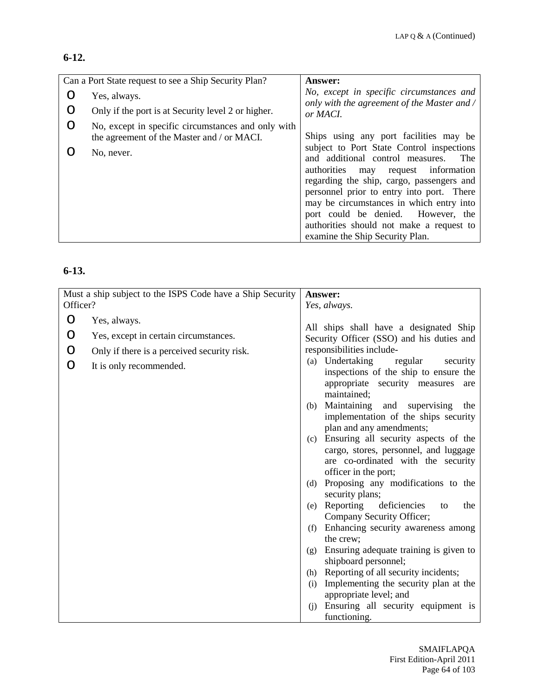#### **6-12.**

|   | Can a Port State request to see a Ship Security Plan?                                            | <b>Answer:</b>                                                                          |
|---|--------------------------------------------------------------------------------------------------|-----------------------------------------------------------------------------------------|
|   | Yes, always.                                                                                     | No, except in specific circumstances and<br>only with the agreement of the Master and / |
|   | Only if the port is at Security level 2 or higher.                                               | or MACI.                                                                                |
| O | No, except in specific circumstances and only with<br>the agreement of the Master and / or MACI. | Ships using any port facilities may be                                                  |
|   | No, never.                                                                                       | subject to Port State Control inspections<br>and additional control measures.<br>The    |
|   |                                                                                                  | authorities may request information<br>regarding the ship, cargo, passengers and        |
|   |                                                                                                  | personnel prior to entry into port. There                                               |
|   |                                                                                                  | may be circumstances in which entry into<br>port could be denied. However, the          |
|   |                                                                                                  | authorities should not make a request to                                                |
|   |                                                                                                  | examine the Ship Security Plan.                                                         |

### **6-13.**

|          | Must a ship subject to the ISPS Code have a Ship Security |     | Answer:                                                                |
|----------|-----------------------------------------------------------|-----|------------------------------------------------------------------------|
| Officer? |                                                           |     | Yes, always.                                                           |
| O        | Yes, always.                                              |     |                                                                        |
| O        | Yes, except in certain circumstances.                     |     | All ships shall have a designated Ship                                 |
| O        | Only if there is a perceived security risk.               |     | Security Officer (SSO) and his duties and<br>responsibilities include- |
|          |                                                           |     | (a) Undertaking<br>regular<br>security                                 |
| O        | It is only recommended.                                   |     | inspections of the ship to ensure the                                  |
|          |                                                           |     | appropriate security measures<br>are<br>maintained;                    |
|          |                                                           | (b) | Maintaining and supervising<br>the                                     |
|          |                                                           |     | implementation of the ships security                                   |
|          |                                                           |     | plan and any amendments;                                               |
|          |                                                           | (c) | Ensuring all security aspects of the                                   |
|          |                                                           |     | cargo, stores, personnel, and luggage                                  |
|          |                                                           |     | are co-ordinated with the security                                     |
|          |                                                           |     | officer in the port;                                                   |
|          |                                                           | (d) | Proposing any modifications to the<br>security plans;                  |
|          |                                                           | (e) | Reporting deficiencies<br>the<br>to                                    |
|          |                                                           |     | Company Security Officer;                                              |
|          |                                                           | (f) | Enhancing security awareness among                                     |
|          |                                                           |     | the crew:                                                              |
|          |                                                           | (g) | Ensuring adequate training is given to                                 |
|          |                                                           |     | shipboard personnel;                                                   |
|          |                                                           | (h) | Reporting of all security incidents;                                   |
|          |                                                           | (i) | Implementing the security plan at the<br>appropriate level; and        |
|          |                                                           | (i) | Ensuring all security equipment is                                     |
|          |                                                           |     | functioning.                                                           |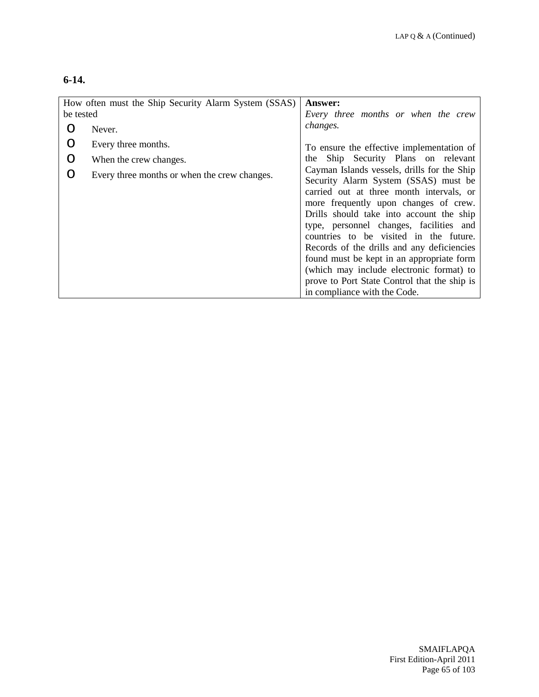## **6-14.**

| How often must the Ship Security Alarm System (SSAS)<br>be tested |                                              | <b>Answer:</b><br>Every three months or when the crew                                                                                                                                                                                                                                                                                                                                                                                                                                                                            |
|-------------------------------------------------------------------|----------------------------------------------|----------------------------------------------------------------------------------------------------------------------------------------------------------------------------------------------------------------------------------------------------------------------------------------------------------------------------------------------------------------------------------------------------------------------------------------------------------------------------------------------------------------------------------|
|                                                                   | Never.                                       | changes.                                                                                                                                                                                                                                                                                                                                                                                                                                                                                                                         |
| O                                                                 | Every three months.                          | To ensure the effective implementation of                                                                                                                                                                                                                                                                                                                                                                                                                                                                                        |
| O                                                                 | When the crew changes.                       | Ship Security Plans on relevant<br>the                                                                                                                                                                                                                                                                                                                                                                                                                                                                                           |
| ∩                                                                 | Every three months or when the crew changes. | Cayman Islands vessels, drills for the Ship<br>Security Alarm System (SSAS) must be<br>carried out at three month intervals, or<br>more frequently upon changes of crew.<br>Drills should take into account the ship<br>type, personnel changes, facilities and<br>countries to be visited in the future.<br>Records of the drills and any deficiencies<br>found must be kept in an appropriate form<br>(which may include electronic format) to<br>prove to Port State Control that the ship is<br>in compliance with the Code. |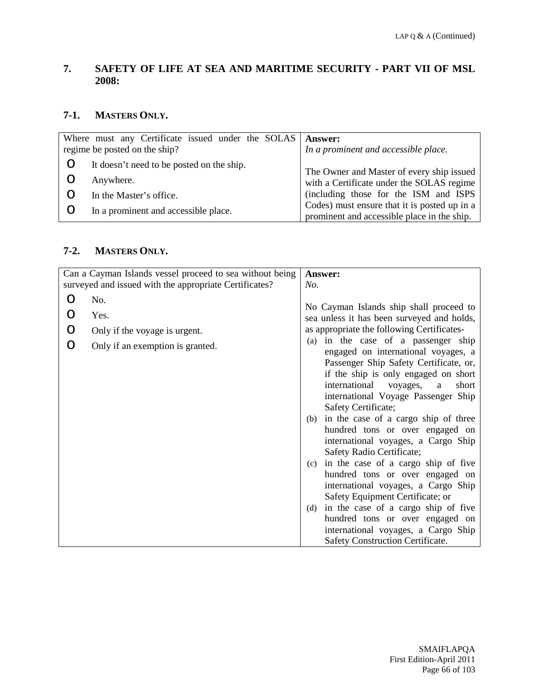### **7. SAFETY OF LIFE AT SEA AND MARITIME SECURITY - PART VII OF MSL 2008:**

#### **7-1. MASTERS ONLY.**

| Where must any Certificate issued under the SOLAS | <b>Answer:</b>                                                                              |
|---------------------------------------------------|---------------------------------------------------------------------------------------------|
| regime be posted on the ship?                     | In a prominent and accessible place.                                                        |
| It doesn't need to be posted on the ship.         | The Owner and Master of every ship issued                                                   |
| Anywhere.                                         | with a Certificate under the SOLAS regime                                                   |
| In the Master's office.                           | (including those for the ISM and ISPS                                                       |
| In a prominent and accessible place.              | Codes) must ensure that it is posted up in a<br>prominent and accessible place in the ship. |

#### **7-2. MASTERS ONLY.**

|                         | Can a Cayman Islands vessel proceed to sea without being                         | Answer:                                                                                                                                                                                                                                                                                                                                                                                                                                                     |
|-------------------------|----------------------------------------------------------------------------------|-------------------------------------------------------------------------------------------------------------------------------------------------------------------------------------------------------------------------------------------------------------------------------------------------------------------------------------------------------------------------------------------------------------------------------------------------------------|
|                         | surveyed and issued with the appropriate Certificates?                           | No.                                                                                                                                                                                                                                                                                                                                                                                                                                                         |
| $\Omega$<br>O<br>O<br>O | No.<br>Yes.<br>Only if the voyage is urgent.<br>Only if an exemption is granted. | No Cayman Islands ship shall proceed to<br>sea unless it has been surveyed and holds,<br>as appropriate the following Certificates-<br>(a) in the case of a passenger ship<br>engaged on international voyages, a<br>Passenger Ship Safety Certificate, or,<br>if the ship is only engaged on short<br>international<br>voyages,<br>short<br>a<br>international Voyage Passenger Ship<br>Safety Certificate;<br>in the case of a cargo ship of three<br>(b) |
|                         |                                                                                  | hundred tons or over engaged on<br>international voyages, a Cargo Ship<br>Safety Radio Certificate;<br>in the case of a cargo ship of five<br>(c)<br>hundred tons or over engaged on<br>international voyages, a Cargo Ship<br>Safety Equipment Certificate; or<br>in the case of a cargo ship of five<br>(d)<br>hundred tons or over engaged on<br>international voyages, a Cargo Ship<br>Safety Construction Certificate.                                 |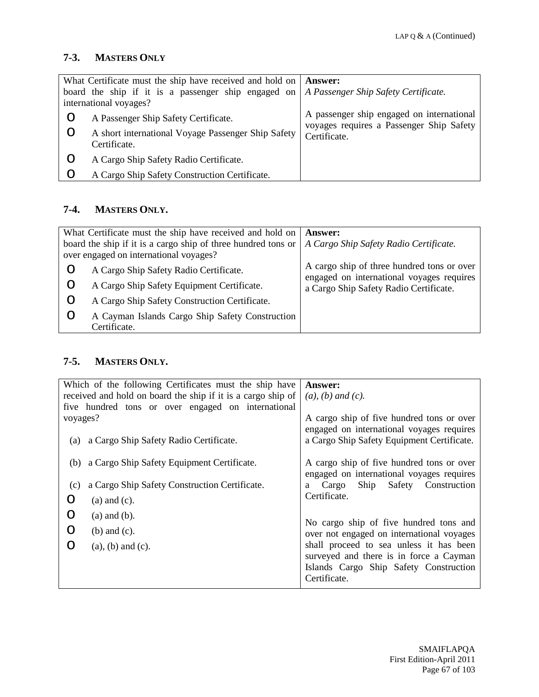### **7-3. MASTERS ONLY**

|   | What Certificate must the ship have received and hold on   Answer: |                                                                                       |
|---|--------------------------------------------------------------------|---------------------------------------------------------------------------------------|
|   | board the ship if it is a passenger ship engaged on                | A Passenger Ship Safety Certificate.                                                  |
|   | international voyages?                                             |                                                                                       |
| Ő | A Passenger Ship Safety Certificate.                               | A passenger ship engaged on international<br>voyages requires a Passenger Ship Safety |
| Ő | A short international Voyage Passenger Ship Safety                 | Certificate.                                                                          |
|   | Certificate.                                                       |                                                                                       |
| Ő | A Cargo Ship Safety Radio Certificate.                             |                                                                                       |
|   | A Cargo Ship Safety Construction Certificate.                      |                                                                                       |

## **7-4. MASTERS ONLY.**

| What Certificate must the ship have received and hold on<br>board the ship if it is a cargo ship of three hundred tons or<br>over engaged on international voyages? | <b>Answer:</b><br>A Cargo Ship Safety Radio Certificate.                                |
|---------------------------------------------------------------------------------------------------------------------------------------------------------------------|-----------------------------------------------------------------------------------------|
| A Cargo Ship Safety Radio Certificate.                                                                                                                              | A cargo ship of three hundred tons or over<br>engaged on international voyages requires |
| A Cargo Ship Safety Equipment Certificate.                                                                                                                          | a Cargo Ship Safety Radio Certificate.                                                  |
| A Cargo Ship Safety Construction Certificate.                                                                                                                       |                                                                                         |
| A Cayman Islands Cargo Ship Safety Construction<br>Certificate.                                                                                                     |                                                                                         |

### **7-5. MASTERS ONLY.**

| received and hold on board the ship if it is a cargo ship of<br>$(a)$ , $(b)$ and $(c)$ .<br>five hundred tons or over engaged on international<br>voyages?<br>engaged on international voyages requires<br>a Cargo Ship Safety Equipment Certificate.<br>a Cargo Ship Safety Radio Certificate.<br>(a) | Which of the following Certificates must the ship have | <b>Answer:</b>                                                                      |
|---------------------------------------------------------------------------------------------------------------------------------------------------------------------------------------------------------------------------------------------------------------------------------------------------------|--------------------------------------------------------|-------------------------------------------------------------------------------------|
|                                                                                                                                                                                                                                                                                                         |                                                        |                                                                                     |
|                                                                                                                                                                                                                                                                                                         |                                                        |                                                                                     |
|                                                                                                                                                                                                                                                                                                         |                                                        | A cargo ship of five hundred tons or over                                           |
|                                                                                                                                                                                                                                                                                                         |                                                        |                                                                                     |
|                                                                                                                                                                                                                                                                                                         |                                                        |                                                                                     |
| a Cargo Ship Safety Equipment Certificate.<br>(b)                                                                                                                                                                                                                                                       |                                                        | A cargo ship of five hundred tons or over                                           |
|                                                                                                                                                                                                                                                                                                         |                                                        | engaged on international voyages requires                                           |
| a Cargo Ship<br>a Cargo Ship Safety Construction Certificate.<br>(c)                                                                                                                                                                                                                                    |                                                        | Safety Construction                                                                 |
| Certificate.<br>O<br>$(a)$ and $(c)$ .                                                                                                                                                                                                                                                                  |                                                        |                                                                                     |
| O<br>$(a)$ and $(b)$ .                                                                                                                                                                                                                                                                                  |                                                        |                                                                                     |
| O<br>$(b)$ and $(c)$ .                                                                                                                                                                                                                                                                                  |                                                        | No cargo ship of five hundred tons and<br>over not engaged on international voyages |
| ∩<br>$(a)$ , $(b)$ and $(c)$ .                                                                                                                                                                                                                                                                          |                                                        | shall proceed to sea unless it has been                                             |
|                                                                                                                                                                                                                                                                                                         |                                                        | surveyed and there is in force a Cayman                                             |
|                                                                                                                                                                                                                                                                                                         |                                                        | Islands Cargo Ship Safety Construction                                              |
| Certificate.                                                                                                                                                                                                                                                                                            |                                                        |                                                                                     |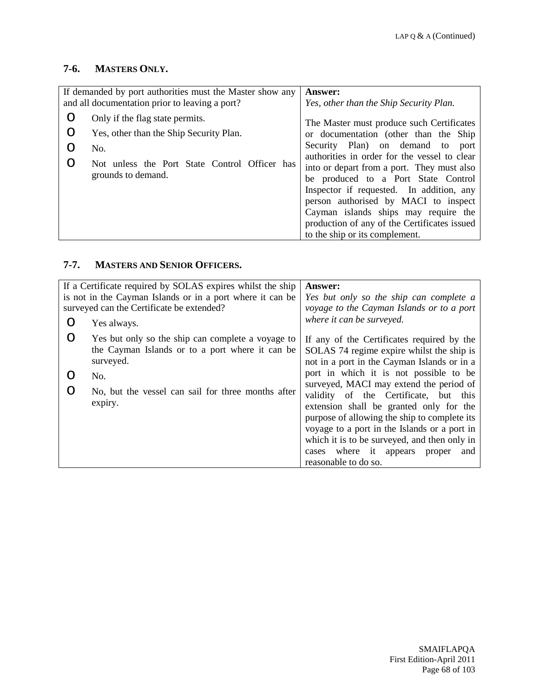# **7-6. MASTERS ONLY.**

|             | If demanded by port authorities must the Master show any<br>and all documentation prior to leaving a port?                                               | <b>Answer:</b><br>Yes, other than the Ship Security Plan.                                                                                                                                                                                                                                                                                                                                                                                                                    |
|-------------|----------------------------------------------------------------------------------------------------------------------------------------------------------|------------------------------------------------------------------------------------------------------------------------------------------------------------------------------------------------------------------------------------------------------------------------------------------------------------------------------------------------------------------------------------------------------------------------------------------------------------------------------|
| O<br>O<br>O | Only if the flag state permits.<br>Yes, other than the Ship Security Plan.<br>No.<br>Not unless the Port State Control Officer has<br>grounds to demand. | The Master must produce such Certificates<br>or documentation (other than the Ship<br>Security Plan) on demand to<br>port<br>authorities in order for the vessel to clear<br>into or depart from a port. They must also<br>be produced to a Port State Control<br>Inspector if requested. In addition, any<br>person authorised by MACI to inspect<br>Cayman islands ships may require the<br>production of any of the Certificates issued<br>to the ship or its complement. |

## **7-7. MASTERS AND SENIOR OFFICERS.**

|   | If a Certificate required by SOLAS expires whilst the ship | Answer:                                      |
|---|------------------------------------------------------------|----------------------------------------------|
|   | is not in the Cayman Islands or in a port where it can be  | Yes but only so the ship can complete a      |
|   | surveyed can the Certificate be extended?                  | voyage to the Cayman Islands or to a port    |
| ∩ | Yes always.                                                | where it can be surveyed.                    |
| O | Yes but only so the ship can complete a voyage to          | If any of the Certificates required by the   |
|   | the Cayman Islands or to a port where it can be            | SOLAS 74 regime expire whilst the ship is    |
|   | surveyed.                                                  | not in a port in the Cayman Islands or in a  |
|   | No.                                                        | port in which it is not possible to be       |
| ∩ | No, but the vessel can sail for three months after         | surveyed, MACI may extend the period of      |
|   |                                                            | validity of the Certificate, but this        |
|   | expiry.                                                    | extension shall be granted only for the      |
|   |                                                            | purpose of allowing the ship to complete its |
|   |                                                            | voyage to a port in the Islands or a port in |
|   |                                                            | which it is to be surveyed, and then only in |
|   |                                                            | cases where it appears proper<br>and         |
|   |                                                            | reasonable to do so.                         |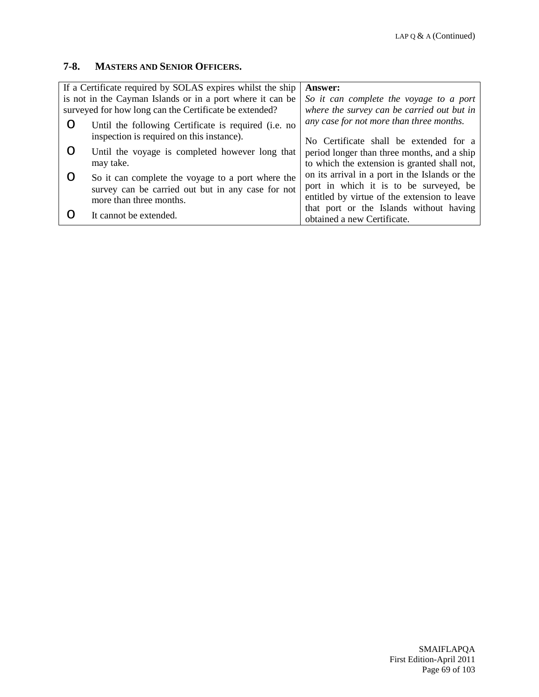#### **7-8. MASTERS AND SENIOR OFFICERS.**

| If a Certificate required by SOLAS expires whilst the ship | Answer:                                        |
|------------------------------------------------------------|------------------------------------------------|
| is not in the Cayman Islands or in a port where it can be  | So it can complete the voyage to a port        |
| surveyed for how long can the Certificate be extended?     | where the survey can be carried out but in     |
| Until the following Certificate is required (i.e. no       | any case for not more than three months.       |
| inspection is required on this instance).                  | No Certificate shall be extended for a         |
| Until the voyage is completed however long that            | period longer than three months, and a ship    |
| may take.                                                  | to which the extension is granted shall not,   |
| So it can complete the voyage to a port where the          | on its arrival in a port in the Islands or the |
| survey can be carried out but in any case for not          | port in which it is to be surveyed, be         |
| more than three months.                                    | entitled by virtue of the extension to leave   |
|                                                            | that port or the Islands without having        |
| It cannot be extended.                                     | obtained a new Certificate.                    |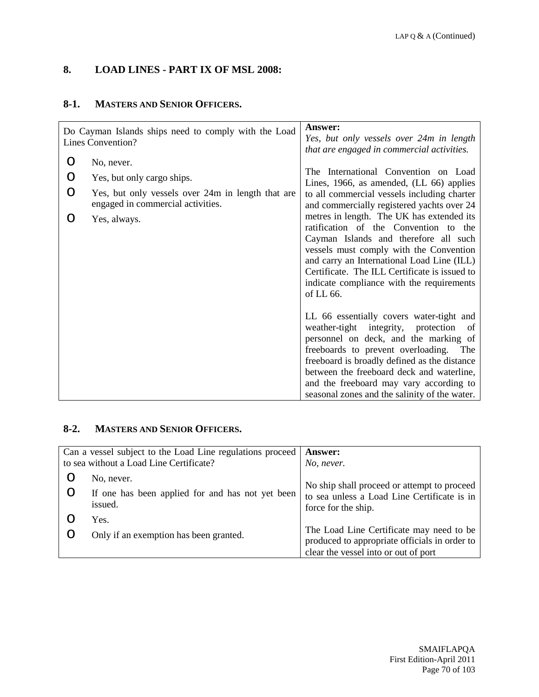# **8. LOAD LINES - PART IX OF MSL 2008:**

#### **8-1. MASTERS AND SENIOR OFFICERS.**

|   | Do Cayman Islands ships need to comply with the Load<br>Lines Convention?              | Answer:<br>Yes, but only vessels over 24m in length<br>that are engaged in commercial activities.                                                                                                                                                                                                                                                                    |
|---|----------------------------------------------------------------------------------------|----------------------------------------------------------------------------------------------------------------------------------------------------------------------------------------------------------------------------------------------------------------------------------------------------------------------------------------------------------------------|
| O | No, never.                                                                             | The International Convention on Load                                                                                                                                                                                                                                                                                                                                 |
| O | Yes, but only cargo ships.                                                             | Lines, 1966, as amended, (LL 66) applies                                                                                                                                                                                                                                                                                                                             |
| O | Yes, but only vessels over 24m in length that are<br>engaged in commercial activities. | to all commercial vessels including charter<br>and commercially registered yachts over 24                                                                                                                                                                                                                                                                            |
| O | Yes, always.                                                                           | metres in length. The UK has extended its<br>ratification of the Convention to the<br>Cayman Islands and therefore all such<br>vessels must comply with the Convention<br>and carry an International Load Line (ILL)<br>Certificate. The ILL Certificate is issued to<br>indicate compliance with the requirements<br>of LL 66.                                      |
|   |                                                                                        | LL 66 essentially covers water-tight and<br>weather-tight integrity, protection<br>of<br>personnel on deck, and the marking of<br>freeboards to prevent overloading.<br>The<br>freeboard is broadly defined as the distance<br>between the freeboard deck and waterline,<br>and the freeboard may vary according to<br>seasonal zones and the salinity of the water. |

### **8-2. MASTERS AND SENIOR OFFICERS.**

| Can a vessel subject to the Load Line regulations proceed  <br>to sea without a Load Line Certificate? | <b>Answer:</b><br>No, never.                                                                                      |
|--------------------------------------------------------------------------------------------------------|-------------------------------------------------------------------------------------------------------------------|
| No, never.                                                                                             |                                                                                                                   |
| If one has been applied for and has not yet been<br>issued.                                            | No ship shall proceed or attempt to proceed<br>to sea unless a Load Line Certificate is in<br>force for the ship. |
| Yes.                                                                                                   |                                                                                                                   |
| Only if an exemption has been granted.                                                                 | The Load Line Certificate may need to be                                                                          |
|                                                                                                        | produced to appropriate officials in order to<br>clear the vessel into or out of port                             |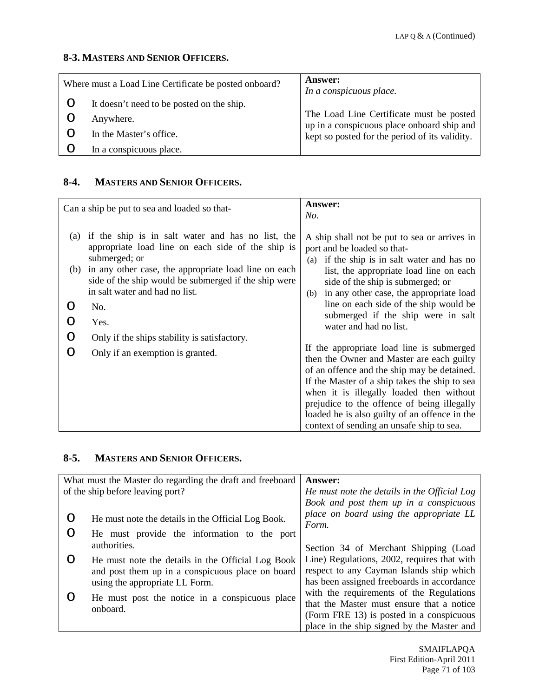#### **8-3. MASTERS AND SENIOR OFFICERS.**

| Where must a Load Line Certificate be posted onboard? |                                           | <b>Answer:</b><br>In a conspicuous place.                                              |
|-------------------------------------------------------|-------------------------------------------|----------------------------------------------------------------------------------------|
|                                                       | It doesn't need to be posted on the ship. |                                                                                        |
|                                                       | Anywhere.                                 | The Load Line Certificate must be posted<br>up in a conspicuous place onboard ship and |
|                                                       | In the Master's office.                   | kept so posted for the period of its validity.                                         |
|                                                       | In a conspicuous place.                   |                                                                                        |

#### **8-4. MASTERS AND SENIOR OFFICERS.**

|            | Can a ship be put to sea and loaded so that-                                                                                                                                                                                                                              | <b>Answer:</b><br>No.                                                                                                                                                                                                                                                                                                                                                           |
|------------|---------------------------------------------------------------------------------------------------------------------------------------------------------------------------------------------------------------------------------------------------------------------------|---------------------------------------------------------------------------------------------------------------------------------------------------------------------------------------------------------------------------------------------------------------------------------------------------------------------------------------------------------------------------------|
| (a)<br>(b) | if the ship is in salt water and has no list, the<br>appropriate load line on each side of the ship is<br>submerged; or<br>in any other case, the appropriate load line on each<br>side of the ship would be submerged if the ship were<br>in salt water and had no list. | A ship shall not be put to sea or arrives in<br>port and be loaded so that-<br>if the ship is in salt water and has no<br>(a)<br>list, the appropriate load line on each<br>side of the ship is submerged; or<br>in any other case, the appropriate load<br>(b)                                                                                                                 |
|            | No.                                                                                                                                                                                                                                                                       | line on each side of the ship would be                                                                                                                                                                                                                                                                                                                                          |
|            | Yes.                                                                                                                                                                                                                                                                      | submerged if the ship were in salt<br>water and had no list.                                                                                                                                                                                                                                                                                                                    |
| O          | Only if the ships stability is satisfactory.                                                                                                                                                                                                                              |                                                                                                                                                                                                                                                                                                                                                                                 |
| ∩          | Only if an exemption is granted.                                                                                                                                                                                                                                          | If the appropriate load line is submerged<br>then the Owner and Master are each guilty<br>of an offence and the ship may be detained.<br>If the Master of a ship takes the ship to sea<br>when it is illegally loaded then without<br>prejudice to the offence of being illegally<br>loaded he is also guilty of an offence in the<br>context of sending an unsafe ship to sea. |

### **8-5. MASTERS AND SENIOR OFFICERS.**

|                                  | What must the Master do regarding the draft and freeboard  | Answer:                                          |
|----------------------------------|------------------------------------------------------------|--------------------------------------------------|
| of the ship before leaving port? |                                                            | He must note the details in the Official Log     |
|                                  |                                                            | Book and post them up in a conspicuous           |
| O                                | He must note the details in the Official Log Book.         | place on board using the appropriate LL<br>Form. |
|                                  | He must provide the information to the port                |                                                  |
|                                  | authorities.                                               | Section 34 of Merchant Shipping (Load            |
| ( )                              | He must note the details in the Official Log Book          | Line) Regulations, 2002, requires that with      |
|                                  | and post them up in a conspicuous place on board           | respect to any Cayman Islands ship which         |
|                                  | using the appropriate LL Form.                             | has been assigned freeboards in accordance       |
|                                  | He must post the notice in a conspicuous place<br>onboard. | with the requirements of the Regulations         |
|                                  |                                                            | that the Master must ensure that a notice        |
|                                  |                                                            | (Form FRE 13) is posted in a conspicuous         |
|                                  |                                                            | place in the ship signed by the Master and       |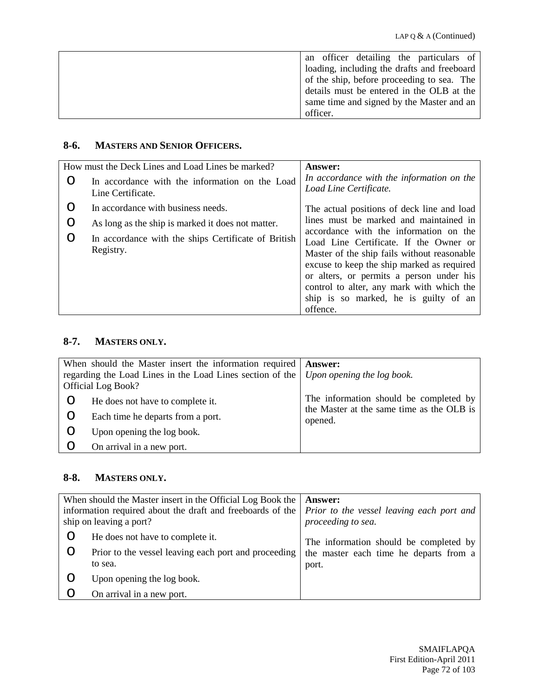| an officer detailing the particulars of     |
|---------------------------------------------|
| loading, including the drafts and freeboard |
| of the ship, before proceeding to sea. The  |
| details must be entered in the OLB at the   |
| same time and signed by the Master and an   |
| officer.                                    |

#### **8-6. MASTERS AND SENIOR OFFICERS.**

| How must the Deck Lines and Load Lines be marked? |                                                                     | Answer:                                                                                                                                                                                                                                                                                                                     |
|---------------------------------------------------|---------------------------------------------------------------------|-----------------------------------------------------------------------------------------------------------------------------------------------------------------------------------------------------------------------------------------------------------------------------------------------------------------------------|
| O                                                 | In accordance with the information on the Load<br>Line Certificate. | In accordance with the information on the<br>Load Line Certificate.                                                                                                                                                                                                                                                         |
|                                                   | In accordance with business needs.                                  | The actual positions of deck line and load                                                                                                                                                                                                                                                                                  |
| O                                                 | As long as the ship is marked it does not matter.                   | lines must be marked and maintained in                                                                                                                                                                                                                                                                                      |
| O                                                 | In accordance with the ships Certificate of British<br>Registry.    | accordance with the information on the<br>Load Line Certificate. If the Owner or<br>Master of the ship fails without reasonable<br>excuse to keep the ship marked as required<br>or alters, or permits a person under his<br>control to alter, any mark with which the<br>ship is so marked, he is guilty of an<br>offence. |

## **8-7. MASTERS ONLY.**

| When should the Master insert the information required   Answer:<br>regarding the Load Lines in the Load Lines section of the   Upon opening the log book.<br><b>Official Log Book?</b> |                                   |                                                      |
|-----------------------------------------------------------------------------------------------------------------------------------------------------------------------------------------|-----------------------------------|------------------------------------------------------|
| $\cup$                                                                                                                                                                                  | He does not have to complete it.  | The information should be completed by               |
|                                                                                                                                                                                         | Each time he departs from a port. | the Master at the same time as the OLB is<br>opened. |
|                                                                                                                                                                                         | Upon opening the log book.        |                                                      |
|                                                                                                                                                                                         | On arrival in a new port.         |                                                      |

#### **8-8. MASTERS ONLY.**

| When should the Master insert in the Official Log Book the<br>information required about the draft and freeboards of the $\vert$ <i>Prior to the vessel leaving each port and</i><br>ship on leaving a port? |                                                                 | <b>Answer:</b><br>proceeding to sea.            |
|--------------------------------------------------------------------------------------------------------------------------------------------------------------------------------------------------------------|-----------------------------------------------------------------|-------------------------------------------------|
| Ő                                                                                                                                                                                                            | He does not have to complete it.                                | The information should be completed by          |
| Ő                                                                                                                                                                                                            | Prior to the vessel leaving each port and proceeding<br>to sea. | the master each time he departs from a<br>port. |
|                                                                                                                                                                                                              | Upon opening the log book.                                      |                                                 |
|                                                                                                                                                                                                              | On arrival in a new port.                                       |                                                 |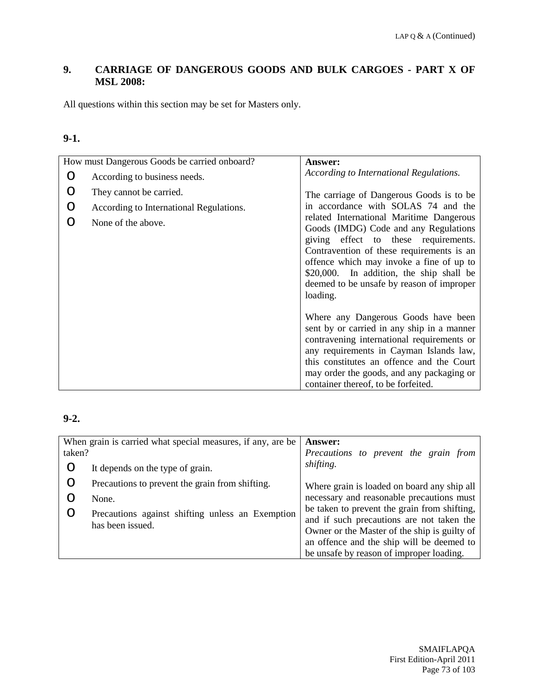# **9. CARRIAGE OF DANGEROUS GOODS AND BULK CARGOES - PART X OF MSL 2008:**

All questions within this section may be set for Masters only.

#### **9-1.**

|   | How must Dangerous Goods be carried onboard?                  | <b>Answer:</b>                                                                                                                                                                                                                                                                                                          |
|---|---------------------------------------------------------------|-------------------------------------------------------------------------------------------------------------------------------------------------------------------------------------------------------------------------------------------------------------------------------------------------------------------------|
| O | According to business needs.                                  | According to International Regulations.                                                                                                                                                                                                                                                                                 |
| ∩ | They cannot be carried.                                       | The carriage of Dangerous Goods is to be<br>in accordance with SOLAS 74 and the                                                                                                                                                                                                                                         |
|   | According to International Regulations.<br>None of the above. | related International Maritime Dangerous<br>Goods (IMDG) Code and any Regulations<br>giving effect to these requirements.<br>Contravention of these requirements is an<br>offence which may invoke a fine of up to<br>\$20,000. In addition, the ship shall be<br>deemed to be unsafe by reason of improper<br>loading. |
|   |                                                               | Where any Dangerous Goods have been<br>sent by or carried in any ship in a manner<br>contravening international requirements or<br>any requirements in Cayman Islands law,<br>this constitutes an offence and the Court<br>may order the goods, and any packaging or<br>container thereof, to be forfeited.             |

| When grain is carried what special measures, if any, are be |                                                                      | <b>Answer:</b>                                                                                                                                                                                                                     |
|-------------------------------------------------------------|----------------------------------------------------------------------|------------------------------------------------------------------------------------------------------------------------------------------------------------------------------------------------------------------------------------|
| taken?                                                      |                                                                      | Precautions to prevent the grain from                                                                                                                                                                                              |
| O                                                           | It depends on the type of grain.                                     | shifting.                                                                                                                                                                                                                          |
| O                                                           | Precautions to prevent the grain from shifting.                      | Where grain is loaded on board any ship all                                                                                                                                                                                        |
|                                                             | None.                                                                | necessary and reasonable precautions must                                                                                                                                                                                          |
|                                                             | Precautions against shifting unless an Exemption<br>has been issued. | be taken to prevent the grain from shifting,<br>and if such precautions are not taken the<br>Owner or the Master of the ship is guilty of<br>an offence and the ship will be deemed to<br>be unsafe by reason of improper loading. |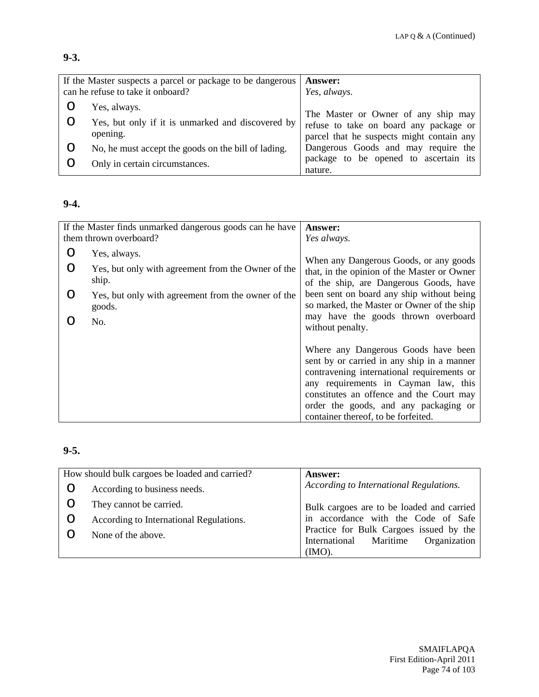# **9-3.**

| If the Master suspects a parcel or package to be dangerous |                                                               | <b>Answer:</b>                                                                      |
|------------------------------------------------------------|---------------------------------------------------------------|-------------------------------------------------------------------------------------|
| can he refuse to take it onboard?                          |                                                               | Yes, always.                                                                        |
|                                                            | Yes, always.                                                  | The Master or Owner of any ship may                                                 |
|                                                            | Yes, but only if it is unmarked and discovered by<br>opening. | refuse to take on board any package or<br>parcel that he suspects might contain any |
|                                                            | No, he must accept the goods on the bill of lading.           | Dangerous Goods and may require the                                                 |
|                                                            | Only in certain circumstances.                                | package to be opened to ascertain its<br>nature.                                    |

## **9-4.**

|        | If the Master finds unmarked dangerous goods can he have<br>them thrown overboard? | <b>Answer:</b><br>Yes always.                                                                                                                                                                                                                                                                       |
|--------|------------------------------------------------------------------------------------|-----------------------------------------------------------------------------------------------------------------------------------------------------------------------------------------------------------------------------------------------------------------------------------------------------|
| O<br>∩ | Yes, always.<br>Yes, but only with agreement from the Owner of the<br>ship.        | When any Dangerous Goods, or any goods<br>that, in the opinion of the Master or Owner                                                                                                                                                                                                               |
| O      | Yes, but only with agreement from the owner of the<br>goods.<br>No.                | of the ship, are Dangerous Goods, have<br>been sent on board any ship without being<br>so marked, the Master or Owner of the ship<br>may have the goods thrown overboard<br>without penalty.                                                                                                        |
|        |                                                                                    | Where any Dangerous Goods have been<br>sent by or carried in any ship in a manner<br>contravening international requirements or<br>any requirements in Cayman law, this<br>constitutes an offence and the Court may<br>order the goods, and any packaging or<br>container thereof, to be forfeited. |

# **9-5.**

|   | How should bulk cargoes be loaded and carried? | <b>Answer:</b>                            |
|---|------------------------------------------------|-------------------------------------------|
|   | According to business needs.                   | According to International Regulations.   |
|   | They cannot be carried.                        | Bulk cargoes are to be loaded and carried |
| O | According to International Regulations.        | in accordance with the Code of Safe       |
|   | None of the above.                             | Practice for Bulk Cargoes issued by the   |
|   |                                                | International Maritime Organization       |
|   |                                                | $(MO)$ .                                  |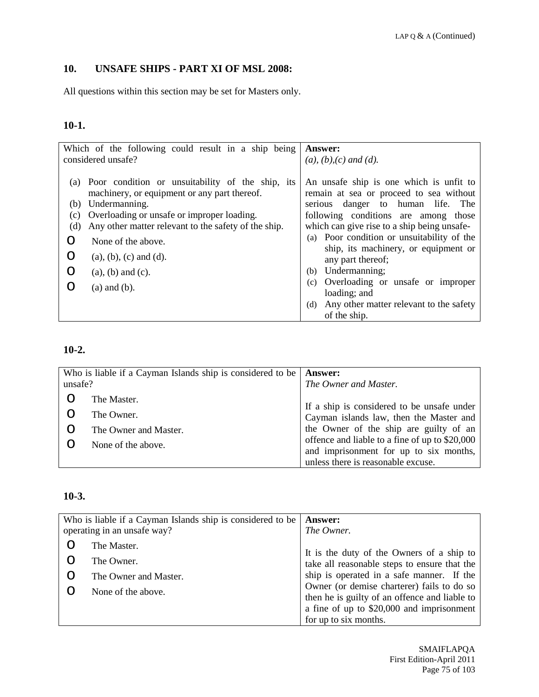# **10. UNSAFE SHIPS - PART XI OF MSL 2008:**

All questions within this section may be set for Masters only.

# **10-1.**

| Which of the following could result in a ship being<br>considered unsafe?                                                                                                                                 |                                                                                                                                                          | <b>Answer:</b><br>$(a), (b), (c)$ and $(d).$                                                                                                                                                                                                                                                                                                                                                                                                                    |
|-----------------------------------------------------------------------------------------------------------------------------------------------------------------------------------------------------------|----------------------------------------------------------------------------------------------------------------------------------------------------------|-----------------------------------------------------------------------------------------------------------------------------------------------------------------------------------------------------------------------------------------------------------------------------------------------------------------------------------------------------------------------------------------------------------------------------------------------------------------|
| (a)<br>Undermanning.<br>(b)<br>Overloading or unsafe or improper loading.<br>(c)<br>(d)<br>None of the above.<br>∩<br>$(a)$ , $(b)$ , $(c)$ and $(d)$ .<br>$(a)$ , $(b)$ and $(c)$ .<br>$(a)$ and $(b)$ . | Poor condition or unsuitability of the ship, its<br>machinery, or equipment or any part thereof.<br>Any other matter relevant to the safety of the ship. | An unsafe ship is one which is unfit to<br>remain at sea or proceed to sea without<br>serious danger to human life. The<br>following conditions are among those<br>which can give rise to a ship being unsafe-<br>(a) Poor condition or unsuitability of the<br>ship, its machinery, or equipment or<br>any part thereof;<br>Undermanning;<br>(b)<br>Overloading or unsafe or improper<br>(c)<br>loading; and<br>Any other matter relevant to the safety<br>(d) |
|                                                                                                                                                                                                           |                                                                                                                                                          | of the ship.                                                                                                                                                                                                                                                                                                                                                                                                                                                    |

#### **10-2.**

| Who is liable if a Cayman Islands ship is considered to be |                       | <b>Answer:</b>                                                                        |
|------------------------------------------------------------|-----------------------|---------------------------------------------------------------------------------------|
| unsafe?                                                    |                       | The Owner and Master.                                                                 |
|                                                            | The Master.           |                                                                                       |
|                                                            | The Owner.            | If a ship is considered to be unsafe under<br>Cayman islands law, then the Master and |
|                                                            | The Owner and Master. | the Owner of the ship are guilty of an                                                |
|                                                            | None of the above.    | offence and liable to a fine of up to \$20,000                                        |
|                                                            |                       | and imprisonment for up to six months,                                                |
|                                                            |                       | unless there is reasonable excuse.                                                    |

## **10-3.**

| Who is liable if a Cayman Islands ship is considered to be |                             | <b>Answer:</b>                                |
|------------------------------------------------------------|-----------------------------|-----------------------------------------------|
|                                                            | operating in an unsafe way? | The Owner.                                    |
|                                                            | The Master.                 |                                               |
|                                                            | The Owner.                  | It is the duty of the Owners of a ship to     |
|                                                            |                             | take all reasonable steps to ensure that the  |
|                                                            | The Owner and Master.       | ship is operated in a safe manner. If the     |
|                                                            | None of the above.          | Owner (or demise charterer) fails to do so    |
|                                                            |                             | then he is guilty of an offence and liable to |
|                                                            |                             | a fine of up to \$20,000 and imprisonment     |
|                                                            |                             | for up to six months.                         |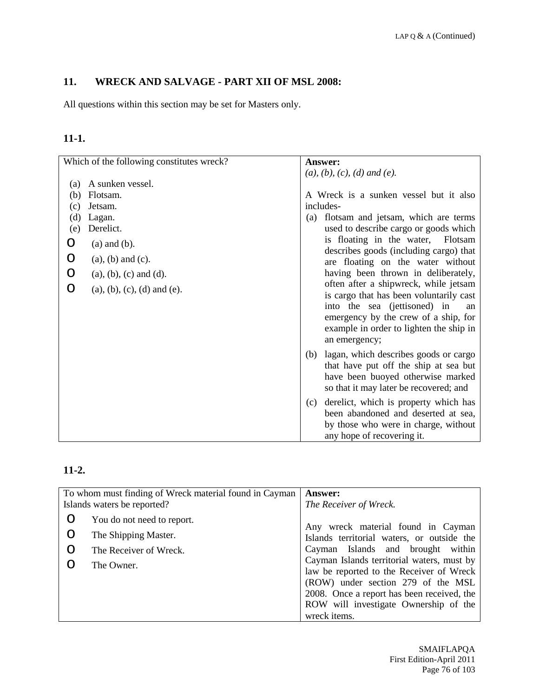# **11. WRECK AND SALVAGE - PART XII OF MSL 2008:**

All questions within this section may be set for Masters only.

# **11-1.**

| Which of the following constitutes wreck? | Answer:                                                                                                                                                                                                                                                                    |
|-------------------------------------------|----------------------------------------------------------------------------------------------------------------------------------------------------------------------------------------------------------------------------------------------------------------------------|
|                                           | $(a), (b), (c), (d)$ and $(e).$                                                                                                                                                                                                                                            |
| A sunken vessel.<br>(a)                   |                                                                                                                                                                                                                                                                            |
| Flotsam.<br>(b)                           | A Wreck is a sunken vessel but it also                                                                                                                                                                                                                                     |
| Jetsam.<br>(c)                            | includes-                                                                                                                                                                                                                                                                  |
| (d)<br>Lagan.                             | flotsam and jetsam, which are terms<br>(a)                                                                                                                                                                                                                                 |
| Derelict.<br>(e)                          | used to describe cargo or goods which                                                                                                                                                                                                                                      |
| O<br>$(a)$ and $(b)$ .                    | is floating in the water,<br>Flotsam                                                                                                                                                                                                                                       |
| O<br>$(a)$ , $(b)$ and $(c)$ .            | describes goods (including cargo) that<br>are floating on the water without                                                                                                                                                                                                |
| O<br>$(a), (b), (c)$ and $(d)$ .          | having been thrown in deliberately,                                                                                                                                                                                                                                        |
| O<br>$(a), (b), (c), (d)$ and $(e).$      | often after a shipwreck, while jetsam<br>is cargo that has been voluntarily cast<br>into the sea (jettisoned) in<br>an<br>emergency by the crew of a ship, for<br>example in order to lighten the ship in<br>an emergency;<br>lagan, which describes goods or cargo<br>(b) |
|                                           | that have put off the ship at sea but<br>have been buoyed otherwise marked<br>so that it may later be recovered; and                                                                                                                                                       |
|                                           | derelict, which is property which has<br>(c)<br>been abandoned and deserted at sea,<br>by those who were in charge, without<br>any hope of recovering it.                                                                                                                  |

| To whom must finding of Wreck material found in Cayman |                             | <b>Answer:</b>                                                                   |
|--------------------------------------------------------|-----------------------------|----------------------------------------------------------------------------------|
|                                                        | Islands waters be reported? | The Receiver of Wreck.                                                           |
| O                                                      | You do not need to report.  |                                                                                  |
| O                                                      | The Shipping Master.        | Any wreck material found in Cayman<br>Islands territorial waters, or outside the |
| O                                                      | The Receiver of Wreck.      | Cayman Islands and brought within                                                |
|                                                        | The Owner.                  | Cayman Islands territorial waters, must by                                       |
|                                                        |                             | law be reported to the Receiver of Wreck                                         |
|                                                        |                             | (ROW) under section 279 of the MSL                                               |
|                                                        |                             | 2008. Once a report has been received, the                                       |
|                                                        |                             | ROW will investigate Ownership of the                                            |
|                                                        |                             | wreck items.                                                                     |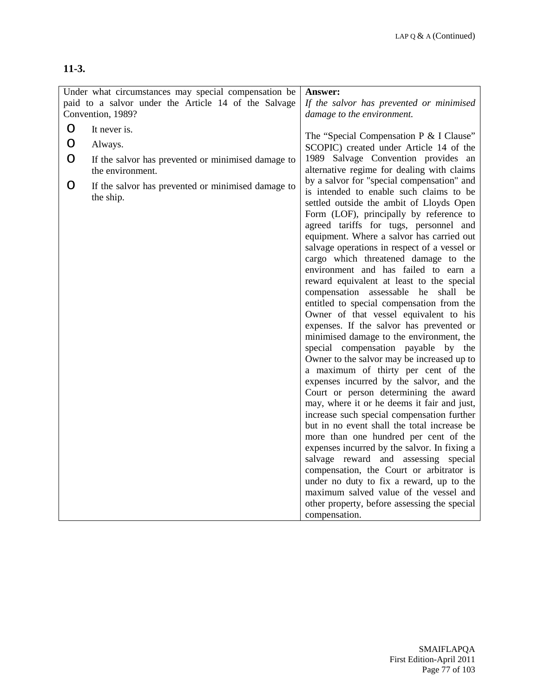|         | Under what circumstances may special compensation be<br>paid to a salvor under the Article 14 of the Salvage | Answer:<br>If the salvor has prevented or minimised                                                                                                                                                                                                                                                                                                                                                                                                                                                                                                                                                                                                                                                                                                                                                                                                                                                                                                                                                                                                                                                                                                                                                                                                                                                                                                                     |
|---------|--------------------------------------------------------------------------------------------------------------|-------------------------------------------------------------------------------------------------------------------------------------------------------------------------------------------------------------------------------------------------------------------------------------------------------------------------------------------------------------------------------------------------------------------------------------------------------------------------------------------------------------------------------------------------------------------------------------------------------------------------------------------------------------------------------------------------------------------------------------------------------------------------------------------------------------------------------------------------------------------------------------------------------------------------------------------------------------------------------------------------------------------------------------------------------------------------------------------------------------------------------------------------------------------------------------------------------------------------------------------------------------------------------------------------------------------------------------------------------------------------|
|         | Convention, 1989?                                                                                            | damage to the environment.                                                                                                                                                                                                                                                                                                                                                                                                                                                                                                                                                                                                                                                                                                                                                                                                                                                                                                                                                                                                                                                                                                                                                                                                                                                                                                                                              |
| O       | It never is.                                                                                                 |                                                                                                                                                                                                                                                                                                                                                                                                                                                                                                                                                                                                                                                                                                                                                                                                                                                                                                                                                                                                                                                                                                                                                                                                                                                                                                                                                                         |
| $\circ$ | Always.                                                                                                      | The "Special Compensation P & I Clause"<br>SCOPIC) created under Article 14 of the                                                                                                                                                                                                                                                                                                                                                                                                                                                                                                                                                                                                                                                                                                                                                                                                                                                                                                                                                                                                                                                                                                                                                                                                                                                                                      |
| $\circ$ | If the salvor has prevented or minimised damage to<br>the environment.                                       | 1989 Salvage Convention provides an<br>alternative regime for dealing with claims                                                                                                                                                                                                                                                                                                                                                                                                                                                                                                                                                                                                                                                                                                                                                                                                                                                                                                                                                                                                                                                                                                                                                                                                                                                                                       |
| O       | If the salvor has prevented or minimised damage to<br>the ship.                                              | by a salvor for "special compensation" and<br>is intended to enable such claims to be<br>settled outside the ambit of Lloyds Open<br>Form (LOF), principally by reference to<br>agreed tariffs for tugs, personnel and<br>equipment. Where a salvor has carried out<br>salvage operations in respect of a vessel or<br>cargo which threatened damage to the<br>environment and has failed to earn a<br>reward equivalent at least to the special<br>compensation assessable he shall be<br>entitled to special compensation from the<br>Owner of that vessel equivalent to his<br>expenses. If the salvor has prevented or<br>minimised damage to the environment, the<br>special compensation payable by the<br>Owner to the salvor may be increased up to<br>a maximum of thirty per cent of the<br>expenses incurred by the salvor, and the<br>Court or person determining the award<br>may, where it or he deems it fair and just,<br>increase such special compensation further<br>but in no event shall the total increase be<br>more than one hundred per cent of the<br>expenses incurred by the salvor. In fixing a<br>salvage reward and assessing special<br>compensation, the Court or arbitrator is<br>under no duty to fix a reward, up to the<br>maximum salved value of the vessel and<br>other property, before assessing the special<br>compensation. |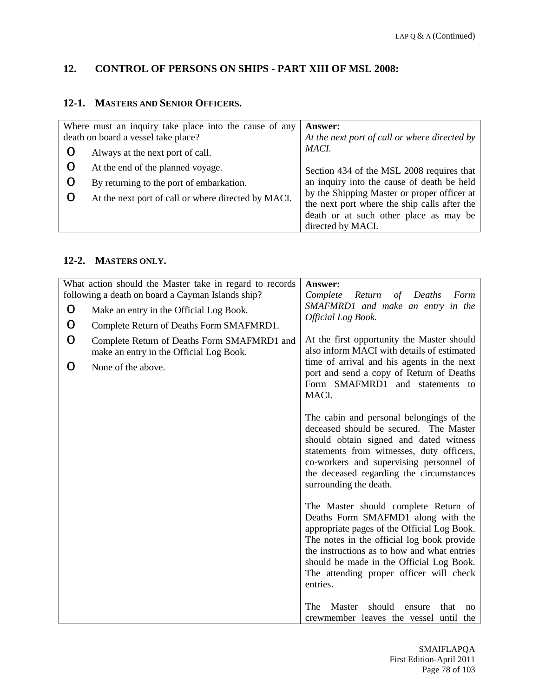## **12. CONTROL OF PERSONS ON SHIPS - PART XIII OF MSL 2008:**

# **12-1. MASTERS AND SENIOR OFFICERS.**

| Where must an inquiry take place into the cause of any<br>death on board a vessel take place? | <b>Answer:</b><br>At the next port of call or where directed by                                                                                            |
|-----------------------------------------------------------------------------------------------|------------------------------------------------------------------------------------------------------------------------------------------------------------|
| Always at the next port of call.                                                              | MACI.                                                                                                                                                      |
| At the end of the planned voyage.                                                             | Section 434 of the MSL 2008 requires that                                                                                                                  |
| By returning to the port of embarkation.                                                      | an inquiry into the cause of death be held                                                                                                                 |
| At the next port of call or where directed by MACI.                                           | by the Shipping Master or proper officer at<br>the next port where the ship calls after the<br>death or at such other place as may be<br>directed by MACI. |

# **12-2. MASTERS ONLY.**

|   | What action should the Master take in regard to records<br>following a death on board a Cayman Islands ship? | Answer:<br>Complete<br>Deaths<br>Return<br>$\sigma f$<br>Form                                                                                                                                                                                                                                                             |
|---|--------------------------------------------------------------------------------------------------------------|---------------------------------------------------------------------------------------------------------------------------------------------------------------------------------------------------------------------------------------------------------------------------------------------------------------------------|
| O | Make an entry in the Official Log Book.                                                                      | SMAFMRD1 and make an entry in the                                                                                                                                                                                                                                                                                         |
| O | Complete Return of Deaths Form SMAFMRD1.                                                                     | Official Log Book.                                                                                                                                                                                                                                                                                                        |
| O | Complete Return of Deaths Form SMAFMRD1 and<br>make an entry in the Official Log Book.                       | At the first opportunity the Master should<br>also inform MACI with details of estimated                                                                                                                                                                                                                                  |
| O | None of the above.                                                                                           | time of arrival and his agents in the next<br>port and send a copy of Return of Deaths<br>Form SMAFMRD1 and statements to<br>MACI.                                                                                                                                                                                        |
|   |                                                                                                              | The cabin and personal belongings of the<br>deceased should be secured. The Master<br>should obtain signed and dated witness<br>statements from witnesses, duty officers,<br>co-workers and supervising personnel of<br>the deceased regarding the circumstances<br>surrounding the death.                                |
|   |                                                                                                              | The Master should complete Return of<br>Deaths Form SMAFMD1 along with the<br>appropriate pages of the Official Log Book.<br>The notes in the official log book provide<br>the instructions as to how and what entries<br>should be made in the Official Log Book.<br>The attending proper officer will check<br>entries. |
|   |                                                                                                              | The<br>Master<br>should<br>that<br>ensure<br>no<br>crewmember leaves the vessel until the                                                                                                                                                                                                                                 |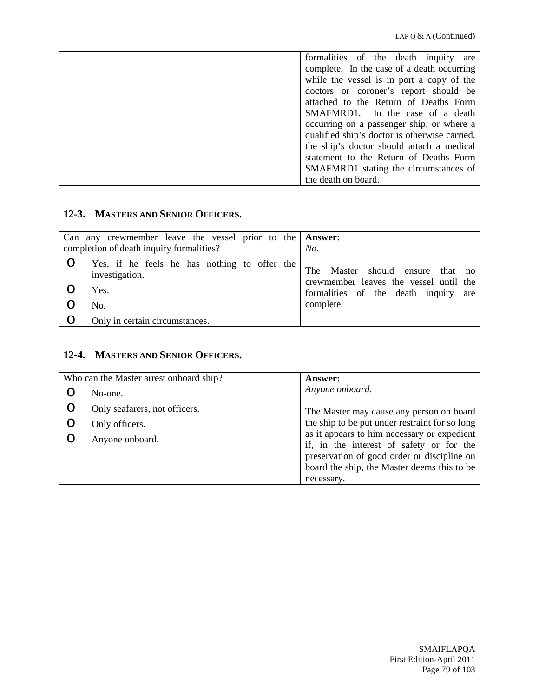| formalities of the death inquiry are          |
|-----------------------------------------------|
| complete. In the case of a death occurring    |
| while the vessel is in port a copy of the     |
| doctors or coroner's report should be         |
| attached to the Return of Deaths Form         |
| SMAFMRD1. In the case of a death              |
| occurring on a passenger ship, or where a     |
| qualified ship's doctor is otherwise carried, |
| the ship's doctor should attach a medical     |
| statement to the Return of Deaths Form        |
| SMAFMRD1 stating the circumstances of         |
| the death on board.                           |

## **12-3. MASTERS AND SENIOR OFFICERS.**

| Can any crewmember leave the vessel prior to the $\Delta$ <b>Answer:</b><br>completion of death inquiry formalities? | No.                                                                              |
|----------------------------------------------------------------------------------------------------------------------|----------------------------------------------------------------------------------|
| Yes, if he feels he has nothing to offer the<br>investigation.                                                       | Master should ensure<br>The<br>that no<br>crewmember leaves the vessel until the |
| Yes.                                                                                                                 | formalities of the death inquiry<br>are                                          |
| No.                                                                                                                  | complete.                                                                        |
| Only in certain circumstances.                                                                                       |                                                                                  |

#### **12-4. MASTERS AND SENIOR OFFICERS.**

| No-one.                       | Anyone onboard.                                                                                                                                                                                     |
|-------------------------------|-----------------------------------------------------------------------------------------------------------------------------------------------------------------------------------------------------|
|                               |                                                                                                                                                                                                     |
| Only seafarers, not officers. | The Master may cause any person on board                                                                                                                                                            |
| Only officers.                | the ship to be put under restraint for so long                                                                                                                                                      |
| Anyone onboard.               | as it appears to him necessary or expedient<br>if, in the interest of safety or for the<br>preservation of good order or discipline on<br>board the ship, the Master deems this to be<br>necessary. |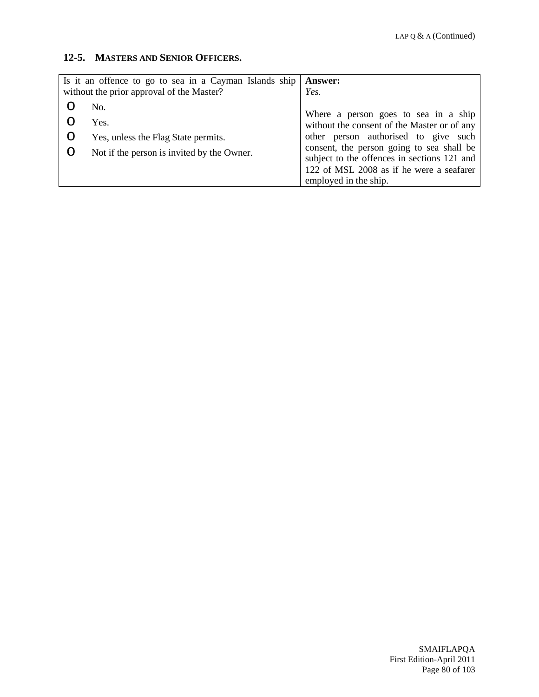#### **12-5. MASTERS AND SENIOR OFFICERS.**

| Is it an offence to go to sea in a Cayman Islands ship |                                            | <b>Answer:</b>                                                                      |
|--------------------------------------------------------|--------------------------------------------|-------------------------------------------------------------------------------------|
|                                                        | without the prior approval of the Master?  | Yes.                                                                                |
|                                                        | No.                                        |                                                                                     |
|                                                        | Yes.                                       | Where a person goes to sea in a ship<br>without the consent of the Master or of any |
|                                                        | Yes, unless the Flag State permits.        | other person authorised to give such                                                |
|                                                        | Not if the person is invited by the Owner. | consent, the person going to sea shall be                                           |
|                                                        |                                            | subject to the offences in sections 121 and                                         |
|                                                        |                                            | 122 of MSL 2008 as if he were a seafarer                                            |
|                                                        |                                            | employed in the ship.                                                               |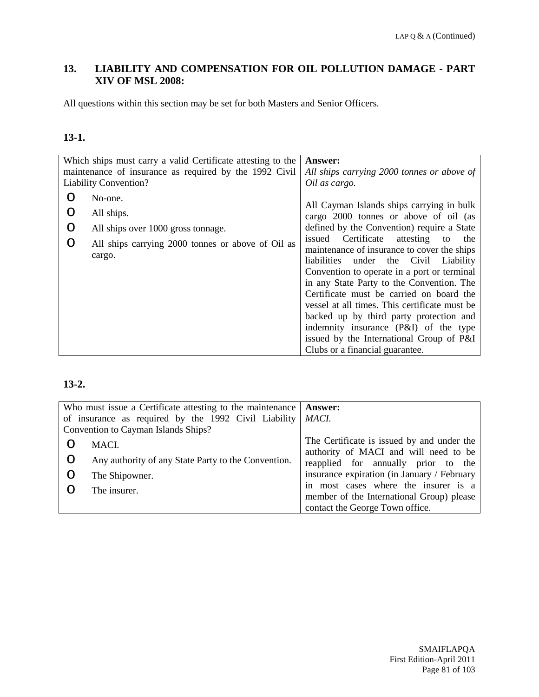# **13. LIABILITY AND COMPENSATION FOR OIL POLLUTION DAMAGE - PART XIV OF MSL 2008:**

All questions within this section may be set for both Masters and Senior Officers.

# **13-1.**

| Which ships must carry a valid Certificate attesting to the                                                                               | <b>Answer:</b>                                                                                                                                                                                                                                                                                                                                                                                                                                                                                                                                                                                                                          |
|-------------------------------------------------------------------------------------------------------------------------------------------|-----------------------------------------------------------------------------------------------------------------------------------------------------------------------------------------------------------------------------------------------------------------------------------------------------------------------------------------------------------------------------------------------------------------------------------------------------------------------------------------------------------------------------------------------------------------------------------------------------------------------------------------|
| maintenance of insurance as required by the 1992 Civil                                                                                    | All ships carrying 2000 tonnes or above of                                                                                                                                                                                                                                                                                                                                                                                                                                                                                                                                                                                              |
| <b>Liability Convention?</b>                                                                                                              | Oil as cargo.                                                                                                                                                                                                                                                                                                                                                                                                                                                                                                                                                                                                                           |
| No-one.<br>All ships.<br>∩<br>O<br>All ships over 1000 gross tonnage.<br>All ships carrying 2000 tonnes or above of Oil as<br>∩<br>cargo. | All Cayman Islands ships carrying in bulk<br>cargo 2000 tonnes or above of oil (as<br>defined by the Convention) require a State<br>issued Certificate<br>attesting<br>to<br>the<br>maintenance of insurance to cover the ships<br>liabilities<br>under the Civil Liability<br>Convention to operate in a port or terminal<br>in any State Party to the Convention. The<br>Certificate must be carried on board the<br>vessel at all times. This certificate must be<br>backed up by third party protection and<br>indemnity insurance (P&I) of the type<br>issued by the International Group of P&I<br>Clubs or a financial guarantee. |

| Who must issue a Certificate attesting to the maintenance      |                                                     | <b>Answer:</b>                              |
|----------------------------------------------------------------|-----------------------------------------------------|---------------------------------------------|
| of insurance as required by the 1992 Civil Liability $ $ MACI. |                                                     |                                             |
|                                                                | Convention to Cayman Islands Ships?                 |                                             |
|                                                                | MACI.                                               | The Certificate is issued by and under the  |
|                                                                |                                                     | authority of MACI and will need to be       |
| O                                                              | Any authority of any State Party to the Convention. | reapplied for annually prior to the         |
| O                                                              | The Shipowner.                                      | insurance expiration (in January / February |
|                                                                | The insurer.                                        | in most cases where the insurer is a        |
|                                                                |                                                     | member of the International Group) please   |
|                                                                |                                                     | contact the George Town office.             |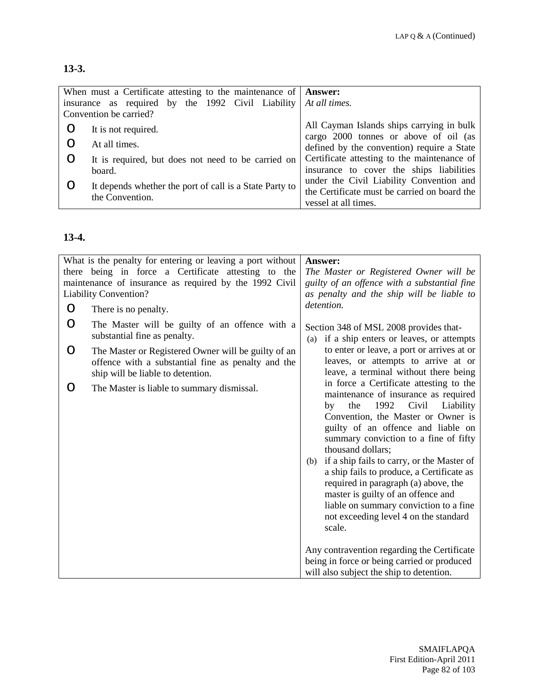| When must a Certificate attesting to the maintenance of   Answer: |                                              |
|-------------------------------------------------------------------|----------------------------------------------|
| insurance as required by the 1992 Civil Liability   At all times. |                                              |
| Convention be carried?                                            |                                              |
| It is not required.                                               | All Cayman Islands ships carrying in bulk    |
|                                                                   | cargo 2000 tonnes or above of oil (as        |
| At all times.                                                     | defined by the convention) require a State   |
| It is required, but does not need to be carried on                | Certificate attesting to the maintenance of  |
| board.                                                            | insurance to cover the ships liabilities     |
| It depends whether the port of call is a State Party to           | under the Civil Liability Convention and     |
| the Convention.                                                   | the Certificate must be carried on board the |
|                                                                   | vessel at all times.                         |

# **13-4.**

| What is the penalty for entering or leaving a port without<br>there being in force a Certificate attesting to the<br>maintenance of insurance as required by the 1992 Civil<br><b>Liability Convention?</b> |                                                                                                                                                | Answer:<br>The Master or Registered Owner will be<br>guilty of an offence with a substantial fine<br>as penalty and the ship will be liable to                                                                                                                                                                                                                                                                                                                                                                                                                                                   |
|-------------------------------------------------------------------------------------------------------------------------------------------------------------------------------------------------------------|------------------------------------------------------------------------------------------------------------------------------------------------|--------------------------------------------------------------------------------------------------------------------------------------------------------------------------------------------------------------------------------------------------------------------------------------------------------------------------------------------------------------------------------------------------------------------------------------------------------------------------------------------------------------------------------------------------------------------------------------------------|
| O                                                                                                                                                                                                           | There is no penalty.                                                                                                                           | detention.                                                                                                                                                                                                                                                                                                                                                                                                                                                                                                                                                                                       |
| O                                                                                                                                                                                                           | The Master will be guilty of an offence with a<br>substantial fine as penalty.                                                                 | Section 348 of MSL 2008 provides that-<br>if a ship enters or leaves, or attempts<br>(a)                                                                                                                                                                                                                                                                                                                                                                                                                                                                                                         |
| O                                                                                                                                                                                                           | The Master or Registered Owner will be guilty of an<br>offence with a substantial fine as penalty and the<br>ship will be liable to detention. | to enter or leave, a port or arrives at or<br>leaves, or attempts to arrive at or<br>leave, a terminal without there being                                                                                                                                                                                                                                                                                                                                                                                                                                                                       |
| O                                                                                                                                                                                                           | The Master is liable to summary dismissal.                                                                                                     | in force a Certificate attesting to the<br>maintenance of insurance as required<br>1992<br>Liability<br>Civil<br>by<br>the<br>Convention, the Master or Owner is<br>guilty of an offence and liable on<br>summary conviction to a fine of fifty<br>thousand dollars;<br>if a ship fails to carry, or the Master of<br>(b)<br>a ship fails to produce, a Certificate as<br>required in paragraph (a) above, the<br>master is guilty of an offence and<br>liable on summary conviction to a fine<br>not exceeding level 4 on the standard<br>scale.<br>Any contravention regarding the Certificate |
|                                                                                                                                                                                                             |                                                                                                                                                | being in force or being carried or produced<br>will also subject the ship to detention.                                                                                                                                                                                                                                                                                                                                                                                                                                                                                                          |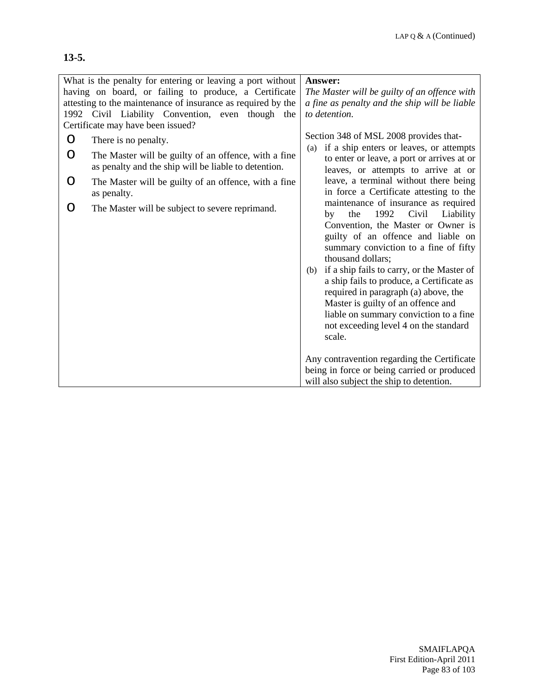## **13-5.**

| What is the penalty for entering or leaving a port without                                                        | Answer:                                                                                                                                                                                                                                                                                                                                                                                                                                                                                                |
|-------------------------------------------------------------------------------------------------------------------|--------------------------------------------------------------------------------------------------------------------------------------------------------------------------------------------------------------------------------------------------------------------------------------------------------------------------------------------------------------------------------------------------------------------------------------------------------------------------------------------------------|
| having on board, or failing to produce, a Certificate                                                             | The Master will be guilty of an offence with                                                                                                                                                                                                                                                                                                                                                                                                                                                           |
| attesting to the maintenance of insurance as required by the                                                      | a fine as penalty and the ship will be liable                                                                                                                                                                                                                                                                                                                                                                                                                                                          |
| 1992 Civil Liability Convention, even though the                                                                  | to detention.                                                                                                                                                                                                                                                                                                                                                                                                                                                                                          |
| Certificate may have been issued?                                                                                 |                                                                                                                                                                                                                                                                                                                                                                                                                                                                                                        |
| O<br>There is no penalty.                                                                                         | Section 348 of MSL 2008 provides that-<br>(a) if a ship enters or leaves, or attempts                                                                                                                                                                                                                                                                                                                                                                                                                  |
| The Master will be guilty of an offence, with a fine<br>O<br>as penalty and the ship will be liable to detention. | to enter or leave, a port or arrives at or<br>leaves, or attempts to arrive at or                                                                                                                                                                                                                                                                                                                                                                                                                      |
| The Master will be guilty of an offence, with a fine<br>O<br>as penalty.                                          | leave, a terminal without there being<br>in force a Certificate attesting to the                                                                                                                                                                                                                                                                                                                                                                                                                       |
| The Master will be subject to severe reprimand.<br>O                                                              | maintenance of insurance as required<br>Civil<br>1992<br>Liability<br>the<br>by<br>Convention, the Master or Owner is<br>guilty of an offence and liable on<br>summary conviction to a fine of fifty<br>thousand dollars;<br>if a ship fails to carry, or the Master of<br>(b)<br>a ship fails to produce, a Certificate as<br>required in paragraph (a) above, the<br>Master is guilty of an offence and<br>liable on summary conviction to a fine<br>not exceeding level 4 on the standard<br>scale. |
|                                                                                                                   | Any contravention regarding the Certificate                                                                                                                                                                                                                                                                                                                                                                                                                                                            |
|                                                                                                                   | being in force or being carried or produced                                                                                                                                                                                                                                                                                                                                                                                                                                                            |
|                                                                                                                   | will also subject the ship to detention.                                                                                                                                                                                                                                                                                                                                                                                                                                                               |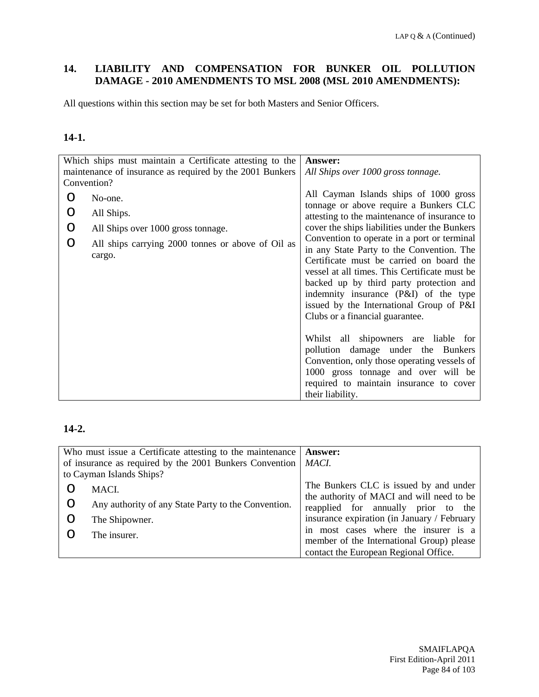## **14. LIABILITY AND COMPENSATION FOR BUNKER OIL POLLUTION DAMAGE - 2010 AMENDMENTS TO MSL 2008 (MSL 2010 AMENDMENTS):**

All questions within this section may be set for both Masters and Senior Officers.

# **14-1.**

| Which ships must maintain a Certificate attesting to the |                                                             | Answer:                                                                                                                                                                                                                                                                                                                                                                                                                                |
|----------------------------------------------------------|-------------------------------------------------------------|----------------------------------------------------------------------------------------------------------------------------------------------------------------------------------------------------------------------------------------------------------------------------------------------------------------------------------------------------------------------------------------------------------------------------------------|
| maintenance of insurance as required by the 2001 Bunkers |                                                             | All Ships over 1000 gross tonnage.                                                                                                                                                                                                                                                                                                                                                                                                     |
| Convention?                                              |                                                             |                                                                                                                                                                                                                                                                                                                                                                                                                                        |
|                                                          | No-one.                                                     | All Cayman Islands ships of 1000 gross<br>tonnage or above require a Bunkers CLC                                                                                                                                                                                                                                                                                                                                                       |
|                                                          | All Ships.                                                  | attesting to the maintenance of insurance to                                                                                                                                                                                                                                                                                                                                                                                           |
| O                                                        | All Ships over 1000 gross tonnage.                          | cover the ships liabilities under the Bunkers                                                                                                                                                                                                                                                                                                                                                                                          |
|                                                          | All ships carrying 2000 tonnes or above of Oil as<br>cargo. | Convention to operate in a port or terminal<br>in any State Party to the Convention. The<br>Certificate must be carried on board the<br>vessel at all times. This Certificate must be<br>backed up by third party protection and<br>indemnity insurance (P&I) of the type<br>issued by the International Group of P&I<br>Clubs or a financial guarantee.<br>Whilst all shipowners are liable for<br>pollution damage under the Bunkers |
|                                                          |                                                             | Convention, only those operating vessels of<br>1000 gross tonnage and over will be                                                                                                                                                                                                                                                                                                                                                     |
|                                                          |                                                             | required to maintain insurance to cover                                                                                                                                                                                                                                                                                                                                                                                                |
|                                                          |                                                             | their liability.                                                                                                                                                                                                                                                                                                                                                                                                                       |

| Who must issue a Certificate attesting to the maintenance |                                                     | Answer:                                     |  |
|-----------------------------------------------------------|-----------------------------------------------------|---------------------------------------------|--|
| of insurance as required by the 2001 Bunkers Convention   |                                                     | MACI.                                       |  |
| to Cayman Islands Ships?                                  |                                                     |                                             |  |
|                                                           | MACI.                                               | The Bunkers CLC is issued by and under      |  |
|                                                           |                                                     | the authority of MACI and will need to be   |  |
| $\circ$                                                   | Any authority of any State Party to the Convention. | reapplied for annually prior to the         |  |
| O                                                         | The Shipowner.                                      | insurance expiration (in January / February |  |
|                                                           |                                                     | in most cases where the insurer is a        |  |
| O                                                         | The insurer.                                        |                                             |  |
|                                                           |                                                     | member of the International Group) please   |  |
|                                                           |                                                     | contact the European Regional Office.       |  |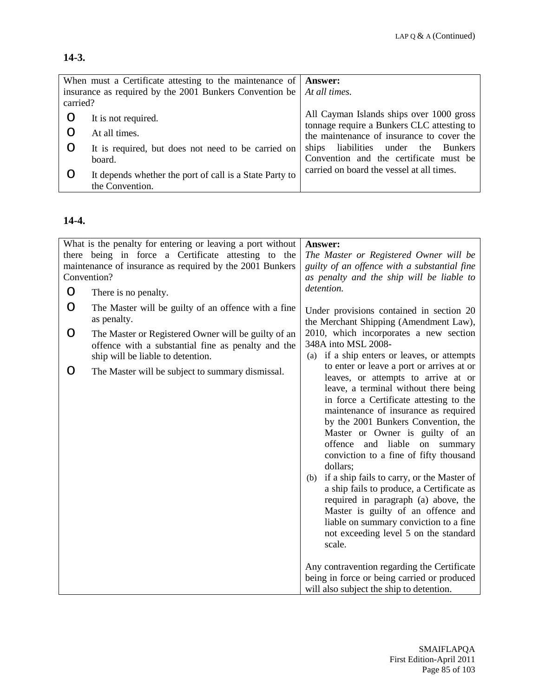# **14-3.**

|          | When must a Certificate attesting to the maintenance of Answer:               |                                                                                        |
|----------|-------------------------------------------------------------------------------|----------------------------------------------------------------------------------------|
| carried? | insurance as required by the 2001 Bunkers Convention be $\vert$ At all times. |                                                                                        |
|          | It is not required.                                                           | All Cayman Islands ships over 1000 gross<br>tonnage require a Bunkers CLC attesting to |
|          | At all times.                                                                 | the maintenance of insurance to cover the                                              |
|          | It is required, but does not need to be carried on                            | ships liabilities under the Bunkers                                                    |
|          | board.                                                                        | Convention and the certificate must be<br>carried on board the vessel at all times.    |
|          | It depends whether the port of call is a State Party to<br>the Convention.    |                                                                                        |

### **14-4.**

|   | What is the penalty for entering or leaving a port without         | Answer:                                                                            |
|---|--------------------------------------------------------------------|------------------------------------------------------------------------------------|
|   | there being in force a Certificate attesting to the                | The Master or Registered Owner will be                                             |
|   | maintenance of insurance as required by the 2001 Bunkers           | guilty of an offence with a substantial fine                                       |
|   | Convention?                                                        | as penalty and the ship will be liable to                                          |
| O | There is no penalty.                                               | detention.                                                                         |
| O | The Master will be guilty of an offence with a fine<br>as penalty. | Under provisions contained in section 20<br>the Merchant Shipping (Amendment Law), |
| O | The Master or Registered Owner will be guilty of an                | 2010, which incorporates a new section                                             |
|   | offence with a substantial fine as penalty and the                 | 348A into MSL 2008-                                                                |
|   | ship will be liable to detention.                                  | (a) if a ship enters or leaves, or attempts                                        |
| O | The Master will be subject to summary dismissal.                   | to enter or leave a port or arrives at or<br>leaves, or attempts to arrive at or   |
|   |                                                                    | leave, a terminal without there being                                              |
|   |                                                                    | in force a Certificate attesting to the                                            |
|   |                                                                    | maintenance of insurance as required                                               |
|   |                                                                    | by the 2001 Bunkers Convention, the                                                |
|   |                                                                    | Master or Owner is guilty of an                                                    |
|   |                                                                    | offence and liable<br>on<br>summary                                                |
|   |                                                                    | conviction to a fine of fifty thousand<br>dollars;                                 |
|   |                                                                    | (b) if a ship fails to carry, or the Master of                                     |
|   |                                                                    | a ship fails to produce, a Certificate as                                          |
|   |                                                                    | required in paragraph (a) above, the                                               |
|   |                                                                    | Master is guilty of an offence and                                                 |
|   |                                                                    | liable on summary conviction to a fine                                             |
|   |                                                                    | not exceeding level 5 on the standard                                              |
|   |                                                                    | scale.                                                                             |
|   |                                                                    | Any contravention regarding the Certificate                                        |
|   |                                                                    | being in force or being carried or produced                                        |
|   |                                                                    | will also subject the ship to detention.                                           |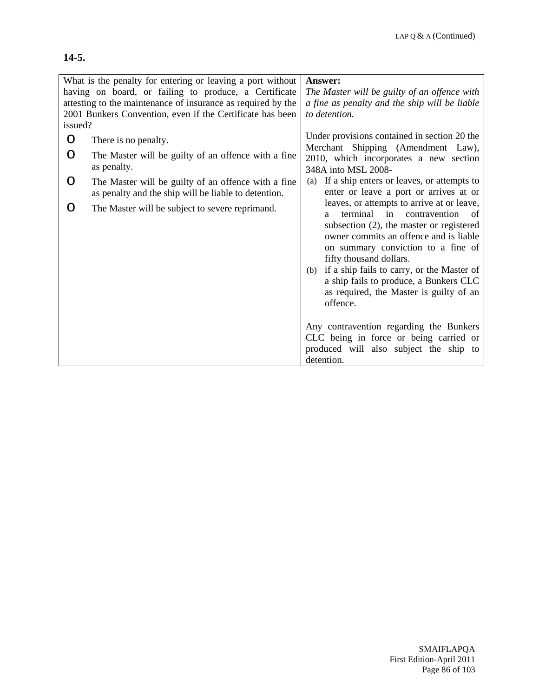### **14-5.**

|         | What is the penalty for entering or leaving a port without                                                                                                                         | Answer:                                                                                                                                                                                                                                                                                                                                                                                                                                                                                                                                           |
|---------|------------------------------------------------------------------------------------------------------------------------------------------------------------------------------------|---------------------------------------------------------------------------------------------------------------------------------------------------------------------------------------------------------------------------------------------------------------------------------------------------------------------------------------------------------------------------------------------------------------------------------------------------------------------------------------------------------------------------------------------------|
|         | having on board, or failing to produce, a Certificate<br>attesting to the maintenance of insurance as required by the<br>2001 Bunkers Convention, even if the Certificate has been | The Master will be guilty of an offence with<br>a fine as penalty and the ship will be liable<br>to detention.                                                                                                                                                                                                                                                                                                                                                                                                                                    |
| issued? |                                                                                                                                                                                    | Under provisions contained in section 20 the                                                                                                                                                                                                                                                                                                                                                                                                                                                                                                      |
| O       | There is no penalty.                                                                                                                                                               | Merchant Shipping (Amendment Law),                                                                                                                                                                                                                                                                                                                                                                                                                                                                                                                |
| O       | The Master will be guilty of an offence with a fine<br>as penalty.                                                                                                                 | 2010, which incorporates a new section<br>348A into MSL 2008-                                                                                                                                                                                                                                                                                                                                                                                                                                                                                     |
| O       | The Master will be guilty of an offence with a fine<br>as penalty and the ship will be liable to detention.                                                                        | If a ship enters or leaves, or attempts to<br>(a)<br>enter or leave a port or arrives at or                                                                                                                                                                                                                                                                                                                                                                                                                                                       |
| O       | The Master will be subject to severe reprimand.                                                                                                                                    | leaves, or attempts to arrive at or leave,<br>terminal in<br>contravention<br>- of<br>a<br>subsection (2), the master or registered<br>owner commits an offence and is liable<br>on summary conviction to a fine of<br>fifty thousand dollars.<br>if a ship fails to carry, or the Master of<br>(b)<br>a ship fails to produce, a Bunkers CLC<br>as required, the Master is guilty of an<br>offence.<br>Any contravention regarding the Bunkers<br>CLC being in force or being carried or<br>produced will also subject the ship to<br>detention. |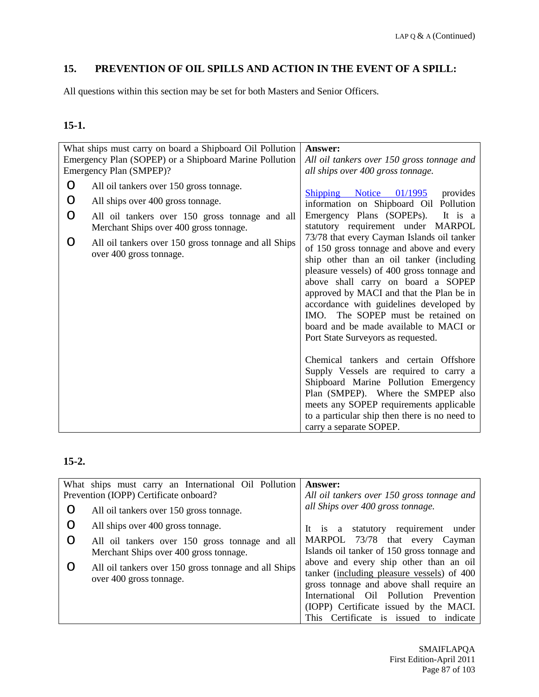# **15. PREVENTION OF OIL SPILLS AND ACTION IN THE EVENT OF A SPILL:**

All questions within this section may be set for both Masters and Senior Officers.

## **15-1.**

|                  | What ships must carry on board a Shipboard Oil Pollution<br>Emergency Plan (SOPEP) or a Shipboard Marine Pollution<br>Emergency Plan (SMPEP)?                                                                                                               | Answer:<br>All oil tankers over 150 gross tonnage and<br>all ships over 400 gross tonnage.                                                                                                                                                                                                                                                                                                                                                                                                                                                                                                                                                                                                                                    |
|------------------|-------------------------------------------------------------------------------------------------------------------------------------------------------------------------------------------------------------------------------------------------------------|-------------------------------------------------------------------------------------------------------------------------------------------------------------------------------------------------------------------------------------------------------------------------------------------------------------------------------------------------------------------------------------------------------------------------------------------------------------------------------------------------------------------------------------------------------------------------------------------------------------------------------------------------------------------------------------------------------------------------------|
| O<br>O<br>O<br>O | All oil tankers over 150 gross tonnage.<br>All ships over 400 gross tonnage.<br>All oil tankers over 150 gross tonnage and all<br>Merchant Ships over 400 gross tonnage.<br>All oil tankers over 150 gross tonnage and all Ships<br>over 400 gross tonnage. | Shipping Notice 01/1995<br>provides<br>information on Shipboard Oil Pollution<br>Emergency Plans (SOPEPs).<br>It is a<br>statutory requirement under MARPOL<br>73/78 that every Cayman Islands oil tanker<br>of 150 gross tonnage and above and every<br>ship other than an oil tanker (including<br>pleasure vessels) of 400 gross tonnage and<br>above shall carry on board a SOPEP<br>approved by MACI and that the Plan be in<br>accordance with guidelines developed by<br>IMO. The SOPEP must be retained on<br>board and be made available to MACI or<br>Port State Surveyors as requested.<br>Chemical tankers and certain Offshore<br>Supply Vessels are required to carry a<br>Shipboard Marine Pollution Emergency |
|                  |                                                                                                                                                                                                                                                             | Plan (SMPEP). Where the SMPEP also<br>meets any SOPEP requirements applicable<br>to a particular ship then there is no need to<br>carry a separate SOPEP.                                                                                                                                                                                                                                                                                                                                                                                                                                                                                                                                                                     |

|   | What ships must carry an International Oil Pollution | <b>Answer:</b>                              |
|---|------------------------------------------------------|---------------------------------------------|
|   | Prevention (IOPP) Certificate onboard?               | All oil tankers over 150 gross tonnage and  |
| O | All oil tankers over 150 gross tonnage.              | all Ships over 400 gross tonnage.           |
| O | All ships over 400 gross tonnage.                    | statutory requirement<br>under<br>It is a   |
| O | All oil tankers over 150 gross tonnage and all       | MARPOL 73/78 that every Cayman              |
|   | Merchant Ships over 400 gross tonnage.               | Islands oil tanker of 150 gross tonnage and |
|   | All oil tankers over 150 gross tonnage and all Ships | above and every ship other than an oil      |
|   | over 400 gross tonnage.                              | tanker (including pleasure vessels) of 400  |
|   |                                                      | gross tonnage and above shall require an    |
|   |                                                      | International Oil Pollution Prevention      |
|   |                                                      | (IOPP) Certificate issued by the MACI.      |
|   |                                                      | This Certificate is issued<br>to indicate   |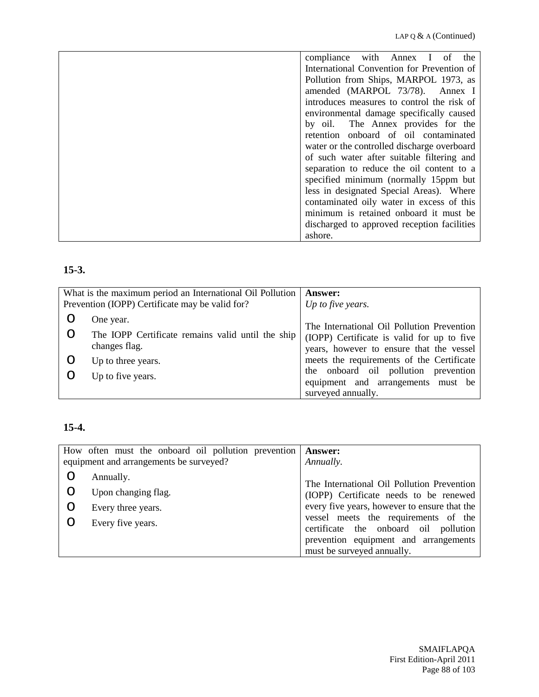| compliance with Annex I of the              |
|---------------------------------------------|
| International Convention for Prevention of  |
| Pollution from Ships, MARPOL 1973, as       |
| amended (MARPOL 73/78). Annex I             |
| introduces measures to control the risk of  |
| environmental damage specifically caused    |
| by oil. The Annex provides for the          |
| retention onboard of oil contaminated       |
| water or the controlled discharge overboard |
| of such water after suitable filtering and  |
| separation to reduce the oil content to a   |
| specified minimum (normally 15ppm but       |
| less in designated Special Areas). Where    |
| contaminated oily water in excess of this   |
| minimum is retained onboard it must be      |
| discharged to approved reception facilities |
| ashore.                                     |

# **15-3.**

| What is the maximum period an International Oil Pollution<br>Prevention (IOPP) Certificate may be valid for? | <b>Answer:</b><br>Up to five years.                                                                                                  |
|--------------------------------------------------------------------------------------------------------------|--------------------------------------------------------------------------------------------------------------------------------------|
| One year.                                                                                                    |                                                                                                                                      |
| The IOPP Certificate remains valid until the ship<br>changes flag.                                           | The International Oil Pollution Prevention<br>(IOPP) Certificate is valid for up to five<br>years, however to ensure that the vessel |
| Up to three years.                                                                                           | meets the requirements of the Certificate                                                                                            |
| Up to five years.                                                                                            | the onboard oil pollution prevention<br>equipment and arrangements must be<br>surveyed annually.                                     |

# **15-4.**

|   | How often must the onboard oil pollution prevention   Answer: |                                              |
|---|---------------------------------------------------------------|----------------------------------------------|
|   | equipment and arrangements be surveyed?                       | Annually.                                    |
|   | Annually.                                                     |                                              |
| O | Upon changing flag.                                           | The International Oil Pollution Prevention   |
|   |                                                               | (IOPP) Certificate needs to be renewed       |
| O | Every three years.                                            | every five years, however to ensure that the |
|   | Every five years.                                             | vessel meets the requirements of the         |
|   |                                                               | certificate the onboard oil pollution        |
|   |                                                               | prevention equipment and arrangements        |
|   |                                                               | must be surveyed annually.                   |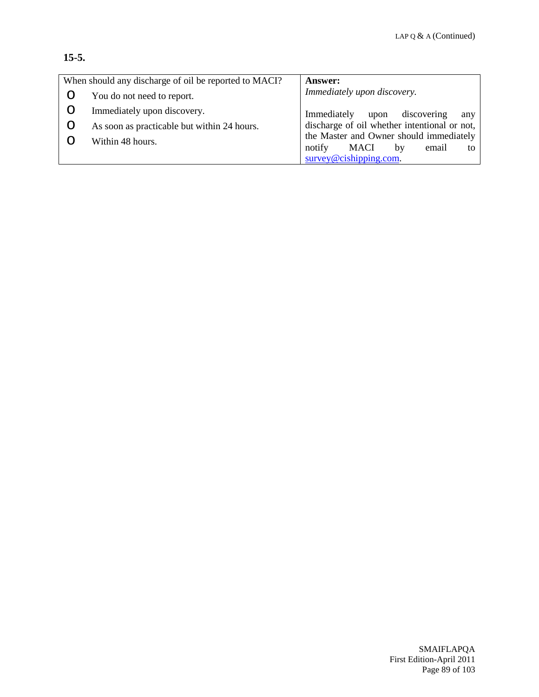## **15-5.**

| When should any discharge of oil be reported to MACI? | <b>Answer:</b>                               |
|-------------------------------------------------------|----------------------------------------------|
| You do not need to report.                            | Immediately upon discovery.                  |
| Immediately upon discovery.                           | discovering<br>Immediately<br>upon<br>any    |
| As soon as practicable but within 24 hours.           | discharge of oil whether intentional or not, |
| Within 48 hours.                                      | the Master and Owner should immediately      |
|                                                       | notify<br><b>MACI</b><br>email<br>by<br>to   |
|                                                       | $survey@cishing.com$ .                       |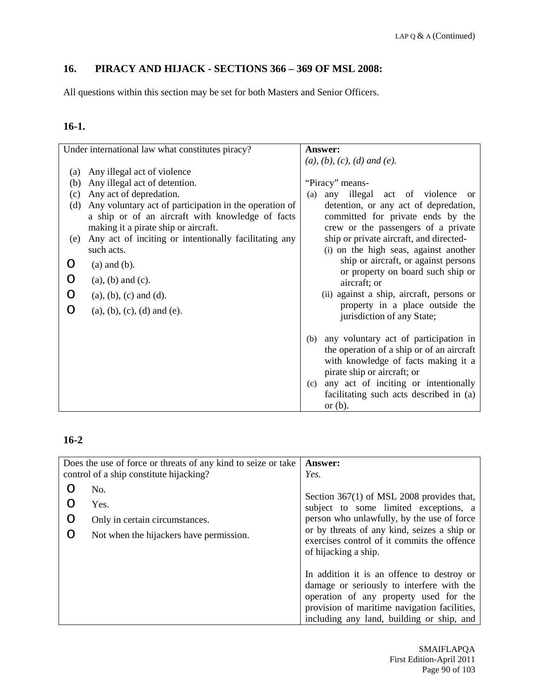# **16. PIRACY AND HIJACK - SECTIONS 366 – 369 OF MSL 2008:**

All questions within this section may be set for both Masters and Senior Officers.

# **16-1.**

| $(a), (b), (c), (d)$ and $(e).$<br>Any illegal act of violence<br>$\left( a\right)$<br>Any illegal act of detention.<br>"Piracy" means-<br>(b)<br>Any act of depredation.<br>illegal act of violence<br>(c)<br>any<br>(a)<br>Any voluntary act of participation in the operation of<br>(d)<br>a ship or of an aircraft with knowledge of facts<br>making it a pirate ship or aircraft.<br>crew or the passengers of a private<br>ship or private aircraft, and directed-<br>Any act of inciting or intentionally facilitating any<br>(e)<br>(i) on the high seas, against another<br>such acts.<br>ship or aircraft, or against persons<br>$(a)$ and $(b)$ .<br>O<br>or property on board such ship or<br>$(a)$ , $(b)$ and $(c)$ .<br>O<br>aircraft; or<br>(ii) against a ship, aircraft, persons or<br>O<br>$(a), (b), (c)$ and $(d)$ .<br>property in a place outside the<br>$(a), (b), (c), (d)$ and $(e)$ .<br>O<br>jurisdiction of any State; | Under international law what constitutes piracy? | Answer:                                   |
|-----------------------------------------------------------------------------------------------------------------------------------------------------------------------------------------------------------------------------------------------------------------------------------------------------------------------------------------------------------------------------------------------------------------------------------------------------------------------------------------------------------------------------------------------------------------------------------------------------------------------------------------------------------------------------------------------------------------------------------------------------------------------------------------------------------------------------------------------------------------------------------------------------------------------------------------------------|--------------------------------------------------|-------------------------------------------|
|                                                                                                                                                                                                                                                                                                                                                                                                                                                                                                                                                                                                                                                                                                                                                                                                                                                                                                                                                     |                                                  |                                           |
|                                                                                                                                                                                                                                                                                                                                                                                                                                                                                                                                                                                                                                                                                                                                                                                                                                                                                                                                                     |                                                  |                                           |
|                                                                                                                                                                                                                                                                                                                                                                                                                                                                                                                                                                                                                                                                                                                                                                                                                                                                                                                                                     |                                                  |                                           |
|                                                                                                                                                                                                                                                                                                                                                                                                                                                                                                                                                                                                                                                                                                                                                                                                                                                                                                                                                     |                                                  | <b>or</b>                                 |
|                                                                                                                                                                                                                                                                                                                                                                                                                                                                                                                                                                                                                                                                                                                                                                                                                                                                                                                                                     |                                                  | detention, or any act of depredation,     |
|                                                                                                                                                                                                                                                                                                                                                                                                                                                                                                                                                                                                                                                                                                                                                                                                                                                                                                                                                     |                                                  | committed for private ends by the         |
|                                                                                                                                                                                                                                                                                                                                                                                                                                                                                                                                                                                                                                                                                                                                                                                                                                                                                                                                                     |                                                  |                                           |
|                                                                                                                                                                                                                                                                                                                                                                                                                                                                                                                                                                                                                                                                                                                                                                                                                                                                                                                                                     |                                                  |                                           |
|                                                                                                                                                                                                                                                                                                                                                                                                                                                                                                                                                                                                                                                                                                                                                                                                                                                                                                                                                     |                                                  |                                           |
|                                                                                                                                                                                                                                                                                                                                                                                                                                                                                                                                                                                                                                                                                                                                                                                                                                                                                                                                                     |                                                  |                                           |
|                                                                                                                                                                                                                                                                                                                                                                                                                                                                                                                                                                                                                                                                                                                                                                                                                                                                                                                                                     |                                                  |                                           |
|                                                                                                                                                                                                                                                                                                                                                                                                                                                                                                                                                                                                                                                                                                                                                                                                                                                                                                                                                     |                                                  |                                           |
|                                                                                                                                                                                                                                                                                                                                                                                                                                                                                                                                                                                                                                                                                                                                                                                                                                                                                                                                                     |                                                  |                                           |
|                                                                                                                                                                                                                                                                                                                                                                                                                                                                                                                                                                                                                                                                                                                                                                                                                                                                                                                                                     |                                                  |                                           |
|                                                                                                                                                                                                                                                                                                                                                                                                                                                                                                                                                                                                                                                                                                                                                                                                                                                                                                                                                     |                                                  |                                           |
| (b)                                                                                                                                                                                                                                                                                                                                                                                                                                                                                                                                                                                                                                                                                                                                                                                                                                                                                                                                                 |                                                  | any voluntary act of participation in     |
|                                                                                                                                                                                                                                                                                                                                                                                                                                                                                                                                                                                                                                                                                                                                                                                                                                                                                                                                                     |                                                  | the operation of a ship or of an aircraft |
|                                                                                                                                                                                                                                                                                                                                                                                                                                                                                                                                                                                                                                                                                                                                                                                                                                                                                                                                                     |                                                  | with knowledge of facts making it a       |
| pirate ship or aircraft; or                                                                                                                                                                                                                                                                                                                                                                                                                                                                                                                                                                                                                                                                                                                                                                                                                                                                                                                         |                                                  |                                           |
| (c)                                                                                                                                                                                                                                                                                                                                                                                                                                                                                                                                                                                                                                                                                                                                                                                                                                                                                                                                                 |                                                  | any act of inciting or intentionally      |
|                                                                                                                                                                                                                                                                                                                                                                                                                                                                                                                                                                                                                                                                                                                                                                                                                                                                                                                                                     |                                                  | facilitating such acts described in (a)   |
| or $(b)$ .                                                                                                                                                                                                                                                                                                                                                                                                                                                                                                                                                                                                                                                                                                                                                                                                                                                                                                                                          |                                                  |                                           |

# **16-2**

|        | Does the use of force or threats of any kind to seize or take<br>control of a ship constitute hijacking? | <b>Answer:</b><br>Yes.                                                                                                                                                                                                                                   |
|--------|----------------------------------------------------------------------------------------------------------|----------------------------------------------------------------------------------------------------------------------------------------------------------------------------------------------------------------------------------------------------------|
| ∩<br>∩ | No.<br>Yes.<br>Only in certain circumstances.<br>Not when the hijackers have permission.                 | Section $367(1)$ of MSL 2008 provides that,<br>subject to some limited exceptions, a<br>person who unlawfully, by the use of force<br>or by threats of any kind, seizes a ship or<br>exercises control of it commits the offence<br>of hijacking a ship. |
|        |                                                                                                          | In addition it is an offence to destroy or<br>damage or seriously to interfere with the<br>operation of any property used for the<br>provision of maritime navigation facilities,<br>including any land, building or ship, and                           |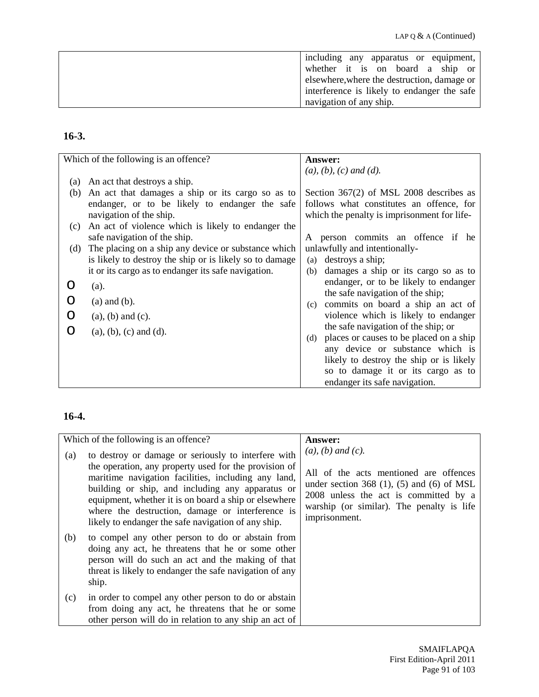| including any apparatus or equipment,       |
|---------------------------------------------|
| whether it is on board a ship or            |
| elsewhere, where the destruction, damage or |
| interference is likely to endanger the safe |
| navigation of any ship.                     |

# **16-3.**

|     | Which of the following is an offence?                   | <b>Answer:</b>                                 |
|-----|---------------------------------------------------------|------------------------------------------------|
|     |                                                         | $(a), (b), (c)$ and $(d).$                     |
| (a) | An act that destroys a ship.                            |                                                |
| (b) | An act that damages a ship or its cargo so as to        | Section $367(2)$ of MSL 2008 describes as      |
|     | endanger, or to be likely to endanger the safe          | follows what constitutes an offence, for       |
|     | navigation of the ship.                                 | which the penalty is imprisonment for life-    |
| (c) | An act of violence which is likely to endanger the      |                                                |
|     | safe navigation of the ship.                            | A person commits an offence if he              |
| (d) | The placing on a ship any device or substance which     | unlawfully and intentionally-                  |
|     | is likely to destroy the ship or is likely so to damage | destroys a ship;<br>(a)                        |
|     | it or its cargo as to endanger its safe navigation.     | damages a ship or its cargo so as to<br>(b)    |
|     | (a).                                                    | endanger, or to be likely to endanger          |
|     | $(a)$ and $(b)$ .                                       | the safe navigation of the ship;               |
|     |                                                         | commits on board a ship an act of<br>(c)       |
|     | $(a)$ , $(b)$ and $(c)$ .                               | violence which is likely to endanger           |
| ∩   | $(a), (b), (c)$ and $(d)$ .                             | the safe navigation of the ship; or            |
|     |                                                         | places or causes to be placed on a ship<br>(d) |
|     |                                                         | any device or substance which is               |
|     |                                                         | likely to destroy the ship or is likely        |
|     |                                                         | so to damage it or its cargo as to             |
|     |                                                         | endanger its safe navigation.                  |

# **16-4.**

|     | Which of the following is an offence?                                                                                                                                                                                                                                                                                                                                                       | <b>Answer:</b>                                                                                                                                                                                                                 |
|-----|---------------------------------------------------------------------------------------------------------------------------------------------------------------------------------------------------------------------------------------------------------------------------------------------------------------------------------------------------------------------------------------------|--------------------------------------------------------------------------------------------------------------------------------------------------------------------------------------------------------------------------------|
| (a) | to destroy or damage or seriously to interfere with<br>the operation, any property used for the provision of<br>maritime navigation facilities, including any land,<br>building or ship, and including any apparatus or<br>equipment, whether it is on board a ship or elsewhere<br>where the destruction, damage or interference is<br>likely to endanger the safe navigation of any ship. | $(a)$ , $(b)$ and $(c)$ .<br>All of the acts mentioned are offences<br>under section 368 $(1)$ , $(5)$ and $(6)$ of MSL<br>2008 unless the act is committed by a<br>warship (or similar). The penalty is life<br>imprisonment. |
| (b) | to compel any other person to do or abstain from<br>doing any act, he threatens that he or some other<br>person will do such an act and the making of that<br>threat is likely to endanger the safe navigation of any<br>ship.                                                                                                                                                              |                                                                                                                                                                                                                                |
| (c) | in order to compel any other person to do or abstain<br>from doing any act, he threatens that he or some<br>other person will do in relation to any ship an act of                                                                                                                                                                                                                          |                                                                                                                                                                                                                                |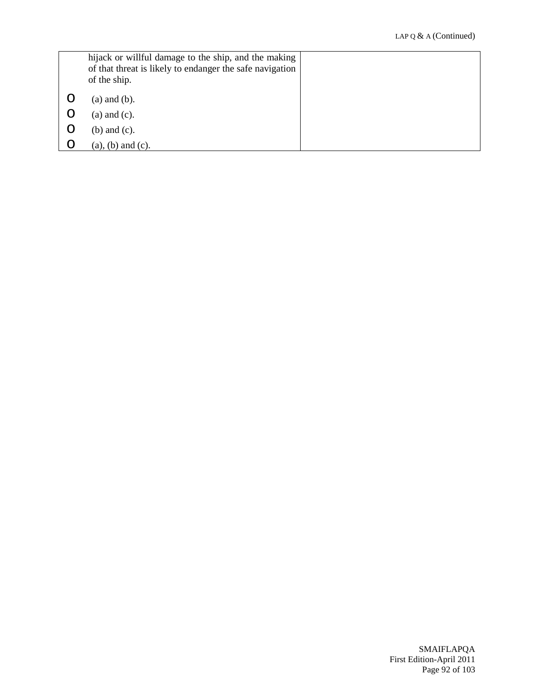|   | hijack or willful damage to the ship, and the making<br>of that threat is likely to endanger the safe navigation<br>of the ship. |  |
|---|----------------------------------------------------------------------------------------------------------------------------------|--|
|   | $(a)$ and $(b)$ .                                                                                                                |  |
| O | $(a)$ and $(c)$ .                                                                                                                |  |
| O | (b) and $(c)$ .                                                                                                                  |  |
| O | $(a)$ , $(b)$ and $(c)$ .                                                                                                        |  |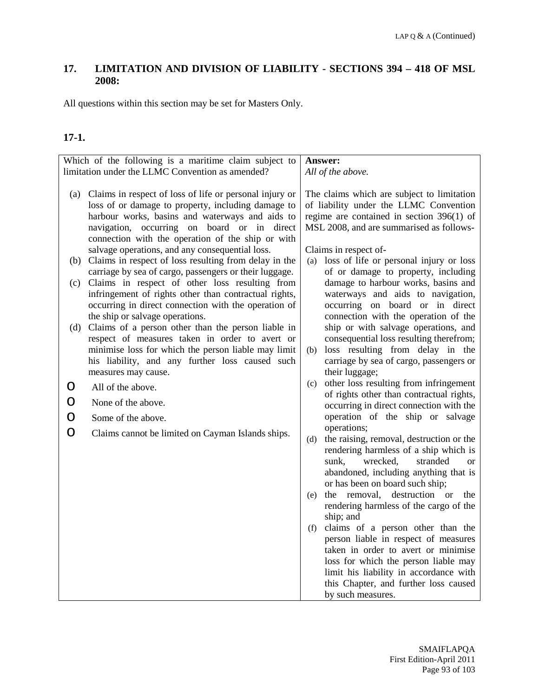## **17. LIMITATION AND DIVISION OF LIABILITY - SECTIONS 394 – 418 OF MSL 2008:**

All questions within this section may be set for Masters Only.

# **17-1.**

| Which of the following is a maritime claim subject to<br>limitation under the LLMC Convention as amended? |                                                                                                                                                                                                                                                                      | Answer:<br>All of the above.                                                                                                                                                                                                      |
|-----------------------------------------------------------------------------------------------------------|----------------------------------------------------------------------------------------------------------------------------------------------------------------------------------------------------------------------------------------------------------------------|-----------------------------------------------------------------------------------------------------------------------------------------------------------------------------------------------------------------------------------|
|                                                                                                           |                                                                                                                                                                                                                                                                      |                                                                                                                                                                                                                                   |
| (a)                                                                                                       | Claims in respect of loss of life or personal injury or<br>loss of or damage to property, including damage to<br>harbour works, basins and waterways and aids to<br>navigation, occurring on board or in direct<br>connection with the operation of the ship or with | The claims which are subject to limitation<br>of liability under the LLMC Convention<br>regime are contained in section $396(1)$ of<br>MSL 2008, and are summarised as follows-                                                   |
|                                                                                                           | salvage operations, and any consequential loss.<br>(b) Claims in respect of loss resulting from delay in the                                                                                                                                                         | Claims in respect of-<br>loss of life or personal injury or loss<br>(a)                                                                                                                                                           |
|                                                                                                           | carriage by sea of cargo, passengers or their luggage.                                                                                                                                                                                                               | of or damage to property, including                                                                                                                                                                                               |
| (c)                                                                                                       | Claims in respect of other loss resulting from<br>infringement of rights other than contractual rights,<br>occurring in direct connection with the operation of<br>the ship or salvage operations.                                                                   | damage to harbour works, basins and<br>waterways and aids to navigation,<br>occurring on board or in direct<br>connection with the operation of the                                                                               |
| (d)                                                                                                       | Claims of a person other than the person liable in                                                                                                                                                                                                                   | ship or with salvage operations, and<br>consequential loss resulting therefrom;                                                                                                                                                   |
|                                                                                                           | respect of measures taken in order to avert or<br>minimise loss for which the person liable may limit<br>his liability, and any further loss caused such<br>measures may cause.                                                                                      | loss resulting from delay in the<br>(b)<br>carriage by sea of cargo, passengers or<br>their luggage;                                                                                                                              |
| O                                                                                                         | All of the above.                                                                                                                                                                                                                                                    | other loss resulting from infringement<br>(c)                                                                                                                                                                                     |
| O                                                                                                         | None of the above.                                                                                                                                                                                                                                                   | of rights other than contractual rights,<br>occurring in direct connection with the                                                                                                                                               |
| O                                                                                                         | Some of the above.                                                                                                                                                                                                                                                   | operation of the ship or salvage                                                                                                                                                                                                  |
| O                                                                                                         | Claims cannot be limited on Cayman Islands ships.                                                                                                                                                                                                                    | operations;<br>the raising, removal, destruction or the<br>(d)<br>rendering harmless of a ship which is<br>wrecked,<br>stranded<br>sunk,<br><b>or</b><br>abandoned, including anything that is<br>or has been on board such ship; |
|                                                                                                           |                                                                                                                                                                                                                                                                      | the removal, destruction or<br>the<br>(e)<br>rendering harmless of the cargo of the<br>ship; and                                                                                                                                  |
|                                                                                                           |                                                                                                                                                                                                                                                                      | claims of a person other than the<br>(f)<br>person liable in respect of measures<br>taken in order to avert or minimise<br>loss for which the person liable may<br>limit his liability in accordance with                         |
|                                                                                                           |                                                                                                                                                                                                                                                                      | this Chapter, and further loss caused<br>by such measures.                                                                                                                                                                        |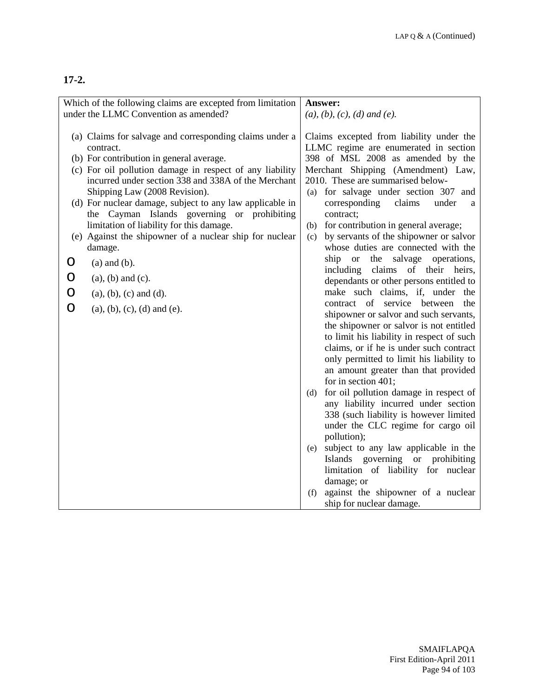|   | Which of the following claims are excepted from limitation |     | Answer:                                                                    |
|---|------------------------------------------------------------|-----|----------------------------------------------------------------------------|
|   | under the LLMC Convention as amended?                      |     | $(a), (b), (c), (d)$ and $(e).$                                            |
|   |                                                            |     |                                                                            |
|   | (a) Claims for salvage and corresponding claims under a    |     | Claims excepted from liability under the                                   |
|   | contract.                                                  |     | LLMC regime are enumerated in section                                      |
|   | (b) For contribution in general average.                   |     | 398 of MSL 2008 as amended by the                                          |
|   | (c) For oil pollution damage in respect of any liability   |     | Merchant Shipping (Amendment) Law,                                         |
|   | incurred under section 338 and 338A of the Merchant        |     | 2010. These are summarised below-                                          |
|   | Shipping Law (2008 Revision).                              |     | (a) for salvage under section 307 and                                      |
|   | (d) For nuclear damage, subject to any law applicable in   |     | claims<br>corresponding<br>under<br>a                                      |
|   | the Cayman Islands governing or prohibiting                |     | contract;                                                                  |
|   | limitation of liability for this damage.                   | (b) | for contribution in general average;                                       |
|   | (e) Against the shipowner of a nuclear ship for nuclear    | (c) | by servants of the shipowner or salvor                                     |
|   | damage.                                                    |     | whose duties are connected with the                                        |
| O | $(a)$ and $(b)$ .                                          |     | the salvage operations,<br>ship or                                         |
| O | $(a)$ , $(b)$ and $(c)$ .                                  |     | claims of their heirs,<br>including                                        |
|   |                                                            |     | dependants or other persons entitled to<br>make such claims, if, under the |
| O | $(a), (b), (c)$ and $(d)$ .                                |     | contract of service between<br>the                                         |
| O | $(a), (b), (c), (d)$ and $(e)$ .                           |     | shipowner or salvor and such servants,                                     |
|   |                                                            |     | the shipowner or salvor is not entitled                                    |
|   |                                                            |     | to limit his liability in respect of such                                  |
|   |                                                            |     | claims, or if he is under such contract                                    |
|   |                                                            |     | only permitted to limit his liability to                                   |
|   |                                                            |     | an amount greater than that provided                                       |
|   |                                                            |     | for in section 401;                                                        |
|   |                                                            | (d) | for oil pollution damage in respect of                                     |
|   |                                                            |     | any liability incurred under section                                       |
|   |                                                            |     | 338 (such liability is however limited                                     |
|   |                                                            |     | under the CLC regime for cargo oil                                         |
|   |                                                            |     | pollution);                                                                |
|   |                                                            | (e) | subject to any law applicable in the                                       |
|   |                                                            |     | Islands governing or prohibiting                                           |
|   |                                                            |     | limitation of liability for nuclear                                        |
|   |                                                            |     | damage; or                                                                 |
|   |                                                            | (f) | against the shipowner of a nuclear                                         |
|   |                                                            |     | ship for nuclear damage.                                                   |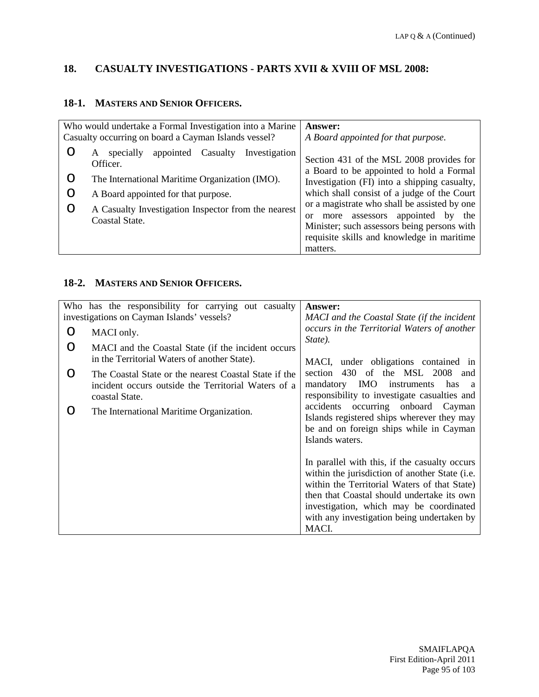# **18. CASUALTY INVESTIGATIONS - PARTS XVII & XVIII OF MSL 2008:**

#### **18-1. MASTERS AND SENIOR OFFICERS.**

|        | Who would undertake a Formal Investigation into a Marine                                                                                                                                                                               | Answer:                                                                                                                                                                                                                                                                                                                                                                                          |
|--------|----------------------------------------------------------------------------------------------------------------------------------------------------------------------------------------------------------------------------------------|--------------------------------------------------------------------------------------------------------------------------------------------------------------------------------------------------------------------------------------------------------------------------------------------------------------------------------------------------------------------------------------------------|
|        | Casualty occurring on board a Cayman Islands vessel?                                                                                                                                                                                   | A Board appointed for that purpose.                                                                                                                                                                                                                                                                                                                                                              |
| O<br>O | Investigation<br>Casualty<br>appointed<br>specially<br>A<br>Officer.<br>The International Maritime Organization (IMO).<br>A Board appointed for that purpose.<br>A Casualty Investigation Inspector from the nearest<br>Coastal State. | Section 431 of the MSL 2008 provides for<br>a Board to be appointed to hold a Formal<br>Investigation (FI) into a shipping casualty,<br>which shall consist of a judge of the Court<br>or a magistrate who shall be assisted by one<br>appointed<br>assessors<br>by<br>the<br>more<br><sub>or</sub><br>Minister; such assessors being persons with<br>requisite skills and knowledge in maritime |
|        |                                                                                                                                                                                                                                        | matters.                                                                                                                                                                                                                                                                                                                                                                                         |

#### **18-2. MASTERS AND SENIOR OFFICERS.**

|   | Who has the responsibility for carrying out casualty                                                                           | <b>Answer:</b>                                                                                                                                                                                                                                                                                  |
|---|--------------------------------------------------------------------------------------------------------------------------------|-------------------------------------------------------------------------------------------------------------------------------------------------------------------------------------------------------------------------------------------------------------------------------------------------|
|   | investigations on Cayman Islands' vessels?                                                                                     | MACI and the Coastal State (if the incident                                                                                                                                                                                                                                                     |
| O | MACI only.                                                                                                                     | occurs in the Territorial Waters of another                                                                                                                                                                                                                                                     |
| O | MACI and the Coastal State (if the incident occurs<br>in the Territorial Waters of another State).                             | State).<br>MACI, under obligations contained in                                                                                                                                                                                                                                                 |
| O | The Coastal State or the nearest Coastal State if the<br>incident occurs outside the Territorial Waters of a<br>coastal State. | 430<br>of the MSL 2008 and<br>section<br>mandatory IMO<br>instruments<br>has<br><sub>a</sub><br>responsibility to investigate casualties and                                                                                                                                                    |
| 0 | The International Maritime Organization.                                                                                       | accidents occurring onboard Cayman<br>Islands registered ships wherever they may<br>be and on foreign ships while in Cayman<br>Islands waters.                                                                                                                                                  |
|   |                                                                                                                                | In parallel with this, if the casualty occurs<br>within the jurisdiction of another State (i.e.<br>within the Territorial Waters of that State)<br>then that Coastal should undertake its own<br>investigation, which may be coordinated<br>with any investigation being undertaken by<br>MACI. |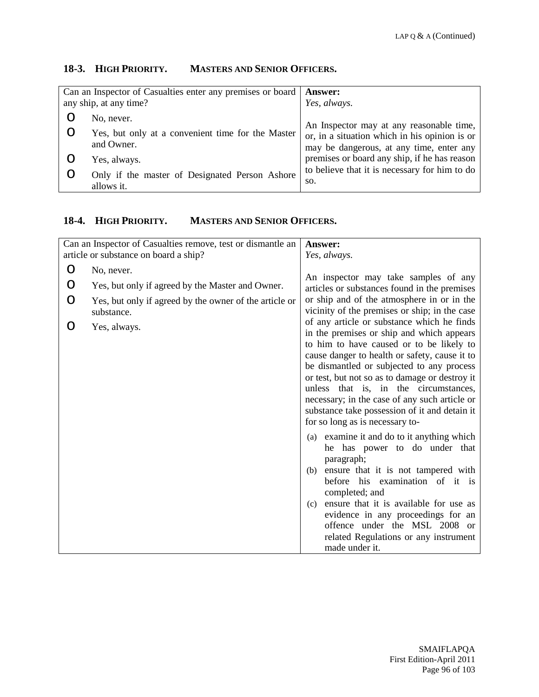# **18-3. HIGH PRIORITY. MASTERS AND SENIOR OFFICERS.**

| Can an Inspector of Casualties enter any premises or board<br>any ship, at any time? |                                                                 | Answer:<br>Yes, always.                                                                   |
|--------------------------------------------------------------------------------------|-----------------------------------------------------------------|-------------------------------------------------------------------------------------------|
|                                                                                      | No, never.                                                      | An Inspector may at any reasonable time,                                                  |
|                                                                                      | Yes, but only at a convenient time for the Master<br>and Owner. | or, in a situation which in his opinion is or<br>may be dangerous, at any time, enter any |
|                                                                                      | Yes, always.                                                    | premises or board any ship, if he has reason                                              |
|                                                                                      | Only if the master of Designated Person Ashore<br>allows it.    | to believe that it is necessary for him to do<br>SO.                                      |

# **18-4. HIGH PRIORITY. MASTERS AND SENIOR OFFICERS.**

|   | Can an Inspector of Casualties remove, test or dismantle an          | Answer:                                                                                     |
|---|----------------------------------------------------------------------|---------------------------------------------------------------------------------------------|
|   | article or substance on board a ship?                                | Yes, always.                                                                                |
| O | No, never.                                                           |                                                                                             |
| O | Yes, but only if agreed by the Master and Owner.                     | An inspector may take samples of any<br>articles or substances found in the premises        |
| O | Yes, but only if agreed by the owner of the article or<br>substance. | or ship and of the atmosphere in or in the<br>vicinity of the premises or ship; in the case |
| O |                                                                      | of any article or substance which he finds                                                  |
|   | Yes, always.                                                         | in the premises or ship and which appears                                                   |
|   |                                                                      | to him to have caused or to be likely to<br>cause danger to health or safety, cause it to   |
|   |                                                                      | be dismantled or subjected to any process                                                   |
|   |                                                                      | or test, but not so as to damage or destroy it                                              |
|   |                                                                      | unless that is, in the circumstances,                                                       |
|   |                                                                      | necessary; in the case of any such article or                                               |
|   |                                                                      | substance take possession of it and detain it                                               |
|   |                                                                      | for so long as is necessary to-                                                             |
|   |                                                                      | (a) examine it and do to it anything which<br>he has power to do under that                 |
|   |                                                                      | paragraph;                                                                                  |
|   |                                                                      | ensure that it is not tampered with<br>(b)                                                  |
|   |                                                                      | before his examination of it is<br>completed; and                                           |
|   |                                                                      | ensure that it is available for use as<br>(c)                                               |
|   |                                                                      | evidence in any proceedings for an                                                          |
|   |                                                                      | offence under the MSL 2008 or                                                               |
|   |                                                                      | related Regulations or any instrument                                                       |
|   |                                                                      | made under it.                                                                              |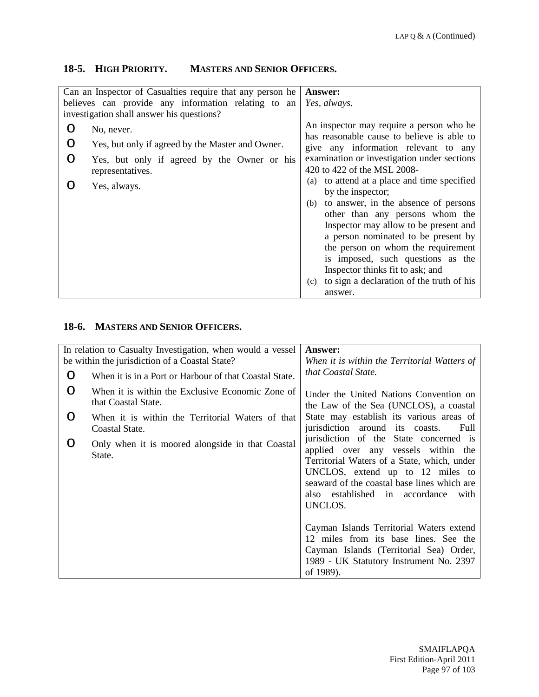# **18-5. HIGH PRIORITY. MASTERS AND SENIOR OFFICERS.**

| Can an Inspector of Casualties require that any person he<br>believes can provide any information relating to an<br>investigation shall answer his questions? | <b>Answer:</b><br>Yes, always.                                                         |
|---------------------------------------------------------------------------------------------------------------------------------------------------------------|----------------------------------------------------------------------------------------|
| No, never.                                                                                                                                                    | An inspector may require a person who he<br>has reasonable cause to believe is able to |
| Yes, but only if agreed by the Master and Owner.                                                                                                              | give any information relevant to any                                                   |
| Yes, but only if agreed by the Owner or his<br>representatives.                                                                                               | examination or investigation under sections<br>420 to 422 of the MSL 2008-             |
| Yes, always.                                                                                                                                                  | to attend at a place and time specified<br>(a)<br>by the inspector;                    |
|                                                                                                                                                               | to answer, in the absence of persons<br>(b)                                            |
|                                                                                                                                                               | other than any persons whom the                                                        |
|                                                                                                                                                               | Inspector may allow to be present and<br>a person nominated to be present by           |
|                                                                                                                                                               | the person on whom the requirement                                                     |
|                                                                                                                                                               | is imposed, such questions as the                                                      |
|                                                                                                                                                               | Inspector thinks fit to ask; and                                                       |
|                                                                                                                                                               | to sign a declaration of the truth of his<br>(c)                                       |
|                                                                                                                                                               | answer.                                                                                |

# **18-6. MASTERS AND SENIOR OFFICERS.**

| In relation to Casualty Investigation, when would a vessel<br>be within the jurisdiction of a Coastal State? |                                                                         | <b>Answer:</b><br>When it is within the Territorial Watters of                                                                                                                                                                                                          |
|--------------------------------------------------------------------------------------------------------------|-------------------------------------------------------------------------|-------------------------------------------------------------------------------------------------------------------------------------------------------------------------------------------------------------------------------------------------------------------------|
| O                                                                                                            | When it is in a Port or Harbour of that Coastal State.                  | that Coastal State.                                                                                                                                                                                                                                                     |
| O                                                                                                            | When it is within the Exclusive Economic Zone of<br>that Coastal State. | Under the United Nations Convention on<br>the Law of the Sea (UNCLOS), a coastal                                                                                                                                                                                        |
| O                                                                                                            | When it is within the Territorial Waters of that<br>Coastal State.      | State may establish its various areas of<br>jurisdiction around its coasts.<br>Full                                                                                                                                                                                     |
| O                                                                                                            | Only when it is moored alongside in that Coastal<br>State.              | jurisdiction of the State concerned is<br>applied over any vessels within the<br>Territorial Waters of a State, which, under<br>UNCLOS, extend up to 12 miles to<br>seaward of the coastal base lines which are<br>established in accordance<br>also<br>with<br>UNCLOS. |
|                                                                                                              |                                                                         | Cayman Islands Territorial Waters extend<br>12 miles from its base lines. See the<br>Cayman Islands (Territorial Sea) Order,<br>1989 - UK Statutory Instrument No. 2397<br>of 1989).                                                                                    |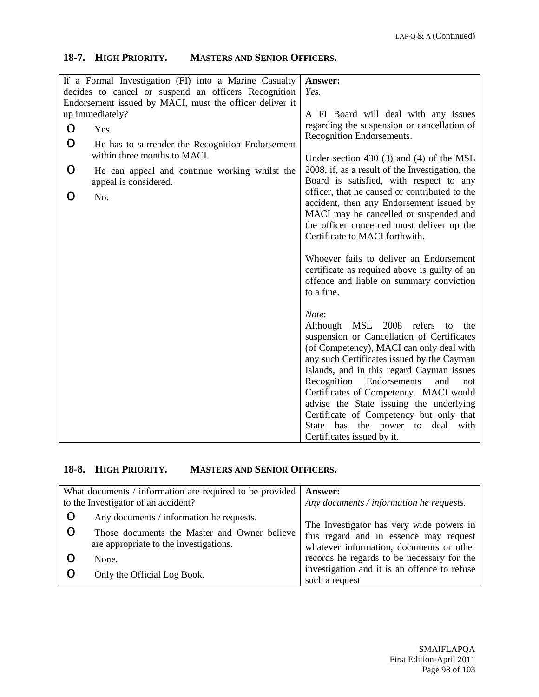#### **18-7. HIGH PRIORITY. MASTERS AND SENIOR OFFICERS.**

|         | If a Formal Investigation (FI) into a Marine Casualty<br>decides to cancel or suspend an officers Recognition | Answer:<br>Yes.                                                                                                                                                                                                                                                                     |
|---------|---------------------------------------------------------------------------------------------------------------|-------------------------------------------------------------------------------------------------------------------------------------------------------------------------------------------------------------------------------------------------------------------------------------|
|         | Endorsement issued by MACI, must the officer deliver it<br>up immediately?                                    | A FI Board will deal with any issues                                                                                                                                                                                                                                                |
| $\circ$ | Yes.                                                                                                          | regarding the suspension or cancellation of<br>Recognition Endorsements.                                                                                                                                                                                                            |
| O       | He has to surrender the Recognition Endorsement<br>within three months to MACI.                               |                                                                                                                                                                                                                                                                                     |
| O       | He can appeal and continue working whilst the<br>appeal is considered.                                        | Under section 430 $(3)$ and $(4)$ of the MSL<br>2008, if, as a result of the Investigation, the<br>Board is satisfied, with respect to any                                                                                                                                          |
| Ő       | No.                                                                                                           | officer, that he caused or contributed to the<br>accident, then any Endorsement issued by<br>MACI may be cancelled or suspended and                                                                                                                                                 |
|         |                                                                                                               | the officer concerned must deliver up the<br>Certificate to MACI forthwith.                                                                                                                                                                                                         |
|         |                                                                                                               | Whoever fails to deliver an Endorsement<br>certificate as required above is guilty of an<br>offence and liable on summary conviction<br>to a fine.                                                                                                                                  |
|         |                                                                                                               | Note:<br>Although MSL 2008<br>refers<br>the<br>to<br>suspension or Cancellation of Certificates<br>(of Competency), MACI can only deal with<br>any such Certificates issued by the Cayman<br>Islands, and in this regard Cayman issues<br>Recognition<br>Endorsements<br>and<br>not |
|         |                                                                                                               | advise the State issuing the underlying                                                                                                                                                                                                                                             |
|         |                                                                                                               | State has the power to deal<br>with                                                                                                                                                                                                                                                 |
|         |                                                                                                               | Certificates of Competency. MACI would<br>Certificate of Competency but only that<br>Certificates issued by it.                                                                                                                                                                     |

#### **18-8. HIGH PRIORITY. MASTERS AND SENIOR OFFICERS.**

| What documents / information are required to be provided<br>to the Investigator of an accident? |                                                                                                                                    | <b>Answer:</b><br>Any documents / information he requests.                                                                     |
|-------------------------------------------------------------------------------------------------|------------------------------------------------------------------------------------------------------------------------------------|--------------------------------------------------------------------------------------------------------------------------------|
|                                                                                                 | Any documents / information he requests.<br>Those documents the Master and Owner believe<br>are appropriate to the investigations. | The Investigator has very wide powers in<br>this regard and in essence may request<br>whatever information, documents or other |
|                                                                                                 | None.                                                                                                                              | records he regards to be necessary for the<br>investigation and it is an offence to refuse                                     |
|                                                                                                 | Only the Official Log Book.                                                                                                        | such a request                                                                                                                 |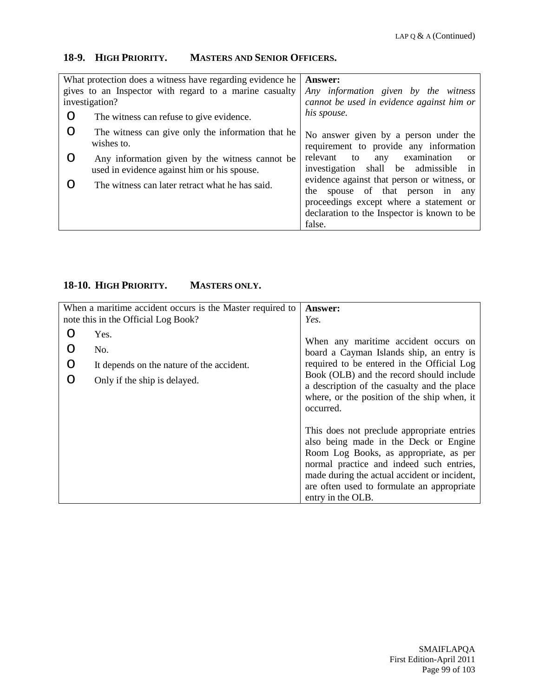## **18-9. HIGH PRIORITY. MASTERS AND SENIOR OFFICERS.**

| What protection does a witness have regarding evidence he<br>gives to an Inspector with regard to a marine casualty<br>investigation? |                                                                                               | Answer:<br>Any information given by the witness<br>cannot be used in evidence against him or                                                                                           |
|---------------------------------------------------------------------------------------------------------------------------------------|-----------------------------------------------------------------------------------------------|----------------------------------------------------------------------------------------------------------------------------------------------------------------------------------------|
| O                                                                                                                                     | The witness can refuse to give evidence.                                                      | his spouse.                                                                                                                                                                            |
| O                                                                                                                                     | The witness can give only the information that he<br>wishes to.                               | No answer given by a person under the<br>requirement to provide any information                                                                                                        |
| O                                                                                                                                     | Any information given by the witness cannot be<br>used in evidence against him or his spouse. | examination<br>relevant<br>to<br>any<br><sub>or</sub><br>shall be admissible in<br>investigation                                                                                       |
|                                                                                                                                       | The witness can later retract what he has said.                                               | evidence against that person or witness, or<br>spouse of that person in any<br>the<br>proceedings except where a statement or<br>declaration to the Inspector is known to be<br>false. |

# **18-10. HIGH PRIORITY. MASTERS ONLY.**

|   | When a maritime accident occurs is the Master required to | <b>Answer:</b>                                                                                                                                                                                                                                                                               |
|---|-----------------------------------------------------------|----------------------------------------------------------------------------------------------------------------------------------------------------------------------------------------------------------------------------------------------------------------------------------------------|
|   | note this in the Official Log Book?                       | Yes.                                                                                                                                                                                                                                                                                         |
| ∩ | Yes.                                                      | When any maritime accident occurs on                                                                                                                                                                                                                                                         |
|   | No.                                                       | board a Cayman Islands ship, an entry is                                                                                                                                                                                                                                                     |
| ∩ | It depends on the nature of the accident.                 | required to be entered in the Official Log                                                                                                                                                                                                                                                   |
|   | Only if the ship is delayed.                              | Book (OLB) and the record should include<br>a description of the casualty and the place<br>where, or the position of the ship when, it<br>occurred.                                                                                                                                          |
|   |                                                           | This does not preclude appropriate entries<br>also being made in the Deck or Engine<br>Room Log Books, as appropriate, as per<br>normal practice and indeed such entries,<br>made during the actual accident or incident,<br>are often used to formulate an appropriate<br>entry in the OLB. |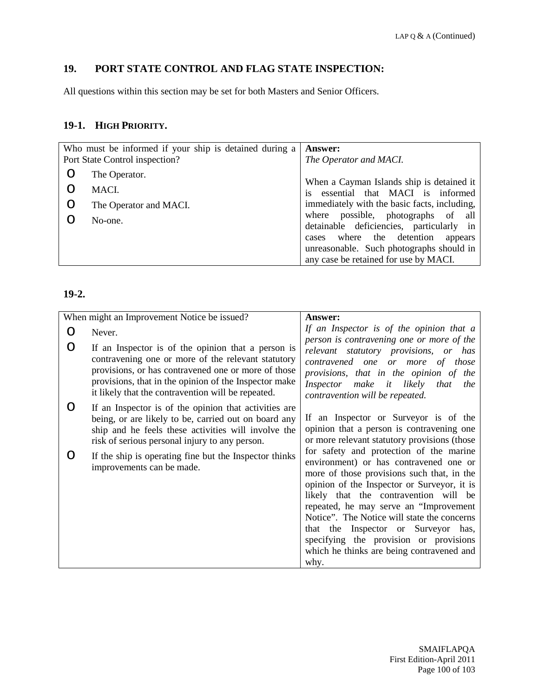# **19. PORT STATE CONTROL AND FLAG STATE INSPECTION:**

All questions within this section may be set for both Masters and Senior Officers.

# **19-1. HIGH PRIORITY.**

| Who must be informed if your ship is detained during a |                        | Answer:                                                                                                                                                               |
|--------------------------------------------------------|------------------------|-----------------------------------------------------------------------------------------------------------------------------------------------------------------------|
| Port State Control inspection?                         |                        | The Operator and MACI.                                                                                                                                                |
|                                                        | The Operator.          |                                                                                                                                                                       |
|                                                        | MACI.                  | When a Cayman Islands ship is detained it<br>essential that MACI is informed<br>is                                                                                    |
|                                                        | The Operator and MACI. | immediately with the basic facts, including,                                                                                                                          |
|                                                        | No-one.                | where possible, photographs of all<br>detainable deficiencies, particularly in<br>where the detention<br>appears<br>cases<br>unreasonable. Such photographs should in |
|                                                        |                        | any case be retained for use by MACI.                                                                                                                                 |

| When might an Improvement Notice be issued?                                                                                                                                                                                                                                    | Answer:                                                                                                                                                                                                                                                                                                                                                                                                                                                 |
|--------------------------------------------------------------------------------------------------------------------------------------------------------------------------------------------------------------------------------------------------------------------------------|---------------------------------------------------------------------------------------------------------------------------------------------------------------------------------------------------------------------------------------------------------------------------------------------------------------------------------------------------------------------------------------------------------------------------------------------------------|
| Never.                                                                                                                                                                                                                                                                         | If an Inspector is of the opinion that a                                                                                                                                                                                                                                                                                                                                                                                                                |
| If an Inspector is of the opinion that a person is<br>contravening one or more of the relevant statutory<br>provisions, or has contravened one or more of those<br>provisions, that in the opinion of the Inspector make<br>it likely that the contravention will be repeated. | person is contravening one or more of the<br>relevant statutory provisions, or has<br>contravened one or more of those<br>provisions, that in the opinion of the<br>Inspector make it likely that<br>the<br>contravention will be repeated.                                                                                                                                                                                                             |
| If an Inspector is of the opinion that activities are<br>being, or are likely to be, carried out on board any<br>ship and he feels these activities will involve the<br>risk of serious personal injury to any person.                                                         | If an Inspector or Surveyor is of the<br>opinion that a person is contravening one<br>or more relevant statutory provisions (those                                                                                                                                                                                                                                                                                                                      |
| If the ship is operating fine but the Inspector thinks<br>improvements can be made.                                                                                                                                                                                            | for safety and protection of the marine<br>environment) or has contravened one or<br>more of those provisions such that, in the<br>opinion of the Inspector or Surveyor, it is<br>likely that the contravention will be<br>repeated, he may serve an "Improvement"<br>Notice". The Notice will state the concerns<br>that the Inspector or Surveyor has,<br>specifying the provision or provisions<br>which he thinks are being contravened and<br>why. |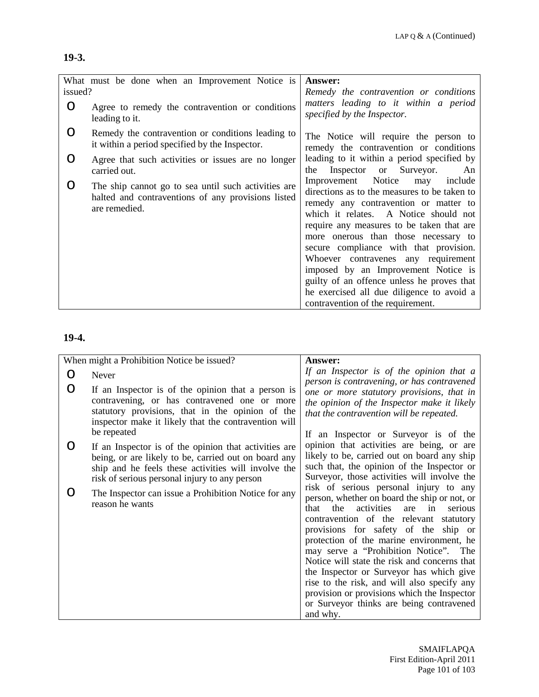# **19-3.**

| issued? | What must be done when an Improvement Notice is                                                                            | <b>Answer:</b><br>Remedy the contravention or conditions                                                                                                                                                                                                                                                                                                                                                                                                                                                         |
|---------|----------------------------------------------------------------------------------------------------------------------------|------------------------------------------------------------------------------------------------------------------------------------------------------------------------------------------------------------------------------------------------------------------------------------------------------------------------------------------------------------------------------------------------------------------------------------------------------------------------------------------------------------------|
| O       | Agree to remedy the contravention or conditions<br>leading to it.                                                          | matters leading to it within a period<br>specified by the Inspector.                                                                                                                                                                                                                                                                                                                                                                                                                                             |
| O       | Remedy the contravention or conditions leading to<br>it within a period specified by the Inspector.                        | The Notice will require the person to<br>remedy the contravention or conditions                                                                                                                                                                                                                                                                                                                                                                                                                                  |
| O       | Agree that such activities or issues are no longer<br>carried out.                                                         | leading to it within a period specified by<br>or Surveyor.<br>Inspector<br>An<br>the                                                                                                                                                                                                                                                                                                                                                                                                                             |
| O       | The ship cannot go to sea until such activities are<br>halted and contraventions of any provisions listed<br>are remedied. | Improvement Notice may<br>include<br>directions as to the measures to be taken to<br>remedy any contravention or matter to<br>which it relates. A Notice should not<br>require any measures to be taken that are<br>more onerous than those necessary to<br>secure compliance with that provision.<br>Whoever contravenes any requirement<br>imposed by an Improvement Notice is<br>guilty of an offence unless he proves that<br>he exercised all due diligence to avoid a<br>contravention of the requirement. |

# **19-4.**

|   | When might a Prohibition Notice be issued?                                                                                                                                                                                    | Answer:                                                                                                                                                                                                                                                                                                                                                                                                                                                                                                                                                               |
|---|-------------------------------------------------------------------------------------------------------------------------------------------------------------------------------------------------------------------------------|-----------------------------------------------------------------------------------------------------------------------------------------------------------------------------------------------------------------------------------------------------------------------------------------------------------------------------------------------------------------------------------------------------------------------------------------------------------------------------------------------------------------------------------------------------------------------|
|   | Never                                                                                                                                                                                                                         | If an Inspector is of the opinion that a<br>person is contravening, or has contravened                                                                                                                                                                                                                                                                                                                                                                                                                                                                                |
| O | If an Inspector is of the opinion that a person is<br>contravening, or has contravened one or more<br>statutory provisions, that in the opinion of the<br>inspector make it likely that the contravention will<br>be repeated | one or more statutory provisions, that in<br>the opinion of the Inspector make it likely<br>that the contravention will be repeated.<br>If an Inspector or Surveyor is of the                                                                                                                                                                                                                                                                                                                                                                                         |
| 0 | If an Inspector is of the opinion that activities are<br>being, or are likely to be, carried out on board any<br>ship and he feels these activities will involve the<br>risk of serious personal injury to any person         | opinion that activities are being, or are<br>likely to be, carried out on board any ship<br>such that, the opinion of the Inspector or<br>Surveyor, those activities will involve the                                                                                                                                                                                                                                                                                                                                                                                 |
|   | The Inspector can issue a Prohibition Notice for any<br>reason he wants                                                                                                                                                       | risk of serious personal injury to any<br>person, whether on board the ship or not, or<br>activities<br>in<br>the<br>are<br>serious<br>that<br>contravention of the relevant statutory<br>provisions for safety of the ship or<br>protection of the marine environment, he<br>may serve a "Prohibition Notice". The<br>Notice will state the risk and concerns that<br>the Inspector or Surveyor has which give<br>rise to the risk, and will also specify any<br>provision or provisions which the Inspector<br>or Surveyor thinks are being contravened<br>and why. |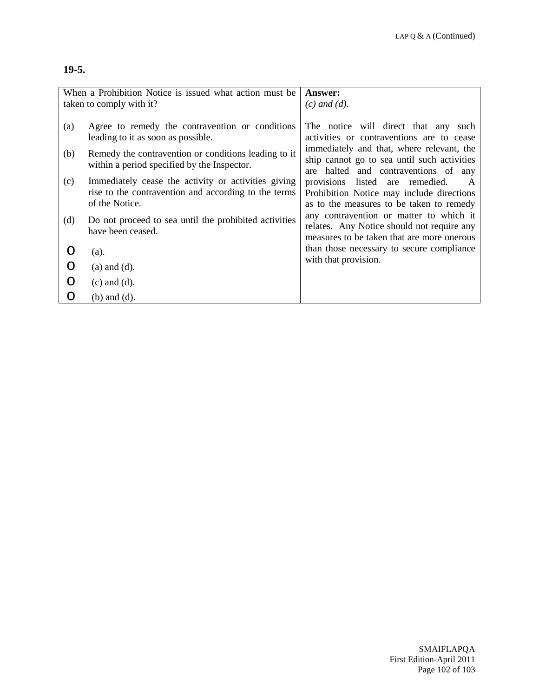# **19-5.**

| When a Prohibition Notice is issued what action must be<br>taken to comply with it? |                                                                                                                               | <b>Answer:</b><br>$(c)$ and $(d)$ .                                                                                                      |
|-------------------------------------------------------------------------------------|-------------------------------------------------------------------------------------------------------------------------------|------------------------------------------------------------------------------------------------------------------------------------------|
| (a)                                                                                 | Agree to remedy the contravention or conditions<br>leading to it as soon as possible.                                         | The notice will direct that any<br>such<br>activities or contraventions are to cease                                                     |
| (b)                                                                                 | Remedy the contravention or conditions leading to it<br>within a period specified by the Inspector.                           | immediately and that, where relevant, the<br>ship cannot go to sea until such activities<br>are halted and contraventions of any         |
| (c)                                                                                 | Immediately cease the activity or activities giving<br>rise to the contravention and according to the terms<br>of the Notice. | provisions listed are remedied.<br>$\mathbf{A}$<br>Prohibition Notice may include directions<br>as to the measures to be taken to remedy |
| (d)                                                                                 | Do not proceed to sea until the prohibited activities<br>have been ceased.                                                    | any contravention or matter to which it<br>relates. Any Notice should not require any<br>measures to be taken that are more onerous      |
| O                                                                                   | (a).                                                                                                                          | than those necessary to secure compliance                                                                                                |
|                                                                                     | $(a)$ and $(d)$ .                                                                                                             | with that provision.                                                                                                                     |
| O                                                                                   | $(c)$ and $(d)$ .                                                                                                             |                                                                                                                                          |
| O                                                                                   | $(b)$ and $(d)$ .                                                                                                             |                                                                                                                                          |